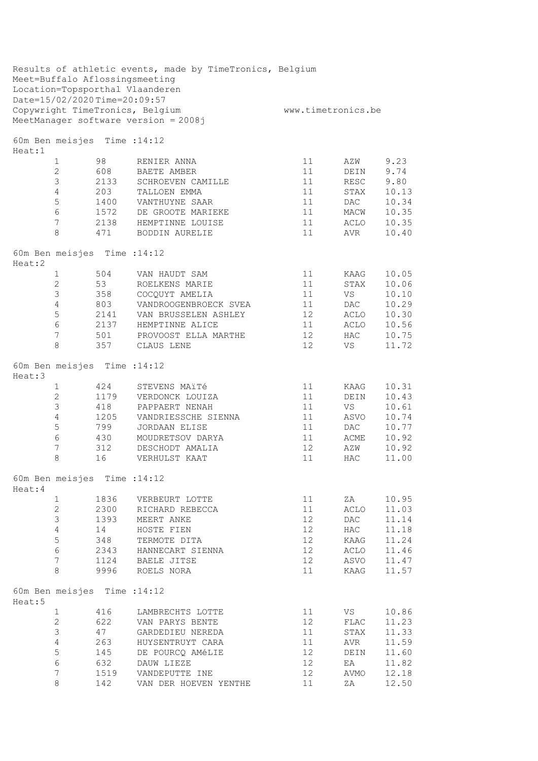|        |                              |      | Results of athletic events, made by TimeTronics, Belgium<br>Meet=Buffalo Aflossingsmeeting<br>Location=Topsporthal Vlaanderen |                    |      |       |
|--------|------------------------------|------|-------------------------------------------------------------------------------------------------------------------------------|--------------------|------|-------|
|        | Date=15/02/2020Time=20:09:57 |      |                                                                                                                               |                    |      |       |
|        |                              |      | Copywright TimeTronics, Belgium<br>MeetManager software version = 2008j                                                       | www.timetronics.be |      |       |
|        | 60m Ben meisjes Time : 14:12 |      |                                                                                                                               |                    |      |       |
| Heat:1 |                              |      |                                                                                                                               |                    |      |       |
|        | $\mathbf{1}$                 | 98   | RENIER ANNA                                                                                                                   | 11                 | AZW  | 9.23  |
|        | $\mathbf{2}$                 | 608  | BAETE AMBER                                                                                                                   | 11                 | DEIN | 9.74  |
|        | $\mathsf 3$                  | 2133 | SCHROEVEN CAMILLE                                                                                                             | 11                 | RESC | 9.80  |
|        | $\sqrt{4}$                   | 203  | TALLOEN EMMA                                                                                                                  | 11                 | STAX | 10.13 |
|        | 5                            | 1400 | VANTHUYNE SAAR                                                                                                                | 11                 | DAC  | 10.34 |
|        | $\epsilon$                   | 1572 | DE GROOTE MARIEKE                                                                                                             | 11                 | MACW | 10.35 |
|        | $\overline{7}$               | 2138 | HEMPTINNE LOUISE                                                                                                              | 11                 | ACLO | 10.35 |
|        | 8                            | 471  | BODDIN AURELIE                                                                                                                | 11                 | AVR  | 10.40 |
| Heat:2 | 60m Ben meisjes Time : 14:12 |      |                                                                                                                               |                    |      |       |
|        | $\mathbf 1$                  | 504  | VAN HAUDT SAM                                                                                                                 | 11                 | KAAG | 10.05 |
|        | $\mathbf{2}$                 | 53   | ROELKENS MARIE                                                                                                                | 11                 | STAX | 10.06 |
|        | $\mathsf 3$                  | 358  | COCQUYT AMELIA                                                                                                                | 11                 | VS   | 10.10 |
|        | $\sqrt{4}$                   | 803  | VANDROOGENBROECK SVEA                                                                                                         | 11                 | DAC  | 10.29 |
|        | 5                            | 2141 | VAN BRUSSELEN ASHLEY                                                                                                          | 12                 | ACLO | 10.30 |
|        | $\epsilon$                   |      | 2137 HEMPTINNE ALICE                                                                                                          | 11                 | ACLO | 10.56 |
|        | $\boldsymbol{7}$             | 501  | PROVOOST ELLA MARTHE                                                                                                          | 12                 | HAC  | 10.75 |
|        | 8                            | 357  | CLAUS LENE                                                                                                                    | 12                 | VS   | 11.72 |
| Heat:3 | 60m Ben meisjes Time : 14:12 |      |                                                                                                                               |                    |      |       |
|        | $\mathbf{1}$                 | 424  | STEVENS MAITé                                                                                                                 | 11                 | KAAG | 10.31 |
|        | $\mathbf{2}$                 | 1179 | VERDONCK LOUIZA                                                                                                               | 11                 | DEIN | 10.43 |
|        | 3                            | 418  | PAPPAERT NENAH                                                                                                                | 11                 | VS   | 10.61 |
|        | $\overline{4}$               | 1205 | VANDRIESSCHE SIENNA                                                                                                           | 11                 | ASVO | 10.74 |
|        | 5                            | 799  | JORDAAN ELISE                                                                                                                 | 11                 | DAC  | 10.77 |
|        | $\epsilon$                   | 430  | MOUDRETSOV DARYA                                                                                                              | 11                 | ACME | 10.92 |
|        | $\boldsymbol{7}$             | 312  | DESCHODT AMALIA                                                                                                               | 12                 | AZW  | 10.92 |
|        | $\,8\,$                      | 16   | VERHULST KAAT                                                                                                                 | 11                 | HAC  | 11.00 |
|        | 60m Ben meisjes Time : 14:12 |      |                                                                                                                               |                    |      |       |
| Heat:4 |                              |      |                                                                                                                               |                    |      |       |
|        | $\mathbf{1}$                 | 1836 | VERBEURT LOTTE                                                                                                                | 11                 | ZA   | 10.95 |
|        | $\overline{2}$               | 2300 | RICHARD REBECCA                                                                                                               | 11                 | ACLO | 11.03 |
|        | 3                            | 1393 | MEERT ANKE                                                                                                                    | 12                 | DAC  | 11.14 |
|        | $\sqrt{4}$                   | 14   | HOSTE FIEN                                                                                                                    | 12                 | HAC  | 11.18 |
|        | $\mathsf S$                  | 348  | TERMOTE DITA                                                                                                                  | 12                 | KAAG | 11.24 |
|        | $\epsilon$                   | 2343 | HANNECART SIENNA                                                                                                              | 12                 | ACLO | 11.46 |
|        | $7\phantom{.0}$              |      | 1124 BAELE JITSE                                                                                                              | 12                 | ASVO | 11.47 |
|        | $\,8\,$                      | 9996 | ROELS NORA                                                                                                                    | 11                 | KAAG | 11.57 |
| Heat:5 | 60m Ben meisjes Time : 14:12 |      |                                                                                                                               |                    |      |       |
|        | $\mathbf{1}$                 | 416  | LAMBRECHTS LOTTE                                                                                                              | 11                 | VS   | 10.86 |
|        | $\mathbf{2}$                 | 622  | VAN PARYS BENTE                                                                                                               | 12                 | FLAC | 11.23 |
|        | $\mathsf 3$                  | 47   | GARDEDIEU NEREDA                                                                                                              | 11                 | STAX | 11.33 |
|        | $\sqrt{4}$                   | 263  | HUYSENTRUYT CARA                                                                                                              | 11                 | AVR  | 11.59 |
|        | $\mathsf S$                  | 145  | DE POURCQ AMéLIE                                                                                                              | 12                 | DEIN | 11.60 |
|        | $\epsilon$                   | 632  | DAUW LIEZE                                                                                                                    | 12                 | EA   | 11.82 |
|        | $\boldsymbol{7}$             | 1519 | VANDEPUTTE INE                                                                                                                | 12                 | AVMO | 12.18 |
|        | $\,8\,$                      | 142  | VAN DER HOEVEN YENTHE                                                                                                         | 11                 | ΖA   | 12.50 |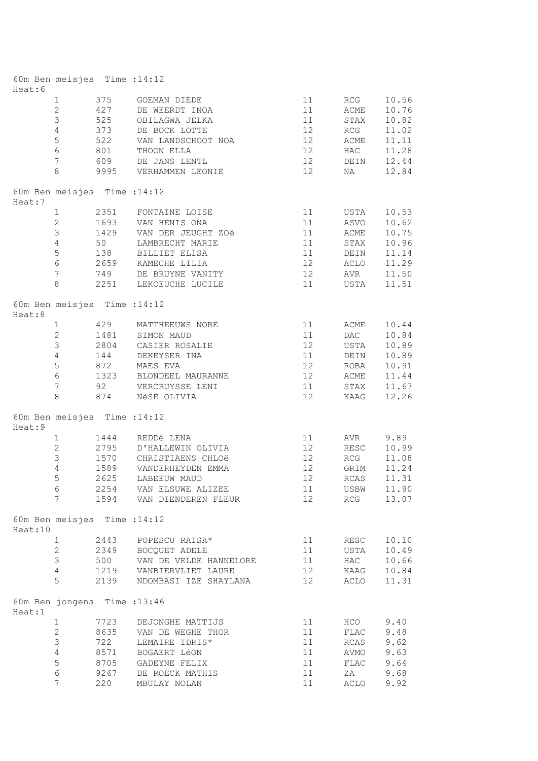| 375<br>10.56<br>$\mathbf{1}$<br>GOEMAN DIEDE<br>11<br>RCG<br>$\overline{c}$<br>427<br>11<br>10.76<br>DE WEERDT INOA<br>ACME<br>3<br>525<br>10.82<br>OBILAGWA JELKA<br>11<br>STAX<br>$\overline{4}$<br>373<br>12<br>DE BOCK LOTTE<br>RCG<br>11.02<br>5<br>522<br>12<br>VAN LANDSCHOOT NOA<br>ACME<br>11.11<br>$\epsilon$<br>12<br>801<br>11.28<br>THOON ELLA<br>HAC<br>$\boldsymbol{7}$<br>12<br>609<br>DE JANS LENTL<br>12.44<br>DEIN<br>8<br>9995<br>12<br>12.84<br>VERHAMMEN LEONIE<br>NA<br>60m Ben meisjes Time : 14:12<br>$\mathbf{1}$<br>2351<br>FONTAINE LOISE<br>11<br>USTA<br>10.53<br>$\overline{c}$<br>1693<br>10.62<br>VAN HENIS ONA<br>11<br>ASVO<br>3<br>1429<br>11<br>VAN DER JEUGHT ZOë<br>ACME<br>10.75<br>$\overline{4}$<br>50<br>11<br>10.96<br>LAMBRECHT MARIE<br>STAX<br>$\mathsf S$<br>11<br>138<br>BILLIET ELISA<br>11.14<br>DEIN<br>$\epsilon$<br>12<br>11.29<br>2659<br>KAMECHE LILIA<br>ACLO<br>749<br>$\overline{7}$<br>12<br>11.50<br>DE BRUYNE VANITY<br>AVR<br>8<br>2251<br>LEKOEUCHE LUCILE<br>11<br>11.51<br>USTA<br>60m Ben meisjes Time : 14:12<br>429<br>$\mathbf{1}$<br>MATTHEEUWS NORE<br>11<br>ACME<br>10.44<br>$\overline{c}$<br>11<br>10.84<br>1481<br>DAC<br>SIMON MAUD<br>$\mathsf S$<br>2804<br>12<br>10.89<br>CASIER ROSALIE<br>USTA<br>$\sqrt{4}$<br>10.89<br>144<br>DEKEYSER INA<br>11<br>DEIN<br>$\mathsf S$<br>12<br>872<br>10.91<br>MAES EVA<br>ROBA<br>6<br>12<br>1323<br>BLONDEEL MAURANNE<br>11.44<br>ACME<br>$\boldsymbol{7}$<br>92<br>11<br>11.67<br>VERCRUYSSE LENI<br>STAX<br>8<br>874<br>NèSE OLIVIA<br>12 <sup>°</sup><br>12.26<br>KAAG<br>60m Ben meisjes Time : 14:12<br>11<br>9.89<br>$\mathbf{1}$<br>1444 REDDé LENA<br>AVR<br>2795 D'HALLEWIN OLIVIA<br>$\overline{c}$<br>12<br>10.99<br>RESC<br>$\mathsf 3$<br>CHRISTIAENS CHLOë<br>12<br>11.08<br>1570<br>RCG<br>$\overline{4}$<br>1589<br>VANDERHEYDEN EMMA<br>12<br>GRIM<br>11.24<br>5<br>2625 LABEEUW MAUD<br>12<br>RCAS<br>11.31<br>USBW<br>6<br>2254 VAN ELSUWE ALIZEE<br>11<br>11.90<br>7<br>13.07<br>1594 VAN DIENDEREN FLEUR<br>12<br>RCG<br>60m Ben meisjes Time : 14:12<br>2443<br>$\mathbf{1}$<br>POPESCU RAISA*<br>11<br>10.10<br>RESC<br>2349 BOCQUET ADELE<br>$\mathbf{2}$<br>10.49<br>11<br>USTA<br>500<br>$\mathfrak{Z}$<br>HAC<br>10.66<br>VAN DE VELDE HANNELORE<br>11<br>1219 VANBIERVLIET LAURE<br>$\overline{4}$<br>12<br>10.84<br>KAAG<br>5<br>2139<br>NDOMBASI IZE SHAYLANA<br>12<br>ACLO<br>11.31<br>60m Ben jongens Time : 13:46<br>7723<br>DEJONGHE MATTIJS<br>11<br>9.40<br>$\mathbf{1}$<br>HCO<br>8635 VAN DE WEGHE THOR<br>$\mathbf{2}$<br>9.48<br>11<br>FLAC<br>RCAS<br>3<br>9.62<br>722<br>LEMAIRE IDRIS*<br>11<br>AVMO<br>8571<br>9.63<br>4<br>BOGAERT LéON<br>11<br>5<br>8705 GADEYNE FELIX<br>9.64<br>11<br>FLAC<br>$\epsilon$<br>9267<br>DE ROECK MATHIS<br>11<br>ΖA<br>9.68<br>7<br>220<br>MBULAY NOLAN<br>11<br>9.92<br>ACLO | Heat:6  | 60m Ben meisjes Time : 14:12 |  |  |  |
|------------------------------------------------------------------------------------------------------------------------------------------------------------------------------------------------------------------------------------------------------------------------------------------------------------------------------------------------------------------------------------------------------------------------------------------------------------------------------------------------------------------------------------------------------------------------------------------------------------------------------------------------------------------------------------------------------------------------------------------------------------------------------------------------------------------------------------------------------------------------------------------------------------------------------------------------------------------------------------------------------------------------------------------------------------------------------------------------------------------------------------------------------------------------------------------------------------------------------------------------------------------------------------------------------------------------------------------------------------------------------------------------------------------------------------------------------------------------------------------------------------------------------------------------------------------------------------------------------------------------------------------------------------------------------------------------------------------------------------------------------------------------------------------------------------------------------------------------------------------------------------------------------------------------------------------------------------------------------------------------------------------------------------------------------------------------------------------------------------------------------------------------------------------------------------------------------------------------------------------------------------------------------------------------------------------------------------------------------------------------------------------------------------------------------------------------------------------------------------------------------------------------------------------------------------------------------------------------------------------------------------------------------------------------------------------------------------------------------------------------------------------------------------------------------------------------------------------------------------------------------------|---------|------------------------------|--|--|--|
|                                                                                                                                                                                                                                                                                                                                                                                                                                                                                                                                                                                                                                                                                                                                                                                                                                                                                                                                                                                                                                                                                                                                                                                                                                                                                                                                                                                                                                                                                                                                                                                                                                                                                                                                                                                                                                                                                                                                                                                                                                                                                                                                                                                                                                                                                                                                                                                                                                                                                                                                                                                                                                                                                                                                                                                                                                                                                    |         |                              |  |  |  |
|                                                                                                                                                                                                                                                                                                                                                                                                                                                                                                                                                                                                                                                                                                                                                                                                                                                                                                                                                                                                                                                                                                                                                                                                                                                                                                                                                                                                                                                                                                                                                                                                                                                                                                                                                                                                                                                                                                                                                                                                                                                                                                                                                                                                                                                                                                                                                                                                                                                                                                                                                                                                                                                                                                                                                                                                                                                                                    |         |                              |  |  |  |
|                                                                                                                                                                                                                                                                                                                                                                                                                                                                                                                                                                                                                                                                                                                                                                                                                                                                                                                                                                                                                                                                                                                                                                                                                                                                                                                                                                                                                                                                                                                                                                                                                                                                                                                                                                                                                                                                                                                                                                                                                                                                                                                                                                                                                                                                                                                                                                                                                                                                                                                                                                                                                                                                                                                                                                                                                                                                                    |         |                              |  |  |  |
|                                                                                                                                                                                                                                                                                                                                                                                                                                                                                                                                                                                                                                                                                                                                                                                                                                                                                                                                                                                                                                                                                                                                                                                                                                                                                                                                                                                                                                                                                                                                                                                                                                                                                                                                                                                                                                                                                                                                                                                                                                                                                                                                                                                                                                                                                                                                                                                                                                                                                                                                                                                                                                                                                                                                                                                                                                                                                    |         |                              |  |  |  |
|                                                                                                                                                                                                                                                                                                                                                                                                                                                                                                                                                                                                                                                                                                                                                                                                                                                                                                                                                                                                                                                                                                                                                                                                                                                                                                                                                                                                                                                                                                                                                                                                                                                                                                                                                                                                                                                                                                                                                                                                                                                                                                                                                                                                                                                                                                                                                                                                                                                                                                                                                                                                                                                                                                                                                                                                                                                                                    |         |                              |  |  |  |
|                                                                                                                                                                                                                                                                                                                                                                                                                                                                                                                                                                                                                                                                                                                                                                                                                                                                                                                                                                                                                                                                                                                                                                                                                                                                                                                                                                                                                                                                                                                                                                                                                                                                                                                                                                                                                                                                                                                                                                                                                                                                                                                                                                                                                                                                                                                                                                                                                                                                                                                                                                                                                                                                                                                                                                                                                                                                                    |         |                              |  |  |  |
|                                                                                                                                                                                                                                                                                                                                                                                                                                                                                                                                                                                                                                                                                                                                                                                                                                                                                                                                                                                                                                                                                                                                                                                                                                                                                                                                                                                                                                                                                                                                                                                                                                                                                                                                                                                                                                                                                                                                                                                                                                                                                                                                                                                                                                                                                                                                                                                                                                                                                                                                                                                                                                                                                                                                                                                                                                                                                    |         |                              |  |  |  |
|                                                                                                                                                                                                                                                                                                                                                                                                                                                                                                                                                                                                                                                                                                                                                                                                                                                                                                                                                                                                                                                                                                                                                                                                                                                                                                                                                                                                                                                                                                                                                                                                                                                                                                                                                                                                                                                                                                                                                                                                                                                                                                                                                                                                                                                                                                                                                                                                                                                                                                                                                                                                                                                                                                                                                                                                                                                                                    |         |                              |  |  |  |
|                                                                                                                                                                                                                                                                                                                                                                                                                                                                                                                                                                                                                                                                                                                                                                                                                                                                                                                                                                                                                                                                                                                                                                                                                                                                                                                                                                                                                                                                                                                                                                                                                                                                                                                                                                                                                                                                                                                                                                                                                                                                                                                                                                                                                                                                                                                                                                                                                                                                                                                                                                                                                                                                                                                                                                                                                                                                                    | Heat:7  |                              |  |  |  |
|                                                                                                                                                                                                                                                                                                                                                                                                                                                                                                                                                                                                                                                                                                                                                                                                                                                                                                                                                                                                                                                                                                                                                                                                                                                                                                                                                                                                                                                                                                                                                                                                                                                                                                                                                                                                                                                                                                                                                                                                                                                                                                                                                                                                                                                                                                                                                                                                                                                                                                                                                                                                                                                                                                                                                                                                                                                                                    |         |                              |  |  |  |
|                                                                                                                                                                                                                                                                                                                                                                                                                                                                                                                                                                                                                                                                                                                                                                                                                                                                                                                                                                                                                                                                                                                                                                                                                                                                                                                                                                                                                                                                                                                                                                                                                                                                                                                                                                                                                                                                                                                                                                                                                                                                                                                                                                                                                                                                                                                                                                                                                                                                                                                                                                                                                                                                                                                                                                                                                                                                                    |         |                              |  |  |  |
|                                                                                                                                                                                                                                                                                                                                                                                                                                                                                                                                                                                                                                                                                                                                                                                                                                                                                                                                                                                                                                                                                                                                                                                                                                                                                                                                                                                                                                                                                                                                                                                                                                                                                                                                                                                                                                                                                                                                                                                                                                                                                                                                                                                                                                                                                                                                                                                                                                                                                                                                                                                                                                                                                                                                                                                                                                                                                    |         |                              |  |  |  |
|                                                                                                                                                                                                                                                                                                                                                                                                                                                                                                                                                                                                                                                                                                                                                                                                                                                                                                                                                                                                                                                                                                                                                                                                                                                                                                                                                                                                                                                                                                                                                                                                                                                                                                                                                                                                                                                                                                                                                                                                                                                                                                                                                                                                                                                                                                                                                                                                                                                                                                                                                                                                                                                                                                                                                                                                                                                                                    |         |                              |  |  |  |
|                                                                                                                                                                                                                                                                                                                                                                                                                                                                                                                                                                                                                                                                                                                                                                                                                                                                                                                                                                                                                                                                                                                                                                                                                                                                                                                                                                                                                                                                                                                                                                                                                                                                                                                                                                                                                                                                                                                                                                                                                                                                                                                                                                                                                                                                                                                                                                                                                                                                                                                                                                                                                                                                                                                                                                                                                                                                                    |         |                              |  |  |  |
|                                                                                                                                                                                                                                                                                                                                                                                                                                                                                                                                                                                                                                                                                                                                                                                                                                                                                                                                                                                                                                                                                                                                                                                                                                                                                                                                                                                                                                                                                                                                                                                                                                                                                                                                                                                                                                                                                                                                                                                                                                                                                                                                                                                                                                                                                                                                                                                                                                                                                                                                                                                                                                                                                                                                                                                                                                                                                    |         |                              |  |  |  |
|                                                                                                                                                                                                                                                                                                                                                                                                                                                                                                                                                                                                                                                                                                                                                                                                                                                                                                                                                                                                                                                                                                                                                                                                                                                                                                                                                                                                                                                                                                                                                                                                                                                                                                                                                                                                                                                                                                                                                                                                                                                                                                                                                                                                                                                                                                                                                                                                                                                                                                                                                                                                                                                                                                                                                                                                                                                                                    |         |                              |  |  |  |
|                                                                                                                                                                                                                                                                                                                                                                                                                                                                                                                                                                                                                                                                                                                                                                                                                                                                                                                                                                                                                                                                                                                                                                                                                                                                                                                                                                                                                                                                                                                                                                                                                                                                                                                                                                                                                                                                                                                                                                                                                                                                                                                                                                                                                                                                                                                                                                                                                                                                                                                                                                                                                                                                                                                                                                                                                                                                                    |         |                              |  |  |  |
|                                                                                                                                                                                                                                                                                                                                                                                                                                                                                                                                                                                                                                                                                                                                                                                                                                                                                                                                                                                                                                                                                                                                                                                                                                                                                                                                                                                                                                                                                                                                                                                                                                                                                                                                                                                                                                                                                                                                                                                                                                                                                                                                                                                                                                                                                                                                                                                                                                                                                                                                                                                                                                                                                                                                                                                                                                                                                    | Heat:8  |                              |  |  |  |
|                                                                                                                                                                                                                                                                                                                                                                                                                                                                                                                                                                                                                                                                                                                                                                                                                                                                                                                                                                                                                                                                                                                                                                                                                                                                                                                                                                                                                                                                                                                                                                                                                                                                                                                                                                                                                                                                                                                                                                                                                                                                                                                                                                                                                                                                                                                                                                                                                                                                                                                                                                                                                                                                                                                                                                                                                                                                                    |         |                              |  |  |  |
|                                                                                                                                                                                                                                                                                                                                                                                                                                                                                                                                                                                                                                                                                                                                                                                                                                                                                                                                                                                                                                                                                                                                                                                                                                                                                                                                                                                                                                                                                                                                                                                                                                                                                                                                                                                                                                                                                                                                                                                                                                                                                                                                                                                                                                                                                                                                                                                                                                                                                                                                                                                                                                                                                                                                                                                                                                                                                    |         |                              |  |  |  |
|                                                                                                                                                                                                                                                                                                                                                                                                                                                                                                                                                                                                                                                                                                                                                                                                                                                                                                                                                                                                                                                                                                                                                                                                                                                                                                                                                                                                                                                                                                                                                                                                                                                                                                                                                                                                                                                                                                                                                                                                                                                                                                                                                                                                                                                                                                                                                                                                                                                                                                                                                                                                                                                                                                                                                                                                                                                                                    |         |                              |  |  |  |
|                                                                                                                                                                                                                                                                                                                                                                                                                                                                                                                                                                                                                                                                                                                                                                                                                                                                                                                                                                                                                                                                                                                                                                                                                                                                                                                                                                                                                                                                                                                                                                                                                                                                                                                                                                                                                                                                                                                                                                                                                                                                                                                                                                                                                                                                                                                                                                                                                                                                                                                                                                                                                                                                                                                                                                                                                                                                                    |         |                              |  |  |  |
|                                                                                                                                                                                                                                                                                                                                                                                                                                                                                                                                                                                                                                                                                                                                                                                                                                                                                                                                                                                                                                                                                                                                                                                                                                                                                                                                                                                                                                                                                                                                                                                                                                                                                                                                                                                                                                                                                                                                                                                                                                                                                                                                                                                                                                                                                                                                                                                                                                                                                                                                                                                                                                                                                                                                                                                                                                                                                    |         |                              |  |  |  |
|                                                                                                                                                                                                                                                                                                                                                                                                                                                                                                                                                                                                                                                                                                                                                                                                                                                                                                                                                                                                                                                                                                                                                                                                                                                                                                                                                                                                                                                                                                                                                                                                                                                                                                                                                                                                                                                                                                                                                                                                                                                                                                                                                                                                                                                                                                                                                                                                                                                                                                                                                                                                                                                                                                                                                                                                                                                                                    |         |                              |  |  |  |
|                                                                                                                                                                                                                                                                                                                                                                                                                                                                                                                                                                                                                                                                                                                                                                                                                                                                                                                                                                                                                                                                                                                                                                                                                                                                                                                                                                                                                                                                                                                                                                                                                                                                                                                                                                                                                                                                                                                                                                                                                                                                                                                                                                                                                                                                                                                                                                                                                                                                                                                                                                                                                                                                                                                                                                                                                                                                                    |         |                              |  |  |  |
|                                                                                                                                                                                                                                                                                                                                                                                                                                                                                                                                                                                                                                                                                                                                                                                                                                                                                                                                                                                                                                                                                                                                                                                                                                                                                                                                                                                                                                                                                                                                                                                                                                                                                                                                                                                                                                                                                                                                                                                                                                                                                                                                                                                                                                                                                                                                                                                                                                                                                                                                                                                                                                                                                                                                                                                                                                                                                    |         |                              |  |  |  |
|                                                                                                                                                                                                                                                                                                                                                                                                                                                                                                                                                                                                                                                                                                                                                                                                                                                                                                                                                                                                                                                                                                                                                                                                                                                                                                                                                                                                                                                                                                                                                                                                                                                                                                                                                                                                                                                                                                                                                                                                                                                                                                                                                                                                                                                                                                                                                                                                                                                                                                                                                                                                                                                                                                                                                                                                                                                                                    | Heat: 9 |                              |  |  |  |
|                                                                                                                                                                                                                                                                                                                                                                                                                                                                                                                                                                                                                                                                                                                                                                                                                                                                                                                                                                                                                                                                                                                                                                                                                                                                                                                                                                                                                                                                                                                                                                                                                                                                                                                                                                                                                                                                                                                                                                                                                                                                                                                                                                                                                                                                                                                                                                                                                                                                                                                                                                                                                                                                                                                                                                                                                                                                                    |         |                              |  |  |  |
|                                                                                                                                                                                                                                                                                                                                                                                                                                                                                                                                                                                                                                                                                                                                                                                                                                                                                                                                                                                                                                                                                                                                                                                                                                                                                                                                                                                                                                                                                                                                                                                                                                                                                                                                                                                                                                                                                                                                                                                                                                                                                                                                                                                                                                                                                                                                                                                                                                                                                                                                                                                                                                                                                                                                                                                                                                                                                    |         |                              |  |  |  |
|                                                                                                                                                                                                                                                                                                                                                                                                                                                                                                                                                                                                                                                                                                                                                                                                                                                                                                                                                                                                                                                                                                                                                                                                                                                                                                                                                                                                                                                                                                                                                                                                                                                                                                                                                                                                                                                                                                                                                                                                                                                                                                                                                                                                                                                                                                                                                                                                                                                                                                                                                                                                                                                                                                                                                                                                                                                                                    |         |                              |  |  |  |
|                                                                                                                                                                                                                                                                                                                                                                                                                                                                                                                                                                                                                                                                                                                                                                                                                                                                                                                                                                                                                                                                                                                                                                                                                                                                                                                                                                                                                                                                                                                                                                                                                                                                                                                                                                                                                                                                                                                                                                                                                                                                                                                                                                                                                                                                                                                                                                                                                                                                                                                                                                                                                                                                                                                                                                                                                                                                                    |         |                              |  |  |  |
|                                                                                                                                                                                                                                                                                                                                                                                                                                                                                                                                                                                                                                                                                                                                                                                                                                                                                                                                                                                                                                                                                                                                                                                                                                                                                                                                                                                                                                                                                                                                                                                                                                                                                                                                                                                                                                                                                                                                                                                                                                                                                                                                                                                                                                                                                                                                                                                                                                                                                                                                                                                                                                                                                                                                                                                                                                                                                    |         |                              |  |  |  |
|                                                                                                                                                                                                                                                                                                                                                                                                                                                                                                                                                                                                                                                                                                                                                                                                                                                                                                                                                                                                                                                                                                                                                                                                                                                                                                                                                                                                                                                                                                                                                                                                                                                                                                                                                                                                                                                                                                                                                                                                                                                                                                                                                                                                                                                                                                                                                                                                                                                                                                                                                                                                                                                                                                                                                                                                                                                                                    |         |                              |  |  |  |
|                                                                                                                                                                                                                                                                                                                                                                                                                                                                                                                                                                                                                                                                                                                                                                                                                                                                                                                                                                                                                                                                                                                                                                                                                                                                                                                                                                                                                                                                                                                                                                                                                                                                                                                                                                                                                                                                                                                                                                                                                                                                                                                                                                                                                                                                                                                                                                                                                                                                                                                                                                                                                                                                                                                                                                                                                                                                                    |         |                              |  |  |  |
|                                                                                                                                                                                                                                                                                                                                                                                                                                                                                                                                                                                                                                                                                                                                                                                                                                                                                                                                                                                                                                                                                                                                                                                                                                                                                                                                                                                                                                                                                                                                                                                                                                                                                                                                                                                                                                                                                                                                                                                                                                                                                                                                                                                                                                                                                                                                                                                                                                                                                                                                                                                                                                                                                                                                                                                                                                                                                    | Heat:10 |                              |  |  |  |
|                                                                                                                                                                                                                                                                                                                                                                                                                                                                                                                                                                                                                                                                                                                                                                                                                                                                                                                                                                                                                                                                                                                                                                                                                                                                                                                                                                                                                                                                                                                                                                                                                                                                                                                                                                                                                                                                                                                                                                                                                                                                                                                                                                                                                                                                                                                                                                                                                                                                                                                                                                                                                                                                                                                                                                                                                                                                                    |         |                              |  |  |  |
|                                                                                                                                                                                                                                                                                                                                                                                                                                                                                                                                                                                                                                                                                                                                                                                                                                                                                                                                                                                                                                                                                                                                                                                                                                                                                                                                                                                                                                                                                                                                                                                                                                                                                                                                                                                                                                                                                                                                                                                                                                                                                                                                                                                                                                                                                                                                                                                                                                                                                                                                                                                                                                                                                                                                                                                                                                                                                    |         |                              |  |  |  |
|                                                                                                                                                                                                                                                                                                                                                                                                                                                                                                                                                                                                                                                                                                                                                                                                                                                                                                                                                                                                                                                                                                                                                                                                                                                                                                                                                                                                                                                                                                                                                                                                                                                                                                                                                                                                                                                                                                                                                                                                                                                                                                                                                                                                                                                                                                                                                                                                                                                                                                                                                                                                                                                                                                                                                                                                                                                                                    |         |                              |  |  |  |
|                                                                                                                                                                                                                                                                                                                                                                                                                                                                                                                                                                                                                                                                                                                                                                                                                                                                                                                                                                                                                                                                                                                                                                                                                                                                                                                                                                                                                                                                                                                                                                                                                                                                                                                                                                                                                                                                                                                                                                                                                                                                                                                                                                                                                                                                                                                                                                                                                                                                                                                                                                                                                                                                                                                                                                                                                                                                                    |         |                              |  |  |  |
|                                                                                                                                                                                                                                                                                                                                                                                                                                                                                                                                                                                                                                                                                                                                                                                                                                                                                                                                                                                                                                                                                                                                                                                                                                                                                                                                                                                                                                                                                                                                                                                                                                                                                                                                                                                                                                                                                                                                                                                                                                                                                                                                                                                                                                                                                                                                                                                                                                                                                                                                                                                                                                                                                                                                                                                                                                                                                    |         |                              |  |  |  |
|                                                                                                                                                                                                                                                                                                                                                                                                                                                                                                                                                                                                                                                                                                                                                                                                                                                                                                                                                                                                                                                                                                                                                                                                                                                                                                                                                                                                                                                                                                                                                                                                                                                                                                                                                                                                                                                                                                                                                                                                                                                                                                                                                                                                                                                                                                                                                                                                                                                                                                                                                                                                                                                                                                                                                                                                                                                                                    | Heat:1  |                              |  |  |  |
|                                                                                                                                                                                                                                                                                                                                                                                                                                                                                                                                                                                                                                                                                                                                                                                                                                                                                                                                                                                                                                                                                                                                                                                                                                                                                                                                                                                                                                                                                                                                                                                                                                                                                                                                                                                                                                                                                                                                                                                                                                                                                                                                                                                                                                                                                                                                                                                                                                                                                                                                                                                                                                                                                                                                                                                                                                                                                    |         |                              |  |  |  |
|                                                                                                                                                                                                                                                                                                                                                                                                                                                                                                                                                                                                                                                                                                                                                                                                                                                                                                                                                                                                                                                                                                                                                                                                                                                                                                                                                                                                                                                                                                                                                                                                                                                                                                                                                                                                                                                                                                                                                                                                                                                                                                                                                                                                                                                                                                                                                                                                                                                                                                                                                                                                                                                                                                                                                                                                                                                                                    |         |                              |  |  |  |
|                                                                                                                                                                                                                                                                                                                                                                                                                                                                                                                                                                                                                                                                                                                                                                                                                                                                                                                                                                                                                                                                                                                                                                                                                                                                                                                                                                                                                                                                                                                                                                                                                                                                                                                                                                                                                                                                                                                                                                                                                                                                                                                                                                                                                                                                                                                                                                                                                                                                                                                                                                                                                                                                                                                                                                                                                                                                                    |         |                              |  |  |  |
|                                                                                                                                                                                                                                                                                                                                                                                                                                                                                                                                                                                                                                                                                                                                                                                                                                                                                                                                                                                                                                                                                                                                                                                                                                                                                                                                                                                                                                                                                                                                                                                                                                                                                                                                                                                                                                                                                                                                                                                                                                                                                                                                                                                                                                                                                                                                                                                                                                                                                                                                                                                                                                                                                                                                                                                                                                                                                    |         |                              |  |  |  |
|                                                                                                                                                                                                                                                                                                                                                                                                                                                                                                                                                                                                                                                                                                                                                                                                                                                                                                                                                                                                                                                                                                                                                                                                                                                                                                                                                                                                                                                                                                                                                                                                                                                                                                                                                                                                                                                                                                                                                                                                                                                                                                                                                                                                                                                                                                                                                                                                                                                                                                                                                                                                                                                                                                                                                                                                                                                                                    |         |                              |  |  |  |
|                                                                                                                                                                                                                                                                                                                                                                                                                                                                                                                                                                                                                                                                                                                                                                                                                                                                                                                                                                                                                                                                                                                                                                                                                                                                                                                                                                                                                                                                                                                                                                                                                                                                                                                                                                                                                                                                                                                                                                                                                                                                                                                                                                                                                                                                                                                                                                                                                                                                                                                                                                                                                                                                                                                                                                                                                                                                                    |         |                              |  |  |  |
|                                                                                                                                                                                                                                                                                                                                                                                                                                                                                                                                                                                                                                                                                                                                                                                                                                                                                                                                                                                                                                                                                                                                                                                                                                                                                                                                                                                                                                                                                                                                                                                                                                                                                                                                                                                                                                                                                                                                                                                                                                                                                                                                                                                                                                                                                                                                                                                                                                                                                                                                                                                                                                                                                                                                                                                                                                                                                    |         |                              |  |  |  |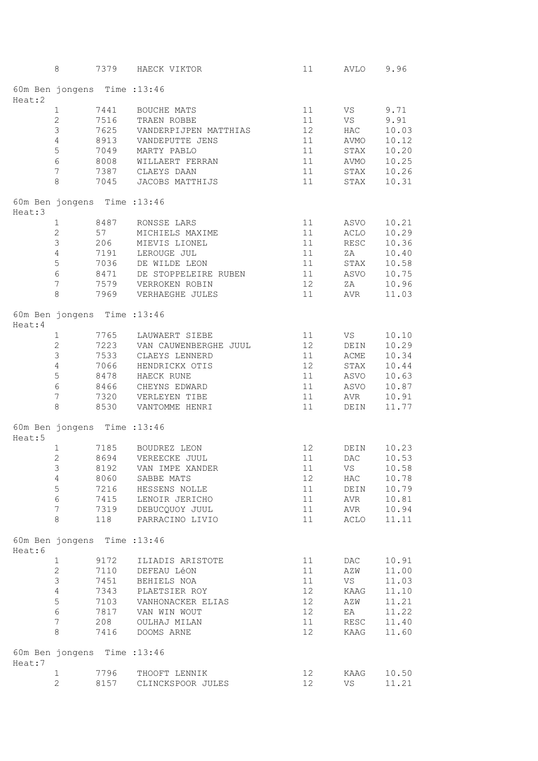|        | 8                            |             | 7379 HAECK VIKTOR                 | 11              | AVLO 9.96    |                |
|--------|------------------------------|-------------|-----------------------------------|-----------------|--------------|----------------|
| Heat:2 | 60m Ben jongens Time : 13:46 |             |                                   |                 |              |                |
|        | $\mathbf{1}$                 |             | 7441 BOUCHE MATS                  | 11              | VS           | 9.71           |
|        | $\mathbf{2}$                 | 7516        | TRAEN ROBBE                       | 11              | VS           | 9.91           |
|        | $\mathfrak{Z}$               |             | 7625 VANDERPIJPEN MATTHIAS        | 12              | HAC          | 10.03          |
|        | $\overline{4}$               |             | 8913 VANDEPUTTE JENS              | 11              | AVMO         | 10.12          |
|        | $\mathsf S$                  | 7049        | MARTY PABLO                       | 11              | STAX         | 10.20          |
|        | $\sqrt{6}$                   | 8008        | WILLAERT FERRAN                   | 11              | AVMO         | 10.25          |
|        | $7\phantom{.0}$              |             | 7387 CLAEYS DAAN                  | 11              |              | 10.26          |
|        | 8                            |             | 7045 JACOBS MATTHIJS              | 11              | STAX<br>STAX | 10.31          |
| Heat:3 | 60m Ben jongens Time : 13:46 |             |                                   |                 |              |                |
|        | $\mathbf{1}$                 | 8487        | RONSSE LARS                       | 11              | ASVO         | 10.21          |
|        | $\mathbf{2}$                 | 57          | MICHIELS MAXIME                   | 11              | ACLO         | 10.29          |
|        | $\mathfrak{Z}$               | 206         | MIEVIS LIONEL                     | 11              | RESC         | 10.36          |
|        | $\overline{4}$               |             | 7191 LEROUGE JUL                  | 11              | ZA           |                |
|        |                              |             |                                   |                 |              | 10.40          |
|        | $\mathsf S$                  | 7036        | DE WILDE LEON                     | 11              | STAX         | 10.58          |
|        | $6\,$                        |             | 8471 DE STOPPELEIRE RUBEN         | 11              | ASVO         | 10.75          |
|        | $7\phantom{.0}$              |             | 7579 VERROKEN ROBIN               | 12              | ZA           | 10.96          |
|        | 8                            |             | 7969 VERHAEGHE JULES              | 11              | AVR          | 11.03          |
| Heat:4 | 60m Ben jongens Time : 13:46 |             |                                   |                 |              |                |
|        | $\mathbf{1}$                 |             | 7765 LAUWAERT SIEBE               | 11              | VS           | 10.10          |
|        | 2                            |             | 7223 VAN CAUWENBERGHE JUUL        | 12 <sup>°</sup> | DEIN         | 10.29          |
|        | $\mathsf 3$                  |             | 7533 CLAEYS LENNERD               | 11              | ACME         | 10.34          |
|        | $\overline{4}$               | 7066        | HENDRICKX OTIS                    | 12              | STAX         | 10.44          |
|        | $\mathsf S$                  | 8478        | HAECK RUNE                        | 11              | ASVO         | 10.63          |
|        | $\sqrt{6}$                   | 8466        | CHEYNS EDWARD                     | 11              | ASVO         | 10.87          |
|        | $7\phantom{.}$               | 7320        | VERLEYEN TIBE                     | 11              | AVR          | 10.91          |
|        | 8                            | 8530        | VANTOMME HENRI                    | 11              | DEIN         | 11.77          |
| Heat:5 | 60m Ben jongens Time : 13:46 |             |                                   |                 |              |                |
|        | $\mathbf{1}$                 |             | 7185 BOUDREZ LEON                 | 12 <sup>7</sup> | DEIN         | 10.23          |
|        | $\overline{2}$               | 8694        | VEREECKE JUUL                     | 11              | DAC          | 10.53          |
|        | 3 <sup>7</sup>               |             | 8192 VAN IMPE XANDER              | 11              | VS           | 10.58          |
|        | $\sqrt{4}$                   | 8060        | SABBE MATS                        | 12              | HAC          | 10.78          |
|        | 5                            | 7216        | HESSENS NOLLE                     | 11              | DEIN         |                |
|        | $\sqrt{6}$                   |             |                                   |                 |              | 10.79          |
|        |                              | 7415        | LENOIR JERICHO                    | 11              | AVR          | 10.81          |
|        | 7<br>8                       | 7319<br>118 | DEBUCQUOY JUUL<br>PARRACINO LIVIO | 11<br>11        | AVR<br>ACLO  | 10.94<br>11.11 |
| Heat:6 | 60m Ben jongens Time : 13:46 |             |                                   |                 |              |                |
|        | $\mathbf{1}$                 | 9172        | ILIADIS ARISTOTE                  | 11              | DAC          | 10.91          |
|        | $\overline{2}$               | 7110        | DEFEAU LéON                       | 11              | AZW          | 11.00          |
|        | $\mathfrak{Z}$               | 7451        | BEHIELS NOA                       | 11              | VS           | 11.03          |
|        | $\overline{4}$               | 7343        | PLAETSIER ROY                     | 12              | KAAG         | 11.10          |
|        |                              |             | 7103 VANHONACKER ELIAS            |                 |              |                |
|        | $\mathsf S$                  |             |                                   | 12              | AZW          | 11.21          |
|        | $\sqrt{6}$                   | 7817        | VAN WIN WOUT                      | 12              | EA           | 11.22          |
|        | $\overline{7}$               | 208         | OULHAJ MILAN                      | 11              | RESC         | 11.40          |
|        | 8                            | 7416        | DOOMS ARNE                        | 12 <sup>°</sup> | KAAG         | 11.60          |
| Heat:7 | 60m Ben jongens Time : 13:46 |             |                                   |                 |              |                |
|        | 1                            | 7796        | THOOFT LENNIK                     | 12 <sup>°</sup> | KAAG         | 10.50          |
|        | $\mathbf{2}$                 | 8157        | CLINCKSPOOR JULES                 | 12              | VS           | 11.21          |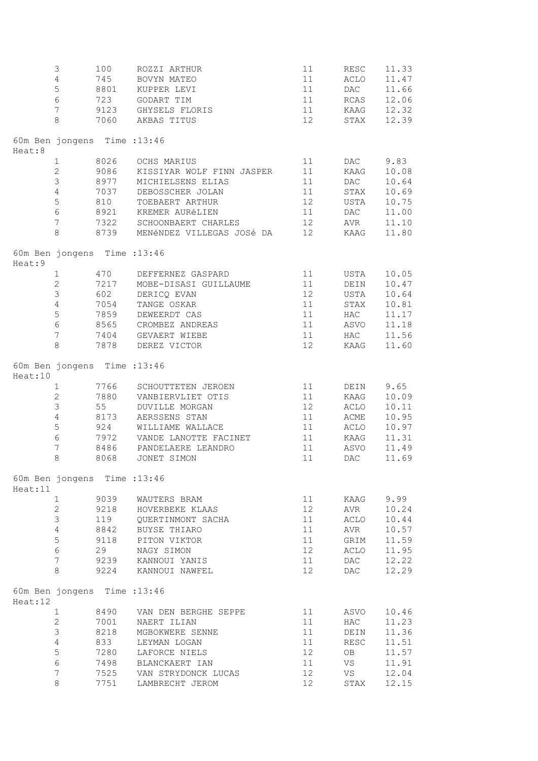|         | 3                            | 100  | ROZZI ARTHUR                   | 11              | RESC | 11.33 |
|---------|------------------------------|------|--------------------------------|-----------------|------|-------|
|         | $\sqrt{4}$                   | 745  | BOVYN MATEO                    | 11              | ACLO | 11.47 |
|         | 5                            | 8801 | KUPPER LEVI                    | 11              | DAC  | 11.66 |
|         | $\sqrt{6}$                   | 723  | GODART TIM                     | 11              | RCAS | 12.06 |
|         | $\overline{7}$               |      | 9123 GHYSELS FLORIS            | 11              | KAAG | 12.32 |
|         | 8                            | 7060 | AKBAS TITUS                    | 12              | STAX | 12.39 |
|         |                              |      |                                |                 |      |       |
| Heat:8  | 60m Ben jongens Time : 13:46 |      |                                |                 |      |       |
|         | $\mathbf{1}$                 | 8026 | OCHS MARIUS                    | 11              | DAC  | 9.83  |
|         | $\mathbf{2}$                 | 9086 | KISSIYAR WOLF FINN JASPER      | 11              | KAAG | 10.08 |
|         | $\mathsf 3$                  | 8977 | MICHIELSENS ELIAS              | 11              | DAC  | 10.64 |
|         | $\sqrt{4}$                   | 7037 | DEBOSSCHER JOLAN               | 11              | STAX | 10.69 |
|         | $\mathsf S$                  | 810  | TOEBAERT ARTHUR                | 12              | USTA | 10.75 |
|         | $\epsilon$                   |      | 8921 KREMER AURÉLIEN           | 11              | DAC  | 11.00 |
|         | $\overline{7}$               |      | 7322 SCHOONBAERT CHARLES       | 12              | AVR  | 11.10 |
|         | 8                            |      | 8739 MENÉNDEZ VILLEGAS JOSÉ DA | 12              | KAAG | 11.80 |
|         | 60m Ben jongens Time : 13:46 |      |                                |                 |      |       |
| Heat:9  |                              |      |                                |                 |      |       |
|         | $\mathbf{1}$                 | 470  | DEFFERNEZ GASPARD              | 11              | USTA | 10.05 |
|         | $\mathbf{2}$                 |      | 7217 MOBE-DISASI GUILLAUME     | 11              | DEIN | 10.47 |
|         | $\mathsf 3$                  | 602  | DERICQ EVAN                    | 12              | USTA | 10.64 |
|         | $\overline{4}$               | 7054 | TANGE OSKAR                    | 11              | STAX | 10.81 |
|         | 5                            | 7859 | DEWEERDT CAS                   | 11              | HAC  | 11.17 |
|         | $\sqrt{6}$                   | 8565 | CROMBEZ ANDREAS                | 11              | ASVO | 11.18 |
|         | $7\phantom{.}$               | 7404 | GEVAERT WIEBE                  | 11              | HAC  | 11.56 |
|         | 8                            | 7878 | DEREZ VICTOR                   | 12 <sup>°</sup> | KAAG | 11.60 |
| Heat:10 | 60m Ben jongens Time : 13:46 |      |                                |                 |      |       |
|         | 1                            |      | 7766 SCHOUTTETEN JEROEN        | 11              | DEIN | 9.65  |
|         | $\overline{2}$               | 7880 | VANBIERVLIET OTIS              | 11              | KAAG | 10.09 |
|         | $\mathfrak{Z}$               | 55   | <b>DUVILLE MORGAN</b>          | 12              | ACLO | 10.11 |
|         | $\overline{4}$               | 8173 | AERSSENS STAN                  | 11              | ACME | 10.95 |
|         | 5                            | 924  | WILLIAME WALLACE               | 11              | ACLO | 10.97 |
|         | $\epsilon$                   | 7972 | VANDE LANOTTE FACINET          | 11              | KAAG | 11.31 |
|         | $\boldsymbol{7}$             | 8486 | PANDELAERE LEANDRO             | 11              | ASVO | 11.49 |
|         | 8                            | 8068 | JONET SIMON                    | 11              | DAC  | 11.69 |
|         |                              |      |                                |                 |      |       |
| Heat:11 | 60m Ben jongens Time : 13:46 |      |                                |                 |      |       |
|         | $\mathbf{1}$                 | 9039 | WAUTERS BRAM                   | 11              | KAAG | 9.99  |
|         | $\overline{2}$               | 9218 | HOVERBEKE KLAAS                | 12              | AVR  | 10.24 |
|         | 3                            | 119  | QUERTINMONT SACHA              | 11              | ACLO | 10.44 |
|         | $\sqrt{4}$                   | 8842 | BUYSE THIARO                   | 11              | AVR  | 10.57 |
|         | $\mathsf S$                  | 9118 | PITON VIKTOR                   | 11              | GRIM | 11.59 |
|         | $\epsilon$                   | 29   | NAGY SIMON                     | 12              | ACLO | 11.95 |
|         | $7\phantom{.0}$              | 9239 | KANNOUI YANIS                  | 11              | DAC  | 12.22 |
|         | 8                            | 9224 | KANNOUI NAWFEL                 | 12              | DAC  | 12.29 |
| Heat:12 | 60m Ben jongens Time : 13:46 |      |                                |                 |      |       |
|         | $\mathbf{1}$                 | 8490 | VAN DEN BERGHE SEPPE           | 11              | ASVO | 10.46 |
|         | $\overline{2}$               | 7001 | NAERT ILIAN                    | 11              | HAC  | 11.23 |
|         | $\mathsf S$                  | 8218 | MGBOKWERE SENNE                | 11              | DEIN | 11.36 |
|         | $\sqrt{4}$                   | 833  | LEYMAN LOGAN                   | 11              | RESC | 11.51 |
|         | $\mathsf S$                  | 7280 | LAFORCE NIELS                  | 12              | ОB   | 11.57 |
|         | $\epsilon$                   | 7498 | BLANCKAERT IAN                 | 11              | VS   | 11.91 |
|         | $\overline{7}$               | 7525 | VAN STRYDONCK LUCAS            | 12              | VS   | 12.04 |
|         | 8                            | 7751 | LAMBRECHT JEROM                | 12              | STAX | 12.15 |
|         |                              |      |                                |                 |      |       |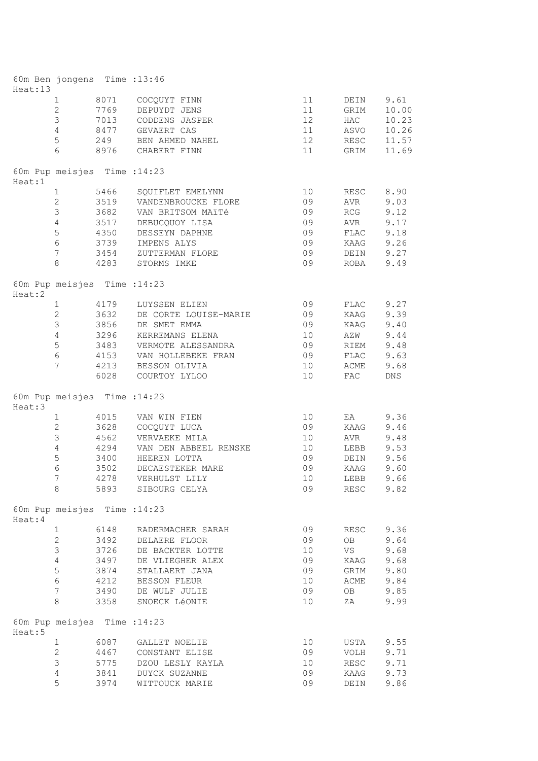| Heat:13 | 60m Ben jongens Time : 13:46 |      |                            |    |             |       |
|---------|------------------------------|------|----------------------------|----|-------------|-------|
|         | $\mathbf{1}$                 |      | 8071 COCQUYT FINN          | 11 | DEIN        | 9.61  |
|         | 2                            |      | 7769 DEPUYDT JENS          | 11 | GRIM        | 10.00 |
|         | $\mathfrak{Z}$               |      | 7013 CODDENS JASPER        | 12 | HAC         | 10.23 |
|         | $\overline{4}$               |      | 8477 GEVAERT CAS           | 11 | ASVO        | 10.26 |
|         | $\mathsf S$                  |      | 249 BEN AHMED NAHEL        | 12 | RESC        | 11.57 |
|         | $6\,$                        |      | 8976 CHABERT FINN          | 11 |             | 11.69 |
|         |                              |      |                            |    | GRIM        |       |
| Heat:1  | 60m Pup meisjes Time : 14:23 |      |                            |    |             |       |
|         | $\mathbf{1}$                 |      | 5466 SQUIFLET EMELYNN      | 10 | RESC 8.90   |       |
|         | 2                            |      | 3519 VANDENBROUCKE FLORE   | 09 | AVR         | 9.03  |
|         | $\mathfrak{Z}$               |      | 3682 VAN BRITSOM MAïTé     | 09 | RCG         | 9.12  |
|         | $\overline{4}$               | 3517 | DEBUCQUOY LISA             | 09 | AVR         | 9.17  |
|         | 5                            |      | 4350 DESSEYN DAPHNE        | 09 | FLAC        | 9.18  |
|         | $\sqrt{6}$                   | 3739 | IMPENS ALYS                | 09 | KAAG        | 9.26  |
|         | $7\phantom{.0}$              |      | 3454 ZUTTERMAN FLORE       | 09 | DEIN        | 9.27  |
|         | 8                            |      | 4283 STORMS IMKE           | 09 | ROBA        | 9.49  |
| Heat:2  | 60m Pup meisjes Time : 14:23 |      |                            |    |             |       |
|         | $\mathbf{1}$                 |      | 4179 LUYSSEN ELIEN         | 09 | FLAC        | 9.27  |
|         | $\overline{2}$               |      | 3632 DE CORTE LOUISE-MARIE | 09 | KAAG        | 9.39  |
|         | $\mathfrak{Z}$               |      |                            |    |             |       |
|         |                              | 3856 | DE SMET EMMA               | 09 | KAAG        | 9.40  |
|         | $\overline{4}$               | 3296 | KERREMANS ELENA            | 10 | AZW         | 9.44  |
|         | 5                            |      | 3483 VERMOTE ALESSANDRA    | 09 | RIEM        | 9.48  |
|         | $6\,$                        | 4153 | VAN HOLLEBEKE FRAN         | 09 | FLAC        | 9.63  |
|         | $7\overline{ }$              |      | 4213 BESSON OLIVIA         | 10 | <b>ACME</b> | 9.68  |
|         |                              | 6028 | COURTOY LYLOO              | 10 | ${\rm FAC}$ | DNS   |
| Heat:3  | 60m Pup meisjes Time : 14:23 |      |                            |    |             |       |
|         | $\mathbf{1}$                 |      | 4015 VAN WIN FIEN          | 10 | EA          | 9.36  |
|         | $\overline{2}$               | 3628 | COCQUYT LUCA               | 09 | KAAG        | 9.46  |
|         | $\mathfrak{Z}$               | 4562 | VERVAEKE MILA              | 10 | AVR         | 9.48  |
|         | $\overline{4}$               | 4294 | VAN DEN ABBEEL RENSKE      | 10 | LEBB        | 9.53  |
|         | $\mathsf S$                  | 3400 | HEEREN LOTTA               | 09 | DEIN        | 9.56  |
|         | $6\,$                        | 3502 | DECAESTEKER MARE           | 09 | KAAG        | 9.60  |
|         | 7                            |      |                            |    |             |       |
|         |                              |      | 4278 VERHULST LILY         | 10 | LEBB        | 9.66  |
|         | 8                            |      | 5893 SIBOURG CELYA         | 09 | RESC        | 9.82  |
| Heat:4  | 60m Pup meisjes Time : 14:23 |      |                            |    |             |       |
|         | $\mathbf{1}$                 |      | 6148 RADERMACHER SARAH     | 09 | RESC        | 9.36  |
|         | $\overline{2}$               | 3492 | DELAERE FLOOR              | 09 | OB          | 9.64  |
|         | $\mathsf 3$                  | 3726 | DE BACKTER LOTTE           | 10 | VS          | 9.68  |
|         | $\overline{4}$               | 3497 | DE VLIEGHER ALEX           | 09 | KAAG        | 9.68  |
|         | $\mathsf S$                  |      | 3874 STALLAERT JANA        | 09 | GRIM        | 9.80  |
|         | $\sqrt{6}$                   |      | 4212 BESSON FLEUR          | 10 | ACME        | 9.84  |
|         | 7                            |      | 3490 DE WULF JULIE         | 09 | OB          | 9.85  |
|         | 8                            | 3358 | SNOECK LéONIE              | 10 | ZA          | 9.99  |
| Heat:5  | 60m Pup meisjes Time : 14:23 |      |                            |    |             |       |
|         | $\mathbf{1}$                 | 6087 | GALLET NOELIE              | 10 | USTA        | 9.55  |
|         | $\mathbf{2}$                 |      | 4467 CONSTANT ELISE        | 09 | VOLH        | 9.71  |
|         | 3                            |      | 5775 DZOU LESLY KAYLA      | 10 | RESC        | 9.71  |
|         |                              |      |                            |    |             |       |
|         | 4                            |      | 3841 DUYCK SUZANNE         | 09 | KAAG        | 9.73  |
|         | 5                            | 3974 | WITTOUCK MARIE             | 09 | DEIN        | 9.86  |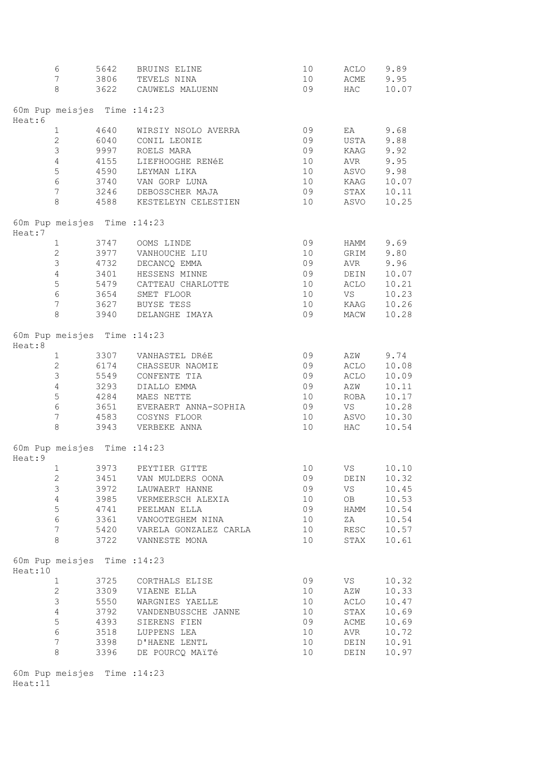|         | $\epsilon$                   |      | 5642 BRUINS ELINE          | 10              | ACLO                                                                                                           | 9.89  |
|---------|------------------------------|------|----------------------------|-----------------|----------------------------------------------------------------------------------------------------------------|-------|
|         | $\overline{7}$               | 3806 | TEVELS NINA                | 10 <sub>o</sub> | ACME                                                                                                           | 9.95  |
|         | 8                            |      | 3622 CAUWELS MALUENN       | 09              | HAC                                                                                                            | 10.07 |
|         | 60m Pup meisjes Time : 14:23 |      |                            |                 |                                                                                                                |       |
| Heat:6  |                              |      |                            |                 |                                                                                                                |       |
|         | $\mathbf{1}$                 |      | 4640 WIRSIY NSOLO AVERRA   | 09              | EA                                                                                                             | 9.68  |
|         | $\overline{2}$               |      | 6040 CONIL LEONIE          | 09              | USTA                                                                                                           | 9.88  |
|         | 3                            |      | 9997 ROELS MARA            | 09              | KAAG                                                                                                           | 9.92  |
|         | $\overline{4}$               | 4155 | LIEFHOOGHE RENÉE           | 10              | AVR                                                                                                            | 9.95  |
|         | $\mathsf S$                  | 4590 | LEYMAN LIKA                | 10              | ASVO                                                                                                           | 9.98  |
|         | $\sqrt{6}$                   | 3740 | VAN GORP LUNA              | 10              | KAAG                                                                                                           | 10.07 |
|         | 7                            |      | 3246 DEBOSSCHER MAJA       | 09              | STAX                                                                                                           | 10.11 |
|         | 8                            |      | 4588 KESTELEYN CELESTIEN   | 10              | ASVO                                                                                                           | 10.25 |
| Heat:7  | 60m Pup meisjes Time : 14:23 |      |                            |                 |                                                                                                                |       |
|         | $\mathbf{1}$                 |      | 3747 OOMS LINDE            | 09              | HAMM                                                                                                           | 9.69  |
|         | $\overline{2}$               |      | 3977 VANHOUCHE LIU         | 10              | GRIM                                                                                                           | 9.80  |
|         | 3                            | 4732 | DECANCQ EMMA               | 09              | AVR                                                                                                            | 9.96  |
|         | $\overline{4}$               |      | 3401 HESSENS MINNE         | 09              | DEIN                                                                                                           | 10.07 |
|         | $\mathsf S$                  |      | 5479 CATTEAU CHARLOTTE     | 10              | ACLO                                                                                                           | 10.21 |
|         | $\sqrt{6}$                   |      | 3654 SMET FLOOR            | 10              | VS                                                                                                             | 10.23 |
|         | $7\phantom{.}$               |      | 3627 BUYSE TESS            | 10 <sub>o</sub> | KAAG                                                                                                           | 10.26 |
|         | 8                            |      | 3940 DELANGHE IMAYA        | 09              | MACW                                                                                                           | 10.28 |
| Heat:8  | 60m Pup meisjes Time : 14:23 |      |                            |                 |                                                                                                                |       |
|         | $\mathbf{1}$                 |      | 3307 VANHASTEL DRÉE        | 09              | AZW                                                                                                            | 9.74  |
|         | $\mathbf{2}$                 |      | 6174 CHASSEUR NAOMIE       | 09              | ACLO                                                                                                           | 10.08 |
|         | $\mathfrak{Z}$               |      | 5549 CONFENTE TIA          | 09              | ACLO                                                                                                           | 10.09 |
|         | $\overline{4}$               | 3293 | DIALLO EMMA                | 09              | AZW                                                                                                            | 10.11 |
|         | $\mathsf S$                  |      | 4284 MAES NETTE            | 10              | ROBA                                                                                                           | 10.17 |
|         | $\sqrt{6}$                   |      | 3651 EVERAERT ANNA-SOPHIA  | 09              | VS FOR THE VIDEO OF THE VIDEO OF THE VIDEO OF THE VIDEO OF THE VIDEO OF THE VIDEO OF THE VIDEO OF THE VIDEO OF | 10.28 |
|         | $\overline{7}$               |      | 4583 COSYNS FLOOR          | 10              | ASVO                                                                                                           | 10.30 |
|         | 8                            |      | 3943 VERBEKE ANNA          | 10              | HAC                                                                                                            | 10.54 |
| Heat:9  | 60m Pup meisjes Time : 14:23 |      |                            |                 |                                                                                                                |       |
|         |                              |      | 1 3973 PEYTIER GITTE       |                 | 10 VS 10.10                                                                                                    |       |
|         | 2                            | 3451 | VAN MULDERS OONA           | 09              | DEIN                                                                                                           | 10.32 |
|         | 3                            |      | 3972 LAUWAERT HANNE        | 09              | VS <b>V</b>                                                                                                    | 10.45 |
|         | $\sqrt{4}$                   |      | 3985 VERMEERSCH ALEXIA     | 10              | OB                                                                                                             | 10.53 |
|         | 5                            | 4741 | PEELMAN ELLA               | 09              | HAMM                                                                                                           | 10.54 |
|         | $\epsilon$                   |      | 3361 VANOOTEGHEM NINA      | 10              | ZA                                                                                                             | 10.54 |
|         | $\overline{7}$               |      | 5420 VARELA GONZALEZ CARLA | 10              | RESC                                                                                                           | 10.57 |
|         | 8                            |      | 3722 VANNESTE MONA         | 10 <sup>°</sup> | STAX                                                                                                           | 10.61 |
| Heat:10 | 60m Pup meisjes Time : 14:23 |      |                            |                 |                                                                                                                |       |
|         | $\mathbf 1$                  |      | 3725 CORTHALS ELISE        | 09              | VS and the set of $\sim$                                                                                       | 10.32 |
|         | $\overline{2}$               |      | 3309 VIAENE ELLA           | 10              | AZW                                                                                                            | 10.33 |
|         | 3                            | 5550 | WARGNIES YAELLE            | 10              | ACLO                                                                                                           | 10.47 |
|         | $\sqrt{4}$                   | 3792 | VANDENBUSSCHE JANNE        | 10              | STAX                                                                                                           | 10.69 |
|         | 5                            | 4393 | SIERENS FIEN               | 09              | ACME                                                                                                           | 10.69 |
|         | $\epsilon$                   | 3518 | LUPPENS LEA                | 10              | AVR                                                                                                            | 10.72 |
|         | $\overline{7}$               | 3398 | D'HAENE LENTL              | 10              | DEIN                                                                                                           | 10.91 |
|         | $\,8\,$                      | 3396 | DE POURCQ MAïTé            | 10              | DEIN                                                                                                           | 10.97 |
|         |                              |      |                            |                 |                                                                                                                |       |

60m Pup meisjes Time :14:23 Heat:11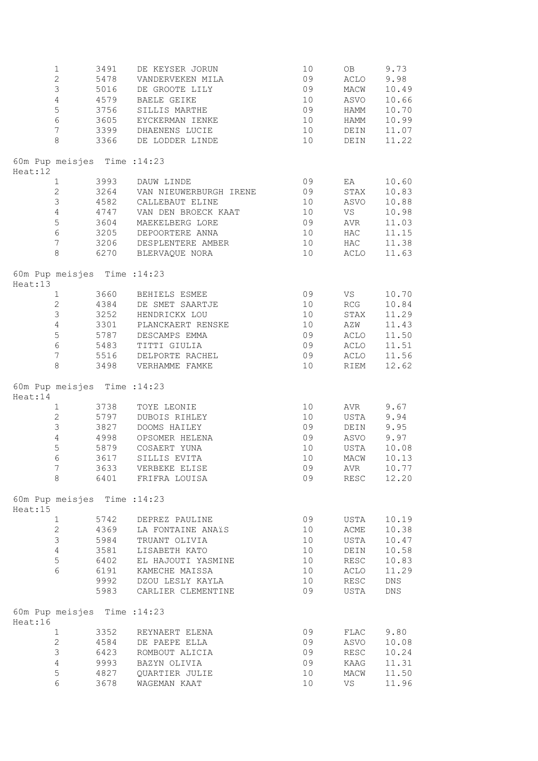|         | $\mathbf 1$                  | 3491 | DE KEYSER JORUN        | 10 | OB   | 9.73        |
|---------|------------------------------|------|------------------------|----|------|-------------|
|         | $\overline{c}$               | 5478 | VANDERVEKEN MILA       | 09 | ACLO | 9.98        |
|         | 3                            | 5016 | DE GROOTE LILY         | 09 | MACW | 10.49       |
|         | $\sqrt{4}$                   |      |                        |    |      |             |
|         |                              | 4579 | <b>BAELE GEIKE</b>     | 10 | ASVO | 10.66       |
|         | $\mathsf S$                  | 3756 | SILLIS MARTHE          | 09 | HAMM | 10.70       |
|         | $\epsilon$                   | 3605 | EYCKERMAN IENKE        | 10 | HAMM | 10.99       |
|         | $\boldsymbol{7}$             | 3399 | DHAENENS LUCIE         | 10 | DEIN | 11.07       |
|         | $\,8\,$                      | 3366 | DE LODDER LINDE        | 10 | DEIN | 11.22       |
| Heat:12 | 60m Pup meisjes Time : 14:23 |      |                        |    |      |             |
|         | $\mathbf{1}$                 | 3993 | DAUW LINDE             | 09 | EA   | 10.60       |
|         | $\overline{2}$               | 3264 | VAN NIEUWERBURGH IRENE | 09 | STAX | 10.83       |
|         | $\mathsf S$                  | 4582 | CALLEBAUT ELINE        | 10 | ASVO | 10.88       |
|         | 4                            | 4747 | VAN DEN BROECK KAAT    | 10 | VS   | 10.98       |
|         | $\mathsf S$                  | 3604 | MAEKELBERG LORE        | 09 | AVR  | 11.03       |
|         | 6                            | 3205 | DEPOORTERE ANNA        | 10 | HAC  | 11.15       |
|         | $\overline{7}$               |      | 3206 DESPLENTERE AMBER | 10 | HAC  | 11.38       |
|         | 8                            | 6270 | BLERVAQUE NORA         | 10 | ACLO | 11.63       |
|         |                              |      |                        |    |      |             |
| Heat:13 | 60m Pup meisjes Time : 14:23 |      |                        |    |      |             |
|         | $\mathbf{1}$                 | 3660 | BEHIELS ESMEE          | 09 | VS   | 10.70       |
|         | $\mathbf{2}$                 | 4384 | DE SMET SAARTJE        | 10 | RCG  | 10.84       |
|         | 3                            | 3252 | HENDRICKX LOU          | 10 | STAX | 11.29       |
|         | $\overline{4}$               | 3301 | PLANCKAERT RENSKE      | 10 | AZW  | 11.43       |
|         | 5                            | 5787 | DESCAMPS EMMA          | 09 | ACLO | 11.50       |
|         | $\sqrt{6}$                   | 5483 | TITTI GIULIA           | 09 | ACLO | 11.51       |
|         | $\overline{7}$               |      | 5516 DELPORTE RACHEL   | 09 | ACLO | 11.56       |
|         | 8                            | 3498 | VERHAMME FAMKE         | 10 | RIEM | 12.62       |
| Heat:14 | 60m Pup meisjes Time : 14:23 |      |                        |    |      |             |
|         | $\mathbf{1}$                 | 3738 | TOYE LEONIE            | 10 | AVR  | 9.67        |
|         | $\overline{2}$               | 5797 | DUBOIS RIHLEY          | 10 | USTA | 9.94        |
|         | 3                            | 3827 |                        |    |      |             |
|         |                              |      | DOOMS HAILEY           | 09 | DEIN | 9.95        |
|         | $\overline{4}$               | 4998 | OPSOMER HELENA         | 09 | ASVO | 9.97        |
|         | 5                            | 5879 | COSAERT YUNA           | 10 | USTA | 10.08       |
|         | $\sqrt{6}$                   | 3617 | SILLIS EVITA           | 10 | MACW | 10.13       |
|         | 7 <sup>7</sup>               |      | 3633 VERBEKE ELISE     | 09 | AVR  | 10.77       |
|         | 8                            | 6401 | FRIFRA LOUISA          | 09 | RESC | 12.20       |
| Heat:15 | 60m Pup meisjes Time : 14:23 |      |                        |    |      |             |
|         | 1                            | 5742 | DEPREZ PAULINE         | 09 | USTA | 10.19       |
|         | $\overline{c}$               | 4369 | LA FONTAINE ANAIS      | 10 | ACME | 10.38       |
|         | 3                            | 5984 | TRUANT OLIVIA          | 10 | USTA | 10.47       |
|         | $\sqrt{4}$                   | 3581 | LISABETH KATO          | 10 | DEIN | 10.58       |
|         | $\mathsf S$                  | 6402 | EL HAJOUTI YASMINE     | 10 | RESC | 10.83       |
|         |                              | 6191 |                        |    |      | 11.29       |
|         | 6                            |      | KAMECHE MAISSA         | 10 | ACLO |             |
|         |                              | 9992 | DZOU LESLY KAYLA       | 10 | RESC | ${\rm DNS}$ |
|         |                              | 5983 | CARLIER CLEMENTINE     | 09 | USTA | DNS         |
| Heat:16 | 60m Pup meisjes Time : 14:23 |      |                        |    |      |             |
|         | 1                            | 3352 | REYNAERT ELENA         | 09 | FLAC | 9.80        |
|         | $\overline{c}$               | 4584 | DE PAEPE ELLA          | 09 | ASVO | 10.08       |
|         | 3                            | 6423 | ROMBOUT ALICIA         | 09 | RESC | 10.24       |
|         | $\sqrt{4}$                   | 9993 | BAZYN OLIVIA           | 09 | KAAG | 11.31       |
|         | $\mathsf S$                  | 4827 | QUARTIER JULIE         | 10 | MACW | 11.50       |
|         | 6                            | 3678 | WAGEMAN KAAT           | 10 | VS   | 11.96       |
|         |                              |      |                        |    |      |             |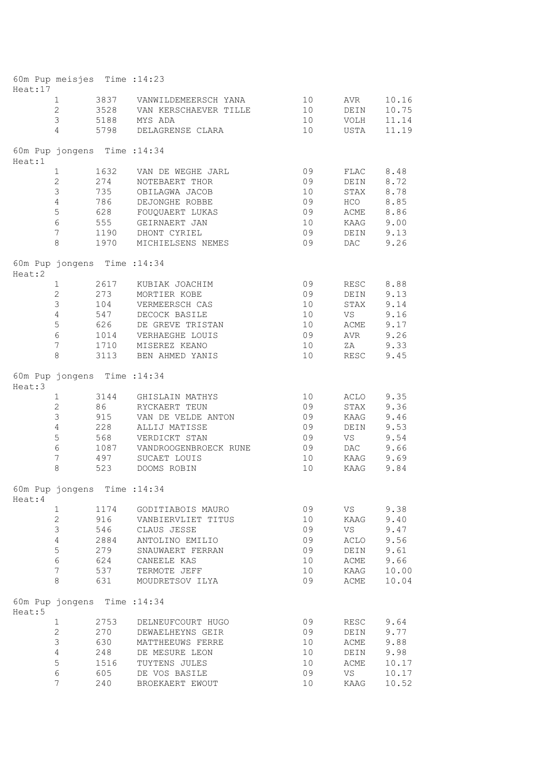| Heat:17 | 60m Pup meisjes Time : 14:23 |      |                            |    |      |       |
|---------|------------------------------|------|----------------------------|----|------|-------|
|         | $\mathbf{1}$                 |      | 3837 VANWILDEMEERSCH YANA  | 10 | AVR  | 10.16 |
|         | $\overline{2}$               |      | 3528 VAN KERSCHAEVER TILLE | 10 | DEIN | 10.75 |
|         | 3                            |      | 5188 MYS ADA               | 10 | VOLH | 11.14 |
|         | $\overline{4}$               | 5798 | DELAGRENSE CLARA           | 10 | USTA | 11.19 |
| Heat:1  | 60m Pup jongens Time : 14:34 |      |                            |    |      |       |
|         | 1                            | 1632 | VAN DE WEGHE JARL          | 09 | FLAC | 8.48  |
|         | $\overline{2}$               | 274  | NOTEBAERT THOR             | 09 | DEIN | 8.72  |
|         | $\mathfrak{Z}$               | 735  | OBILAGWA JACOB             | 10 | STAX | 8.78  |
|         | $\overline{4}$               | 786  | DEJONGHE ROBBE             | 09 | HCO  | 8.85  |
|         | 5                            | 628  | FOUQUAERT LUKAS            | 09 | ACME | 8.86  |
|         | $6\,$                        | 555  | GEIRNAERT JAN              | 10 | KAAG | 9.00  |
|         | $7\overline{ }$              | 1190 | DHONT CYRIEL               | 09 | DEIN | 9.13  |
|         | 8                            | 1970 | MICHIELSENS NEMES          | 09 | DAC  | 9.26  |
| Heat:2  | 60m Pup jongens Time : 14:34 |      |                            |    |      |       |
|         | $\mathbf{1}$                 | 2617 | KUBIAK JOACHIM             | 09 | RESC | 8.88  |
|         | $\overline{2}$               | 273  | MORTIER KOBE               | 09 | DEIN | 9.13  |
|         | 3                            | 104  | VERMEERSCH CAS             | 10 | STAX | 9.14  |
|         | $\overline{4}$               | 547  | DECOCK BASILE              | 10 | VS   | 9.16  |
|         | 5                            | 626  | DE GREVE TRISTAN           | 10 | ACME | 9.17  |
|         | $\epsilon$                   | 1014 | VERHAEGHE LOUIS            | 09 | AVR  | 9.26  |
|         | $\boldsymbol{7}$             | 1710 | MISEREZ KEANO              | 10 | ΖA   | 9.33  |
|         | 8                            | 3113 | BEN AHMED YANIS            | 10 | RESC | 9.45  |
| Heat:3  | 60m Pup jongens Time : 14:34 |      |                            |    |      |       |
|         | $\mathbf{1}$                 | 3144 | GHISLAIN MATHYS            | 10 | ACLO | 9.35  |
|         | $\overline{2}$               | 86   | RYCKAERT TEUN              | 09 | STAX | 9.36  |
|         | 3                            | 915  | VAN DE VELDE ANTON         | 09 | KAAG | 9.46  |
|         | $\overline{4}$               | 228  | ALLIJ MATISSE              | 09 | DEIN | 9.53  |
|         | $\mathsf S$                  | 568  | VERDICKT STAN              | 09 | VS   | 9.54  |
|         | $\epsilon$                   | 1087 | VANDROOGENBROECK RUNE      | 09 | DAC  | 9.66  |
|         | $\overline{7}$               | 497  | SUCAET LOUIS               | 10 | KAAG | 9.69  |
|         | 8                            | 523  | DOOMS ROBIN                | 10 | KAAG | 9.84  |
| Heat: 4 | 60m Pup jongens Time : 14:34 |      |                            |    |      |       |
|         | $\mathbf{1}$                 | 1174 | GODITIABOIS MAURO          | 09 | VS   | 9.38  |
|         | $\overline{2}$               | 916  | VANBIERVLIET TITUS         | 10 | KAAG | 9.40  |
|         | $\mathfrak{S}$               | 546  | CLAUS JESSE                | 09 | VS   | 9.47  |
|         | $\overline{4}$               | 2884 | ANTOLINO EMILIO            | 09 | ACLO | 9.56  |
|         | 5                            | 279  | SNAUWAERT FERRAN           | 09 | DEIN | 9.61  |
|         | $\epsilon$                   | 624  | CANEELE KAS                | 10 | ACME | 9.66  |
|         | 7                            | 537  | TERMOTE JEFF               | 10 | KAAG | 10.00 |
|         | 8                            | 631  | MOUDRETSOV ILYA            | 09 | ACME | 10.04 |
| Heat:5  | 60m Pup jongens Time : 14:34 |      |                            |    |      |       |
|         | $\mathbf{1}$                 | 2753 | DELNEUFCOURT HUGO          | 09 | RESC | 9.64  |
|         | $\overline{2}$               | 270  | DEWAELHEYNS GEIR           | 09 | DEIN | 9.77  |
|         | 3                            | 630  | MATTHEEUWS FERRE           | 10 | ACME | 9.88  |
|         | 4                            | 248  | DE MESURE LEON             | 10 | DEIN | 9.98  |
|         | 5                            | 1516 | TUYTENS JULES              | 10 | ACME | 10.17 |
|         | $\epsilon$                   | 605  | DE VOS BASILE              | 09 | VS   | 10.17 |
|         | 7                            | 240  | BROEKAERT EWOUT            | 10 | KAAG | 10.52 |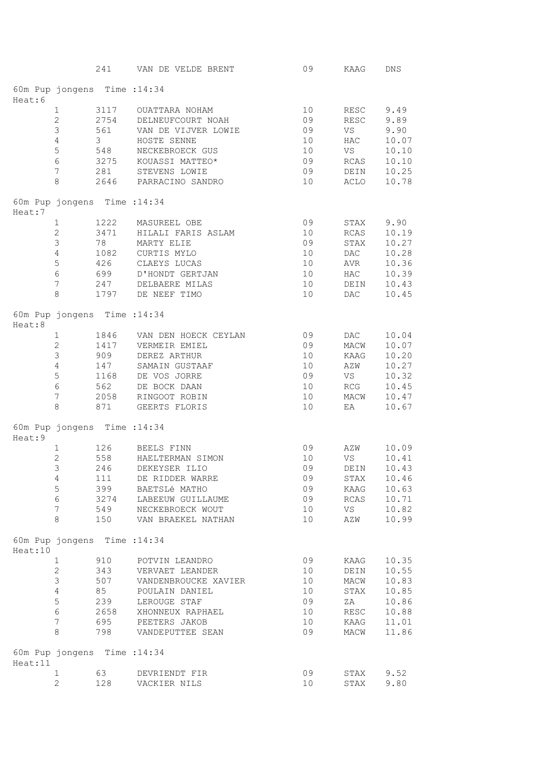|         |                              | 241  | VAN DE VELDE BRENT                | 09 | KAAG         | DNS            |
|---------|------------------------------|------|-----------------------------------|----|--------------|----------------|
| Heat:6  | 60m Pup jongens Time : 14:34 |      |                                   |    |              |                |
|         | $\mathbf{1}$                 | 3117 | OUATTARA NOHAM                    | 10 | RESC         | 9.49           |
|         | $\overline{2}$               | 2754 | DELNEUFCOURT NOAH                 | 09 | RESC         | 9.89           |
|         | 3                            | 561  | VAN DE VIJVER LOWIE               | 09 | VS           | 9.90           |
|         | $\overline{4}$               | 3    | HOSTE SENNE                       | 10 | HAC          | 10.07          |
|         |                              |      |                                   | 10 |              |                |
|         | $\mathsf S$                  | 548  | NECKEBROECK GUS                   |    | VS <b>V</b>  | 10.10          |
|         | $\epsilon$                   |      | 3275 KOUASSI MATTEO*              | 09 | RCAS         | 10.10          |
|         | $\boldsymbol{7}$             |      | 281 STEVENS LOWIE                 | 09 | DEIN         | 10.25          |
|         | 8                            |      | 2646 PARRACINO SANDRO             | 10 | ACLO         | 10.78          |
| Heat:7  | 60m Pup jongens Time : 14:34 |      |                                   |    |              |                |
|         | $\mathbf{1}$                 | 1222 | MASUREEL OBE                      | 09 | STAX         | 9.90           |
|         | $\overline{2}$               | 3471 | HILALI FARIS ASLAM                | 10 | RCAS         | 10.19          |
|         | 3                            | 78   | MARTY ELIE                        | 09 | STAX         | 10.27          |
|         | $\overline{4}$               | 1082 | CURTIS MYLO                       | 10 | DAC          | 10.28          |
|         | 5                            | 426  | CLAEYS LUCAS                      | 10 | AVR          | 10.36          |
|         | $\epsilon$                   | 699  | D'HONDT GERTJAN                   | 10 | <b>HAC</b>   | 10.39          |
|         | $\overline{7}$               | 247  | DELBAERE MILAS                    | 10 | DEIN         | 10.43          |
|         |                              |      |                                   | 10 |              |                |
|         | 8                            | 1797 | DE NEEF TIMO                      |    | DAC          | 10.45          |
| Heat:8  | 60m Pup jongens Time : 14:34 |      |                                   |    |              |                |
|         | $\mathbf{1}$                 |      | 1846 VAN DEN HOECK CEYLAN         | 09 | DAC          | 10.04          |
|         | $\overline{2}$               |      | 1417 VERMEIR EMIEL                | 09 | MACW         | 10.07          |
|         | 3                            | 909  | DEREZ ARTHUR                      | 10 | KAAG         | 10.20          |
|         | $\overline{4}$               | 147  | SAMAIN GUSTAAF                    | 10 | AZW          | 10.27          |
|         | $\mathsf S$                  | 1168 | DE VOS JORRE                      | 09 | VS           | 10.32          |
|         | $\epsilon$                   | 562  | DE BOCK DAAN                      | 10 | RCG          | 10.45          |
|         | $\boldsymbol{7}$             | 2058 | RINGOOT ROBIN                     | 10 | MACW         | 10.47          |
|         | 8                            |      | 871 GEERTS FLORIS                 | 10 | EA           | 10.67          |
| Heat: 9 | 60m Pup jongens Time : 14:34 |      |                                   |    |              |                |
|         |                              |      |                                   |    |              |                |
|         | 1                            | 126  | BEELS FINN                        | 09 | AZW          | 10.09          |
|         | $\overline{c}$               | 558  | HAELTERMAN SIMON                  | 10 | VS           | 10.41          |
|         | 3 <sup>7</sup>               | 246  | DEKEYSER ILIO                     | 09 | DEIN         | 10.43          |
|         | 4                            | 111  | DE RIDDER WARRE                   | 09 | STAX         | 10.46          |
|         | 5                            | 399  | BAETSLé MATHO                     | 09 | KAAG         | 10.63          |
|         | 6                            | 3274 | LABEEUW GUILLAUME                 | 09 | RCAS         | 10.71          |
|         | 7                            | 549  | NECKEBROECK WOUT                  | 10 | VS           | 10.82          |
|         | 8                            | 150  | VAN BRAEKEL NATHAN                | 10 | AZW          | 10.99          |
| Heat:10 | 60m Pup jongens Time : 14:34 |      |                                   |    |              |                |
|         | $\mathbf{1}$                 | 910  | POTVIN LEANDRO                    | 09 | KAAG         | 10.35          |
|         | $\overline{2}$               | 343  | VERVAET LEANDER                   | 10 | DEIN         | 10.55          |
|         | 3                            | 507  | VANDENBROUCKE XAVIER              | 10 | MACW         | 10.83          |
|         | 4                            | 85   | POULAIN DANIEL                    | 10 | STAX         | 10.85          |
|         | 5                            | 239  | LEROUGE STAF                      | 09 | ΖA           | 10.86          |
|         | 6                            | 2658 | XHONNEUX RAPHAEL                  | 10 | RESC         | 10.88          |
|         | 7                            | 695  |                                   | 10 |              |                |
|         | 8                            | 798  | PEETERS JAKOB<br>VANDEPUTTEE SEAN | 09 | KAAG<br>MACW | 11.01<br>11.86 |
|         | 60m Pup jongens Time : 14:34 |      |                                   |    |              |                |
| Heat:11 |                              |      |                                   |    |              |                |
|         | 1                            | 63   | DEVRIENDT FIR                     | 09 | STAX         | 9.52           |
|         | $\overline{c}$               | 128  | VACKIER NILS                      | 10 | STAX         | 9.80           |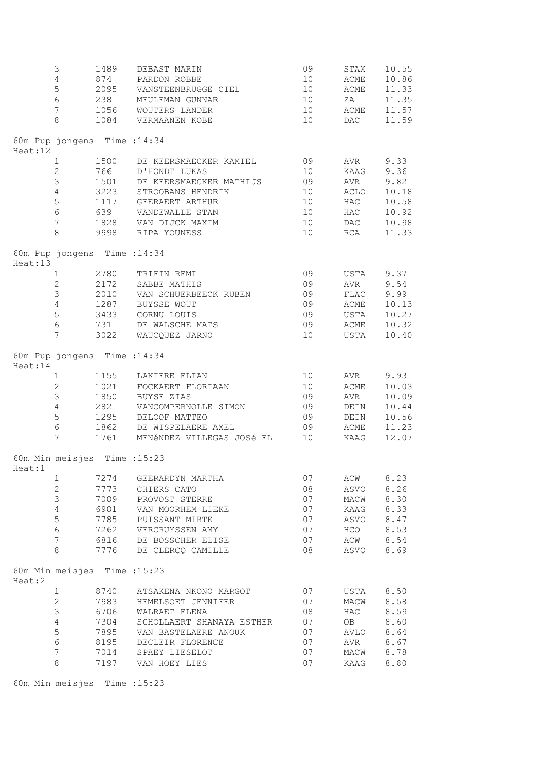|         | $\mathfrak{Z}$      | 1489                         | DEBAST MARIN                                              | 09       | STAX                | 10.55          |
|---------|---------------------|------------------------------|-----------------------------------------------------------|----------|---------------------|----------------|
|         | $\overline{4}$      | 874                          | PARDON ROBBE                                              | 10       | ACME                | 10.86          |
|         | 5                   | 2095                         | VANSTEENBRUGGE CIEL                                       | 10       | ACME                | 11.33          |
|         | $6\,$               | 238                          | MEULEMAN GUNNAR                                           | 10       | ZA                  | 11.35          |
|         | $7\phantom{.0}$     |                              | 1056 WOUTERS LANDER                                       | 10       | ACME                | 11.57          |
|         | 8                   |                              | 1084 VERMAANEN KOBE                                       | 10       | DAC                 | 11.59          |
| Heat:12 |                     | 60m Pup jongens Time : 14:34 |                                                           |          |                     |                |
|         | $\mathbf{1}$        | 1500                         | DE KEERSMAECKER KAMIEL                                    | 09       | AVR                 | 9.33           |
|         | $\mathbf{2}$        | 766                          | D'HONDT LUKAS                                             | 10       | KAAG                | 9.36           |
|         | $\mathfrak{Z}$      | 1501                         | DE KEERSMAECKER MATHIJS                                   | 09       | AVR                 | 9.82           |
|         | $\overline{4}$      | 3223                         | STROOBANS HENDRIK                                         | 10       | ACLO                | 10.18          |
|         | $\overline{5}$      |                              | 1117 GEERAERT ARTHUR                                      | 10       | HAC                 | 10.58          |
|         | $6\,$               | 639                          | VANDEWALLE STAN                                           | 10       | HAC                 | 10.92          |
|         | $7\overline{ }$     |                              | 1828 VAN DIJCK MAXIM                                      | 10       | DAC                 | 10.98          |
|         | 8                   |                              | 9998 RIPA YOUNESS                                         | 10       | RCA                 | 11.33          |
|         |                     | 60m Pup jongens Time : 14:34 |                                                           |          |                     |                |
| Heat:13 | $\mathbf{1}$        | 2780                         | TRIFIN REMI                                               | 09       | USTA                | 9.37           |
|         | $\overline{2}$      | 2172                         | SABBE MATHIS                                              | 09       | AVR                 | 9.54           |
|         | $\mathfrak{Z}$      | 2010                         | VAN SCHUERBEECK RUBEN                                     | 09       | ${\tt FLAC}$        | 9.99           |
|         | $\overline{4}$      | 1287                         | BUYSSE WOUT                                               | 09       | ACME                | 10.13          |
|         | 5                   | 3433                         | CORNU LOUIS                                               | 09       | USTA                | 10.27          |
|         | 6                   | 731                          | DE WALSCHE MATS                                           | 09       | ACME                | 10.32          |
|         | 7                   | 3022                         | WAUCQUEZ JARNO                                            | 10       | USTA                | 10.40          |
|         |                     | 60m Pup jongens Time : 14:34 |                                                           |          |                     |                |
| Heat:14 |                     |                              |                                                           |          |                     |                |
|         | $\mathbf{1}$        | 1155                         | LAKIERE ELIAN                                             | 10       | AVR                 | 9.93           |
|         | 2                   | 1021                         | FOCKAERT FLORIAAN                                         | 10       | ACME                | 10.03          |
|         | 3                   | 1850                         | BUYSE ZIAS                                                | 09       | AVR                 | 10.09          |
|         | $\overline{4}$<br>5 | 282                          | VANCOMPERNOLLE SIMON                                      | 09       | DEIN                | 10.44          |
|         | $6\overline{6}$     | 1295                         | DELOOF MATTEO                                             | 09<br>09 | DEIN                | 10.56<br>11.23 |
|         | $7\overline{ }$     |                              | 1862 DE WISPELAERE AXEL<br>1761 MENÉNDEZ VILLEGAS JOSÉ EL | 10       | <b>ACME</b><br>KAAG | 12.07          |
|         |                     | 60m Min meisjes Time : 15:23 |                                                           |          |                     |                |
| Heat:1  |                     |                              |                                                           |          |                     |                |
|         | 1<br>$\mathbf{2}$   | 7274                         | GEERARDYN MARTHA                                          | 07       | ACW                 | 8.23<br>8.26   |
|         | 3                   | 7773                         | CHIERS CATO                                               | 08       | ASVO                | 8.30           |
|         | 4                   | 7009                         | PROVOST STERRE                                            | 07       | MACW                |                |
|         | 5                   | 6901                         | VAN MOORHEM LIEKE                                         | 07       | KAAG                | 8.33           |
|         |                     | 7785                         | PUISSANT MIRTE                                            | 07       | ASVO                | 8.47           |
|         | $\epsilon$          | 7262                         | VERCRUYSSEN AMY                                           | 07       | HCO                 | 8.53           |
|         | $\overline{7}$      | 6816                         | DE BOSSCHER ELISE                                         | 07       | ACW                 | 8.54           |
|         | 8                   | 7776                         | DE CLERCQ CAMILLE                                         | 08       | ASVO                | 8.69           |
| Heat:2  |                     | 60m Min meisjes Time : 15:23 |                                                           |          |                     |                |
|         | $\mathbf{1}$        | 8740                         | ATSAKENA NKONO MARGOT                                     | 07       | USTA                | 8.50           |
|         | $\overline{c}$      | 7983                         | HEMELSOET JENNIFER                                        | 07       | MACW                | 8.58           |
|         | 3                   | 6706                         | WALRAET ELENA                                             | 08       | HAC                 | 8.59           |
|         | $\overline{4}$      | 7304                         | SCHOLLAERT SHANAYA ESTHER                                 | 07       | OB                  | 8.60           |
|         | 5                   | 7895                         | VAN BASTELAERE ANOUK                                      | 07       | AVLO                | 8.64           |
|         | $\epsilon$          | 8195                         | DECLEIR FLORENCE                                          | 07       | AVR                 | 8.67           |
|         | 7                   | 7014                         | SPAEY LIESELOT                                            | 07       | MACW                | 8.78           |
|         | 8                   | 7197                         | VAN HOEY LIES                                             | 07       | KAAG                | 8.80           |

60m Min meisjes Time :15:23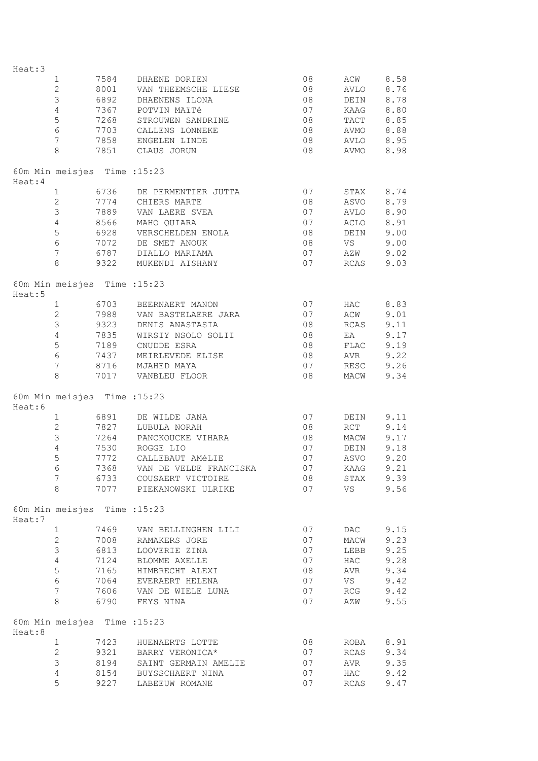| Heat:3 |                              |      |                                              |    |            |      |
|--------|------------------------------|------|----------------------------------------------|----|------------|------|
|        | $\mathbf{1}$                 | 7584 | DHAENE DORIEN                                | 08 | ACW        | 8.58 |
|        | $\overline{2}$               | 8001 | VAN THEEMSCHE LIESE                          | 08 | AVLO       | 8.76 |
|        | 3                            | 6892 | DHAENENS ILONA                               | 08 | DEIN       | 8.78 |
|        | $\overline{4}$               |      | 7367 POTVIN MAITé                            | 07 | KAAG       | 8.80 |
|        | 5                            | 7268 | STROUWEN SANDRINE                            | 08 | TACT       | 8.85 |
|        | $6\,$                        |      | 7703 CALLENS LONNEKE                         | 08 | AVMO       | 8.88 |
|        | $7\phantom{.}$               |      | 7858 ENGELEN LINDE                           | 08 | AVLO       | 8.95 |
|        |                              |      |                                              |    |            |      |
|        | 8                            |      | 7851 CLAUS JORUN                             | 08 | AVMO       | 8.98 |
| Heat:4 | 60m Min meisjes Time : 15:23 |      |                                              |    |            |      |
|        | $\mathbf{1}$                 | 6736 | DE PERMENTIER JUTTA                          | 07 | STAX       | 8.74 |
|        | $\overline{2}$               |      | 7774 CHIERS MARTE                            | 08 | ASVO       | 8.79 |
|        | $\mathfrak{Z}$               |      | 7889 VAN LAERE SVEA                          | 07 | AVLO       | 8.90 |
|        | 4                            | 8566 | MAHO QUIARA                                  | 07 | ACLO       | 8.91 |
|        | 5                            | 6928 | VERSCHELDEN ENOLA                            | 08 | DEIN       | 9.00 |
|        | $6\,$                        |      | 7072 DE SMET ANOUK                           | 08 | VS         | 9.00 |
|        | $\overline{7}$               |      |                                              | 07 | AZW        | 9.02 |
|        | 8                            |      | 6787 DIALLO MARIAMA<br>9322 MUKENDI AISHANY  | 07 | RCAS       | 9.03 |
|        |                              |      |                                              |    |            |      |
| Heat:5 | 60m Min meisjes Time : 15:23 |      |                                              |    |            |      |
|        | $\mathbf{1}$                 |      | 6703 BEERNAERT MANON                         | 07 | HAC        | 8.83 |
|        | $\overline{2}$               |      | 7988 VAN BASTELAERE JARA                     | 07 | ACW        | 9.01 |
|        | $\mathfrak{Z}$               |      | 9323 DENIS ANASTASIA                         | 08 | RCAS       | 9.11 |
|        | $\overline{4}$               | 7835 | WIRSIY NSOLO SOLII                           | 08 | EA         | 9.17 |
|        | 5                            |      | 7189 CNUDDE ESRA                             | 08 | FLAC       | 9.19 |
|        | $6\,$                        |      |                                              | 08 | AVR        | 9.22 |
|        | $7\phantom{.}$               |      | 7437 MEIRLEVEDE ELISE                        | 07 |            | 9.26 |
|        | 8                            | 8716 | MJAHED MAYA                                  | 08 | RESC       |      |
|        |                              |      | 7017 VANBLEU FLOOR                           |    | MACW       | 9.34 |
| Heat:6 | 60m Min meisjes Time : 15:23 |      |                                              |    |            |      |
|        | $\mathbf{1}$                 |      | 6891 DE WILDE JANA                           | 07 | DEIN       | 9.11 |
|        | $\mathbf{2}$                 | 7827 | LUBULA NORAH                                 | 08 | RCT        | 9.14 |
|        | $\mathfrak{Z}$               | 7264 | PANCKOUCKE VIHARA                            | 08 | MACW       | 9.17 |
|        | $\overline{4}$               | 7530 | ROGGE LIO                                    | 07 | DEIN       | 9.18 |
|        | 5                            | 7772 | CALLEBAUT AMéLIE                             | 07 | ASVO       | 9.20 |
|        | 6                            | 7368 | VAN DE VELDE FRANCISKA                       | 07 | KAAG 9.21  |      |
|        | 7                            |      | 6733 COUSAERT VICTOIRE                       | 08 | STAX       | 9.39 |
|        | 8                            |      | 7077 PIEKANOWSKI ULRIKE                      | 07 | VS         | 9.56 |
|        |                              |      |                                              |    |            |      |
| Heat:7 | 60m Min meisjes Time : 15:23 |      |                                              |    |            |      |
|        | $\mathbf{1}$                 |      | 7469 VAN BELLINGHEN LILI                     | 07 | DAC        | 9.15 |
|        | $2^{\circ}$                  |      | 7008 RAMAKERS JORE                           | 07 | MACW       | 9.23 |
|        | $\mathfrak{Z}$               | 6813 | LOOVERIE ZINA                                | 07 | LEBB       | 9.25 |
|        | $\overline{4}$               | 7124 | BLOMME AXELLE                                | 07 | HAC        | 9.28 |
|        | 5                            |      | 7165 HIMBRECHT ALEXI                         | 08 | AVR        | 9.34 |
|        | 6                            |      | 7064 EVERAERT HELENA                         | 07 | VS         | 9.42 |
|        | $7\overline{ }$              |      | 7606 VAN DE WIELE LUNA                       | 07 | RCG        | 9.42 |
|        | 8                            |      | 6790 FEYS NINA                               | 07 | AZW        | 9.55 |
|        |                              |      |                                              |    |            |      |
| Heat:8 | 60m Min meisjes Time : 15:23 |      |                                              |    |            |      |
|        | 1                            |      | 7423 HUENAERTS LOTTE<br>9321 BARRY VERONICA* | 08 | ROBA       | 8.91 |
|        | $2^{\circ}$                  |      |                                              | 07 | RCAS       | 9.34 |
|        | 3                            |      | 8194 SAINT GERMAIN AMELIE                    | 07 | AVR        | 9.35 |
|        | 4                            |      | 8154 BUYSSCHAERT NINA                        | 07 | <b>HAC</b> | 9.42 |
|        | 5                            |      | 9227 LABEEUW ROMANE                          | 07 | RCAS       | 9.47 |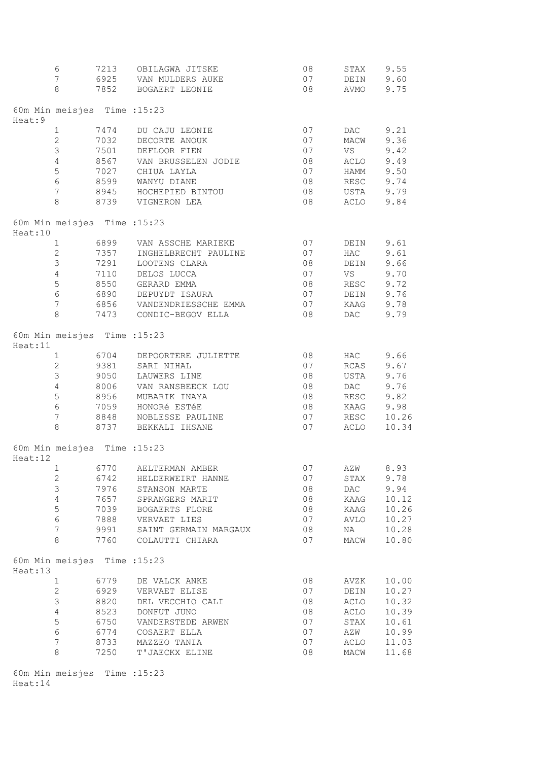|         | 6                            |              | 7213 OBILAGWA JITSKE                     | 08       | STAX         | 9.55           |
|---------|------------------------------|--------------|------------------------------------------|----------|--------------|----------------|
|         | $7\phantom{.0}$              | 6925         | VAN MULDERS AUKE                         | 07       | DEIN         | 9.60           |
|         | $\,8\,$                      |              | 7852 BOGAERT LEONIE                      | 08       | AVMO         | 9.75           |
|         | 60m Min meisjes Time : 15:23 |              |                                          |          |              |                |
| Heat:9  |                              |              |                                          |          |              |                |
|         | 1                            | 7474         | DU CAJU LEONIE                           | 07       | DAC          | 9.21           |
|         | $\mathbf{2}$                 | 7032         | DECORTE ANOUK                            | 07       | MACW         | 9.36           |
|         | $\mathfrak{Z}$               | 7501         | DEFLOOR FIEN                             | 07       | VS           | 9.42           |
|         | $\sqrt{4}$                   | 8567         | VAN BRUSSELEN JODIE                      | 08       | ACLO         | 9.49           |
|         | $\mathsf S$                  | 7027         | CHIUA LAYLA                              | 07       | HAMM         | 9.50           |
|         | $\sqrt{6}$                   | 8599         | WANYU DIANE                              | 08       | RESC         | 9.74           |
|         | 7                            |              | 8945 HOCHEPIED BINTOU                    | 08       | USTA         | 9.79           |
|         | 8                            |              | 8739 VIGNERON LEA                        | 08       | ACLO         | 9.84           |
| Heat:10 | 60m Min meisjes Time : 15:23 |              |                                          |          |              |                |
|         | $\mathbf{1}$                 |              | 6899 VAN ASSCHE MARIEKE                  | 07       | DEIN         | 9.61           |
|         | $\overline{2}$               | 7357         | INGHELBRECHT PAULINE                     | 07       | HAC          | 9.61           |
|         | $\mathsf 3$                  | 7291         | LOOTENS CLARA                            | 08       | DEIN         | 9.66           |
|         | $\overline{4}$               | 7110         | DELOS LUCCA                              | 07       | VS           | 9.70           |
|         | $\mathsf S$                  | 8550         | GERARD EMMA                              | 08       | RESC         | 9.72           |
|         | $\sqrt{6}$                   | 6890         | DEPUYDT ISAURA                           | 07       | DEIN         | 9.76           |
|         | $7\phantom{.}$               |              | 6856 VANDENDRIESSCHE EMMA                | 07       | KAAG         | 9.78           |
|         | 8                            | 7473         | CONDIC-BEGOV ELLA                        | 08       | DAC          | 9.79           |
| Heat:11 | 60m Min meisjes Time : 15:23 |              |                                          |          |              |                |
|         | $\mathbf{1}$                 | 6704         | DEPOORTERE JULIETTE                      | 08       | HAC          | 9.66           |
|         | $\mathbf{2}$                 |              | 9381 SARI NIHAL                          | 07       | RCAS         | 9.67           |
|         | $\mathfrak{Z}$               | 9050         | LAUWERS LINE                             | 08       | USTA         | 9.76           |
|         | $\sqrt{4}$                   | 8006         | VAN RANSBEECK LOU                        | 08       | DAC          | 9.76           |
|         | $\mathsf S$                  | 8956         | MUBARIK INAYA                            | 08       | RESC         | 9.82           |
|         | $\sqrt{6}$                   | 7059         | HONORé ESTéE                             | 08       | KAAG         | 9.98           |
|         | 7                            | 8848         | NOBLESSE PAULINE                         | 07       |              |                |
|         | 8                            | 8737         | BEKKALI IHSANE                           | 07       | RESC<br>ACLO | 10.26<br>10.34 |
| Heat:12 | 60m Min meisjes Time : 15:23 |              |                                          |          |              |                |
|         |                              |              | 1 6770 AELTERMAN AMBER                   | 07       | AZW          | 8.93           |
|         | $\mathbf{2}$                 | 6742         | HELDERWEIRT HANNE                        | 07       | STAX         | 9.78           |
|         | $\mathfrak{Z}$               |              | 7976 STANSON MARTE                       | 08       | DAC          | 9.94           |
|         | $\sqrt{4}$                   |              | 7657 SPRANGERS MARIT                     | 08       | KAAG         | 10.12          |
|         | 5                            | 7039         | BOGAERTS FLORE                           | 08       |              | 10.26          |
|         | $\sqrt{6}$                   |              |                                          |          | KAAG         |                |
|         |                              | 7888         | VERVAET LIES                             | 07       | AVLO         | 10.27          |
|         | $7\phantom{.0}$<br>$\,8\,$   | 9991<br>7760 | SAINT GERMAIN MARGAUX<br>COLAUTTI CHIARA | 08<br>07 | NA<br>MACW   | 10.28<br>10.80 |
| Heat:13 | 60m Min meisjes Time : 15:23 |              |                                          |          |              |                |
|         | $\mathbf 1$                  | 6779         | DE VALCK ANKE                            | 08       | AVZK         | 10.00          |
|         | $\overline{2}$               |              | 6929 VERVAET ELISE                       | 07       | DEIN         | 10.27          |
|         | $\mathfrak{Z}$               | 8820         | DEL VECCHIO CALI                         | 08       | ACLO         | 10.32          |
|         | $\sqrt{4}$                   | 8523         | DONFUT JUNO                              | 08       | ACLO         | 10.39          |
|         | $\mathsf S$                  | 6750         | VANDERSTEDE ARWEN                        | 07       | STAX         | 10.61          |
|         | $\epsilon$                   | 6774         | COSAERT ELLA                             | 07       | AZW          | 10.99          |
|         | $\overline{7}$               | 8733         | MAZZEO TANIA                             | 07       | ACLO         | 11.03          |
|         | 8                            | 7250         | T'JAECKX ELINE                           | 08       | MACW         | 11.68          |
|         |                              |              |                                          |          |              |                |

60m Min meisjes Time :15:23 Heat:14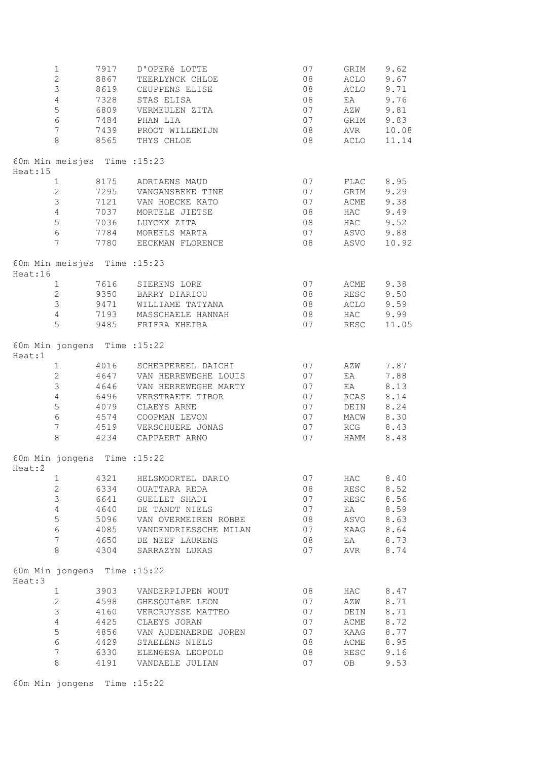|         | $\mathbf{1}$                 | 7917 | D'OPERé LOTTE             | 07 | GRIM        | 9.62  |
|---------|------------------------------|------|---------------------------|----|-------------|-------|
|         | $\overline{2}$               | 8867 | TEERLYNCK CHLOE           | 08 | ACLO        | 9.67  |
|         | 3                            | 8619 | CEUPPENS ELISE            | 08 | ACLO        | 9.71  |
|         | $\overline{4}$               | 7328 | STAS ELISA                | 08 | EA          | 9.76  |
|         | $\mathsf S$                  | 6809 | VERMEULEN ZITA            | 07 | AZW         | 9.81  |
|         | 6                            | 7484 | PHAN LIA                  | 07 | GRIM        | 9.83  |
|         | $7\overline{ }$              |      | 7439 PROOT WILLEMIJN      | 08 | AVR         | 10.08 |
|         | 8                            | 8565 | THYS CHLOE                | 08 | ACLO        | 11.14 |
| Heat:15 | 60m Min meisjes Time : 15:23 |      |                           |    |             |       |
|         | $\mathbf{1}$                 | 8175 | ADRIAENS MAUD             | 07 | FLAC        | 8.95  |
|         | $\overline{2}$               | 7295 | VANGANSBEKE TINE          | 07 | GRIM        | 9.29  |
|         | $\mathfrak{Z}$               | 7121 | VAN HOECKE KATO           | 07 | <b>ACME</b> | 9.38  |
|         | 4                            | 7037 | MORTELE JIETSE            | 08 | <b>HAC</b>  | 9.49  |
|         | 5                            | 7036 | LUYCKX ZITA               | 08 | HAC         | 9.52  |
|         | $6\overline{6}$              |      | 7784 MOREELS MARTA        | 07 | ASVO        | 9.88  |
|         | $7\overline{ }$              |      | 7780 EECKMAN FLORENCE     | 08 | ASVO        | 10.92 |
| Heat:16 | 60m Min meisjes Time : 15:23 |      |                           |    |             |       |
|         | $\mathbf{1}$                 |      | 7616 SIERENS LORE         | 07 | ACME        | 9.38  |
|         | $\mathbf{2}$                 |      | 9350 BARRY DIARIOU        | 08 | RESC        | 9.50  |
|         | 3                            |      | 9471 WILLIAME TATYANA     |    | ACLO        |       |
|         |                              |      |                           | 08 |             | 9.59  |
|         | $\overline{4}$               |      | 7193 MASSCHAELE HANNAH    | 08 | HAC         | 9.99  |
|         | 5                            |      | 9485 FRIFRA KHEIRA        | 07 | RESC        | 11.05 |
| Heat:1  | 60m Min jongens Time : 15:22 |      |                           |    |             |       |
|         | $\mathbf{1}$                 |      | 4016 SCHERPEREEL DAICHI   | 07 | AZW         | 7.87  |
|         | $\mathbf{2}$                 |      | 4647 VAN HERREWEGHE LOUIS | 07 | EA          | 7.88  |
|         | $\mathfrak{Z}$               | 4646 | VAN HERREWEGHE MARTY      | 07 | EA          | 8.13  |
|         | $\overline{4}$               | 6496 | VERSTRAETE TIBOR          | 07 | RCAS        | 8.14  |
|         | 5                            | 4079 | CLAEYS ARNE               | 07 | DEIN        | 8.24  |
|         | $6\,$                        | 4574 | COOPMAN LEVON             | 07 | MACW        | 8.30  |
|         | $7\phantom{.}$               |      | 4519 VERSCHUERE JONAS     | 07 | RCG         | 8.43  |
|         | 8                            |      | 4234 CAPPAERT ARNO        | 07 | HAMM        | 8.48  |
| Heat:2  | 60m Min jongens Time : 15:22 |      |                           |    |             |       |
|         | 1                            | 4321 | HELSMOORTEL DARIO         | 07 | HAC         | 8.40  |
|         | $\overline{c}$               | 6334 | OUATTARA REDA             | 08 | RESC        | 8.52  |
|         | 3                            | 6641 | GUELLET SHADI             | 07 | RESC        | 8.56  |
|         | 4                            | 4640 | DE TANDT NIELS            | 07 | EA          | 8.59  |
|         | 5                            | 5096 | VAN OVERMEIREN ROBBE      | 08 | ASVO        | 8.63  |
|         | $\epsilon$                   |      |                           |    |             |       |
|         |                              | 4085 | VANDENDRIESSCHE MILAN     | 07 | KAAG        | 8.64  |
|         | $\overline{7}$               | 4650 | DE NEEF LAURENS           | 08 | EA          | 8.73  |
|         | 8                            | 4304 | SARRAZYN LUKAS            | 07 | AVR         | 8.74  |
| Heat:3  | 60m Min jongens Time : 15:22 |      |                           |    |             |       |
|         | $\mathbf{1}$                 | 3903 | VANDERPIJPEN WOUT         | 08 | HAC         | 8.47  |
|         | $\overline{2}$               | 4598 | GHESQUIÈRE LEON           | 07 | AZW         | 8.71  |
|         | 3                            | 4160 | VERCRUYSSE MATTEO         | 07 | DEIN        | 8.71  |
|         | $\sqrt{4}$                   | 4425 | CLAEYS JORAN              | 07 | ACME        | 8.72  |
|         | 5                            | 4856 | VAN AUDENAERDE JOREN      | 07 | KAAG        | 8.77  |
|         | $\epsilon$                   | 4429 | STAELENS NIELS            | 08 | ACME        | 8.95  |
|         | $\boldsymbol{7}$             | 6330 | ELENGESA LEOPOLD          | 08 | RESC        | 9.16  |
|         | 8                            | 4191 | VANDAELE JULIAN           | 07 | OB.         | 9.53  |
|         |                              |      |                           |    |             |       |

60m Min jongens Time :15:22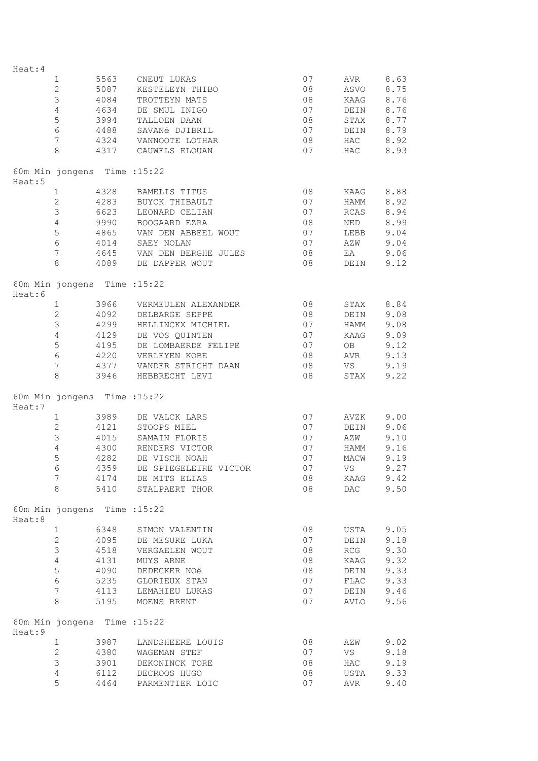| Heat:4                                 |                              |      |                            |        |                |      |
|----------------------------------------|------------------------------|------|----------------------------|--------|----------------|------|
|                                        | $\mathbf{1}$                 | 5563 | CNEUT LUKAS                | 07     | AVR            | 8.63 |
|                                        | $\mathbf{2}$                 | 5087 | KESTELEYN THIBO            | 08     | ASVO           | 8.75 |
|                                        | $\mathfrak{Z}$               | 4084 | TROTTEYN MATS              | 08     | KAAG           | 8.76 |
|                                        | $\overline{4}$               | 4634 | DE SMUL INIGO              | 07     | DEIN           | 8.76 |
|                                        | $\mathsf S$                  | 3994 | TALLOEN DAAN               | 08     | STAX           | 8.77 |
|                                        | 6                            | 4488 | SAVANé DJIBRIL             | 07     | DEIN           | 8.79 |
|                                        | $7\phantom{.}$               |      | 4324 VANNOOTE LOTHAR       | 08     | HAC            | 8.92 |
|                                        | 8                            |      | 4317 CAUWELS ELOUAN        | 07     | HAC            | 8.93 |
| 60m Min jongens Time : 15:22<br>Heat:5 |                              |      |                            |        |                |      |
|                                        | $\mathbf{1}$                 | 4328 | BAMELIS TITUS              | 08     | KAAG           | 8.88 |
|                                        | $\overline{2}$               | 4283 | BUYCK THIBAULT             | 07     | HAMM           | 8.92 |
|                                        | $\mathfrak{Z}$               | 6623 | LEONARD CELIAN             | 07     | RCAS           | 8.94 |
|                                        | $\overline{4}$               |      | 9990 BOOGAARD EZRA         | 08     | NED            | 8.99 |
|                                        | 5                            |      | 4865 VAN DEN ABBEEL WOUT   | 07     | LEBB           | 9.04 |
|                                        | $6\,$                        |      | 4014 SAEY NOLAN            | 07     | AZW            | 9.04 |
|                                        | 7                            |      | 4645 VAN DEN BERGHE JULES  | 08     | EA             | 9.06 |
|                                        | 8                            |      | 4089 DE DAPPER WOUT        | 08     | DEIN           | 9.12 |
| 60m Min jongens Time : 15:22<br>Heat:6 |                              |      |                            |        |                |      |
|                                        | $\mathbf{1}$                 |      | 3966 VERMEULEN ALEXANDER   | 08     | STAX           | 8.84 |
|                                        | $\mathbf{2}$                 |      | 4092 DELBARGE SEPPE        | 08     | DEIN           | 9.08 |
|                                        | $\mathfrak{Z}$               |      | 4299 HELLINCKX MICHIEL     | 07     | HAMM           | 9.08 |
|                                        | $\overline{4}$               |      | 4129 DE VOS QUINTEN        | 07     | KAAG           | 9.09 |
|                                        | 5                            | 4195 | DE LOMBAERDE FELIPE        | 07     | OB             | 9.12 |
|                                        | $6\phantom{.}6$              | 4220 | VERLEYEN KOBE              | 08     | AVR            | 9.13 |
|                                        | $7\phantom{.}$               | 4377 | VANDER STRICHT DAAN        | 08     | VS             | 9.19 |
|                                        | 8                            | 3946 | HEBBRECHT LEVI             | 08     | STAX           | 9.22 |
| 60m Min jongens Time : 15:22<br>Heat:7 |                              |      |                            |        |                |      |
|                                        | $\mathbf{1}$                 |      | 3989 DE VALCK LARS         | 07     | AVZK           | 9.00 |
|                                        | $\overline{2}$               |      | 4121 STOOPS MIEL           | 07     | DEIN           | 9.06 |
|                                        | $\mathfrak{Z}$               | 4015 | SAMAIN FLORIS              | 07     | AZW            | 9.10 |
|                                        | $\overline{4}$               |      | 4300 RENDERS VICTOR        | 07     | HAMM           | 9.16 |
|                                        | 5                            | 4282 | DE VISCH NOAH              | 07     | MACW           | 9.19 |
|                                        | $6\overline{6}$              |      | 4359 DE SPIEGELEIRE VICTOR | 07     | <b>VS</b>      | 9.27 |
|                                        | 7                            |      | 4174 DE MITS ELIAS         | 08     | KAAG           | 9.42 |
|                                        | 8                            |      | 5410 STALPAERT THOR        | 08     | $\texttt{DAC}$ | 9.50 |
| Heat:8                                 | 60m Min jongens Time : 15:22 |      |                            |        |                |      |
|                                        | $\mathbf{1}$                 |      | 6348 SIMON VALENTIN        | 08     | USTA           | 9.05 |
|                                        | $\overline{2}$               |      | 4095 DE MESURE LUKA        | 07     | DEIN           | 9.18 |
|                                        | 3                            |      | 4518 VERGAELEN WOUT        | 08     | RCG            | 9.30 |
|                                        | $\overline{4}$               | 4131 | MUYS ARNE                  | 08     | KAAG           | 9.32 |
|                                        | $\mathbf 5$                  | 4090 | DEDECKER NOë               | $0\,8$ | DEIN           | 9.33 |
|                                        | 6                            | 5235 | GLORIEUX STAN              | 07     | ${\tt FLAC}$   | 9.33 |
|                                        | 7                            |      | 4113 LEMAHIEU LUKAS        | 07     | DEIN           | 9.46 |
|                                        | 8                            |      | 5195 MOENS BRENT           | 07     | AVLO           | 9.56 |
| Heat: 9                                | 60m Min jongens Time : 15:22 |      |                            |        |                |      |
|                                        | 1                            | 3987 | LANDSHEERE LOUIS           | 08     | AZW            | 9.02 |
|                                        | $\overline{2}$               | 4380 | WAGEMAN STEF               | 07     | VS             | 9.18 |
|                                        | $\mathfrak{Z}$               | 3901 | DEKONINCK TORE             | $0\,8$ | HAC            | 9.19 |
|                                        | 4                            |      | 6112 DECROOS HUGO          | 08     | USTA           | 9.33 |
|                                        | 5                            | 4464 | PARMENTIER LOIC            | 07     | AVR            | 9.40 |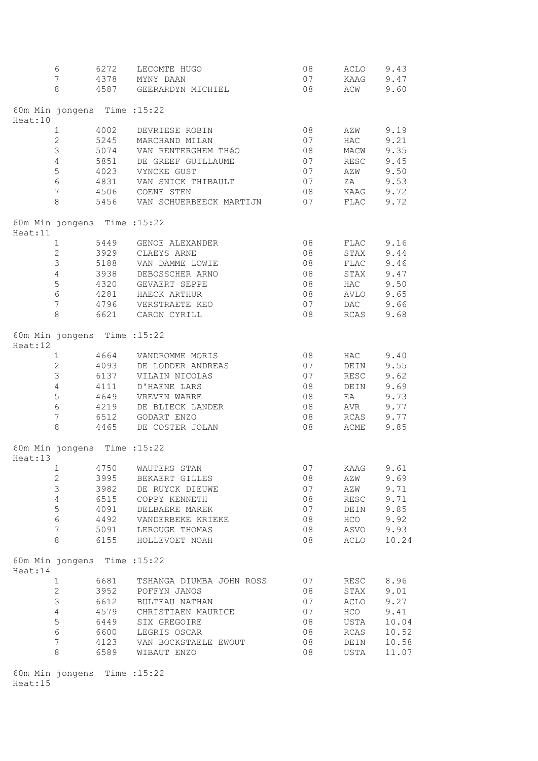|         | 6                            | 6272         | LECOMTE HUGO                     | 08       | ACLO         | 9.43          |
|---------|------------------------------|--------------|----------------------------------|----------|--------------|---------------|
|         | $\overline{7}$               | 4378         | MYNY DAAN                        | 07       | KAAG         | 9.47          |
|         | 8                            |              | 4587 GEERARDYN MICHIEL           | 08       | ACW          | 9.60          |
|         | 60m Min jongens Time : 15:22 |              |                                  |          |              |               |
| Heat:10 |                              |              |                                  |          |              |               |
|         | 1                            | 4002         | DEVRIESE ROBIN                   | 08       | AZW          | 9.19          |
|         | $\overline{2}$               | 5245         | MARCHAND MILAN                   | 07       | HAC          | 9.21          |
|         | 3                            | 5074         | VAN RENTERGHEM THÉO              | 08       | MACW         | 9.35          |
|         | $\overline{4}$               | 5851         | DE GREEF GUILLAUME               | 07       | RESC         | 9.45          |
|         | 5                            | 4023         | VYNCKE GUST                      | 07       | AZW          | 9.50          |
|         | $\epsilon$                   | 4831         | VAN SNICK THIBAULT               | 07       | ZA           | 9.53          |
|         | 7                            | 4506         | COENE STEN                       | 08       | KAAG         | 9.72          |
|         | 8                            |              | 5456 VAN SCHUERBEECK MARTIJN     | 07       | FLAC         | 9.72          |
| Heat:11 | 60m Min jongens Time : 15:22 |              |                                  |          |              |               |
|         | $\mathbf{1}$                 | 5449         | GENOE ALEXANDER                  | 08       | FLAC         | 9.16          |
|         | $\overline{2}$               | 3929         | CLAEYS ARNE                      | 08       | STAX         | 9.44          |
|         |                              |              |                                  |          |              |               |
|         | 3                            | 5188         | VAN DAMME LOWIE                  | 08       | FLAC         | 9.46          |
|         | $\overline{4}$               | 3938         | DEBOSSCHER ARNO                  | 08       | STAX         | 9.47          |
|         | 5                            | 4320         | GEVAERT SEPPE                    | 08       | HAC          | 9.50          |
|         | $\epsilon$                   | 4281         | HAECK ARTHUR                     | 08       | AVLO         | 9.65          |
|         | $\overline{7}$               |              | 4796 VERSTRAETE KEO              | 07       | DAC          | 9.66          |
|         | 8                            | 6621         | CARON CYRILL                     | 08       | RCAS         | 9.68          |
| Heat:12 | 60m Min jongens Time : 15:22 |              |                                  |          |              |               |
|         | $\mathbf{1}$                 | 4664         | VANDROMME MORIS                  | 08       | HAC          | 9.40          |
|         | $\mathbf{2}$                 | 4093         | DE LODDER ANDREAS                | 07       | DEIN         | 9.55          |
|         | 3                            | 6137         | VILAIN NICOLAS                   | 07       | RESC         | 9.62          |
|         | 4                            | 4111         | D'HAENE LARS                     | 08       | DEIN         | 9.69          |
|         | 5                            | 4649         | VREVEN WARRE                     | 08       | EA           | 9.73          |
|         | $\epsilon$                   | 4219         | DE BLIECK LANDER                 | 08       | AVR          | 9.77          |
|         | $\boldsymbol{7}$             | 6512         | GODART ENZO                      | 08       | RCAS         | 9.77          |
|         | 8                            | 4465         | DE COSTER JOLAN                  | 08       | ACME         | 9.85          |
| Heat:13 | 60m Min jongens Time : 15:22 |              |                                  |          |              |               |
|         |                              |              | 1 4750 WAUTERS STAN              | 07       | KAAG         | 9.61          |
|         | 2                            | 3995         | BEKAERT GILLES                   | 08       | AZW          | 9.69          |
|         | 3                            | 3982         | DE RUYCK DIEUWE                  | 07       | AZW          | 9.71          |
|         |                              |              |                                  |          |              |               |
|         | 4                            | 6515         | COPPY KENNETH                    | 08       | RESC         | 9.71          |
|         | 5                            | 4091         | DELBAERE MAREK                   | 07       | DEIN         | 9.85          |
|         | 6                            | 4492         | VANDERBEKE KRIEKE                | 08       | HCO          | 9.92          |
|         | $\overline{7}$<br>8          | 5091<br>6155 | LEROUGE THOMAS<br>HOLLEVOET NOAH | 08<br>08 | ASVO<br>ACLO | 9.93<br>10.24 |
|         | 60m Min jongens Time : 15:22 |              |                                  |          |              |               |
| Heat:14 |                              |              |                                  |          |              |               |
|         | $\mathbf{1}$                 |              | 6681 TSHANGA DIUMBA JOHN ROSS    | 07       | RESC         | 8.96          |
|         | $\mathbf{2}$                 |              | 3952 POFFYN JANOS                | 08       | STAX         | 9.01          |
|         | 3                            | 6612         | BULTEAU NATHAN                   | 07       | ACLO         | 9.27          |
|         | $\overline{4}$               | 4579         | CHRISTIAEN MAURICE               | 07       | HCO          | 9.41          |
|         | 5                            | 6449         | SIX GREGOIRE                     | 08       | USTA         | 10.04         |
|         | $\epsilon$                   | 6600         | LEGRIS OSCAR                     | 08       | RCAS         | 10.52         |
|         | $\boldsymbol{7}$             | 4123         | VAN BOCKSTAELE EWOUT             | 08       | DEIN         | 10.58         |
|         | 8                            | 6589         | WIBAUT ENZO                      | 08       | USTA         | 11.07         |
|         |                              |              |                                  |          |              |               |

60m Min jongens Time :15:22 Heat:15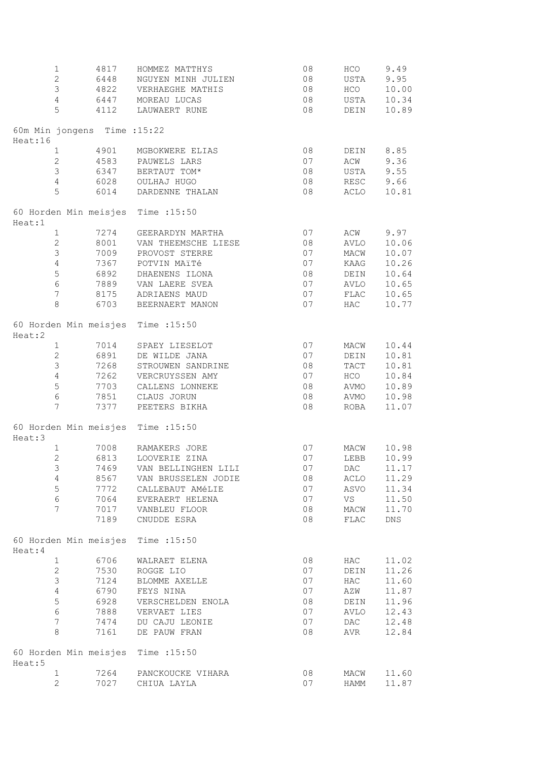| $\mathbf 1$                             | 4817 | HOMMEZ MATTHYS                     | 08     | HCO        | 9.49  |
|-----------------------------------------|------|------------------------------------|--------|------------|-------|
| $\mathbf{2}$                            | 6448 | NGUYEN MINH JULIEN                 | 08     | USTA       | 9.95  |
| $\mathfrak{Z}$                          | 4822 | VERHAEGHE MATHIS                   | 08     | HCO        | 10.00 |
| $\overline{4}$                          | 6447 | MOREAU LUCAS                       | 08     | USTA       | 10.34 |
| 5                                       | 4112 | LAUWAERT RUNE                      | 08     | DEIN       | 10.89 |
|                                         |      |                                    |        |            |       |
| 60m Min jongens Time : 15:22<br>Heat:16 |      |                                    |        |            |       |
| $\mathbf{1}$                            | 4901 | MGBOKWERE ELIAS                    | 08     | DEIN       | 8.85  |
| $\mathbf{2}$                            | 4583 | PAUWELS LARS                       | 07     | ACW        | 9.36  |
| $\mathfrak{Z}$                          |      | 6347 BERTAUT TOM*                  | 08     | USTA       | 9.55  |
| $\overline{4}$                          | 6028 | OULHAJ HUGO                        | 08     | RESC       | 9.66  |
| 5                                       | 6014 | DARDENNE THALAN                    | 08     | ACLO       | 10.81 |
| Heat:1                                  |      | 60 Horden Min meisjes Time : 15:50 |        |            |       |
| $\mathbf{1}$                            | 7274 | GEERARDYN MARTHA                   | 07     | ACW        | 9.97  |
| $\overline{c}$                          | 8001 | VAN THEEMSCHE LIESE                | 08     | AVLO       | 10.06 |
| $\mathfrak{Z}$                          | 7009 | PROVOST STERRE                     | 07     | MACW       | 10.07 |
| $\overline{4}$                          |      |                                    | 07     |            |       |
|                                         | 7367 | POTVIN MAïTé                       |        | KAAG       | 10.26 |
| $\mathsf S$                             | 6892 | DHAENENS ILONA                     | $0\,8$ | DEIN       | 10.64 |
| $\epsilon$                              | 7889 | VAN LAERE SVEA                     | 07     | AVLO       | 10.65 |
| $\boldsymbol{7}$                        | 8175 | ADRIAENS MAUD                      | 07     | FLAC       | 10.65 |
| $8\,$                                   | 6703 | BEERNAERT MANON                    | 07     | HAC        | 10.77 |
| Heat:2                                  |      | 60 Horden Min meisjes Time : 15:50 |        |            |       |
| $\mathbf{1}$                            | 7014 | SPAEY LIESELOT                     | 07     | MACW       | 10.44 |
| $\mathbf{2}$                            | 6891 | DE WILDE JANA                      | 07     | DEIN       | 10.81 |
| $\mathsf 3$                             | 7268 | STROUWEN SANDRINE                  | 08     | TACT       | 10.81 |
| $\overline{4}$                          | 7262 | VERCRUYSSEN AMY                    | 07     | HCO        | 10.84 |
| $\mathsf S$                             | 7703 | CALLENS LONNEKE                    | 08     | AVMO       | 10.89 |
| $\sqrt{6}$                              | 7851 | CLAUS JORUN                        | 08     | AVMO       | 10.98 |
| $\overline{7}$                          | 7377 | PEETERS BIKHA                      | 08     | ROBA       | 11.07 |
|                                         |      |                                    |        |            |       |
| Heat:3                                  |      | 60 Horden Min meisjes Time : 15:50 |        |            |       |
| $\mathbf{1}$                            | 7008 | RAMAKERS JORE                      | 07     | MACW       | 10.98 |
| $\overline{c}$                          | 6813 | LOOVERIE ZINA                      | 07     | LEBB       | 10.99 |
| 3 <sup>7</sup>                          |      | 7469 VAN BELLINGHEN LILI           | 07     | <b>DAC</b> | 11.17 |
| 4                                       | 8567 | VAN BRUSSELEN JODIE                | 08     | ACLO       | 11.29 |
| 5                                       | 7772 | CALLEBAUT AMéLIE                   | 07     | ASVO       | 11.34 |
| 6                                       | 7064 | EVERAERT HELENA                    | 07     | VS         | 11.50 |
| 7                                       | 7017 | VANBLEU FLOOR                      | 08     | MACW       | 11.70 |
|                                         | 7189 | CNUDDE ESRA                        | 08     | FLAC       | DNS   |
| Heat:4                                  |      | 60 Horden Min meisjes Time : 15:50 |        |            |       |
| $\mathbf{1}$                            | 6706 | WALRAET ELENA                      | 08     | HAC        | 11.02 |
| $\mathbf{2}$                            | 7530 | ROGGE LIO                          | 07     | DEIN       | 11.26 |
| $\mathsf 3$                             | 7124 | BLOMME AXELLE                      | 07     | HAC        | 11.60 |
| 4                                       | 6790 | FEYS NINA                          | 07     | AZW        | 11.87 |
| $\mathsf S$                             | 6928 | VERSCHELDEN ENOLA                  | 08     |            | 11.96 |
| $\epsilon$                              |      |                                    |        | DEIN       |       |
|                                         | 7888 | VERVAET LIES                       | 07     | AVLO       | 12.43 |
| $\boldsymbol{7}$                        | 7474 | DU CAJU LEONIE                     | 07     | DAC        | 12.48 |
| 8                                       | 7161 | DE PAUW FRAN                       | 08     | AVR        | 12.84 |
| Heat:5                                  |      | 60 Horden Min meisjes Time : 15:50 |        |            |       |
| 1                                       | 7264 | PANCKOUCKE VIHARA                  | 08     | MACW       | 11.60 |
| $\mathbf{2}$                            | 7027 | CHIUA LAYLA                        | 07     | HAMM       | 11.87 |
|                                         |      |                                    |        |            |       |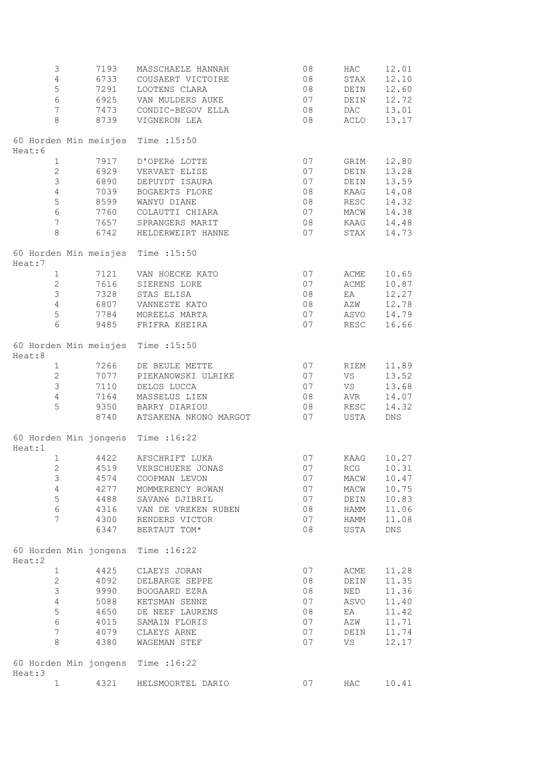| $\mathsf 3$                                  | 7193         | MASSCHAELE HANNAH              | 08       | HAC          | 12.01                |
|----------------------------------------------|--------------|--------------------------------|----------|--------------|----------------------|
| $\overline{4}$                               | 6733         | COUSAERT VICTOIRE              | 08       | STAX         | 12.10                |
| 5                                            | 7291         | LOOTENS CLARA                  | 08       | DEIN         | 12.60                |
| $\sqrt{6}$                                   | 6925         | VAN MULDERS AUKE               | 07       | DEIN         | 12.72                |
| 7                                            |              | 7473 CONDIC-BEGOV ELLA         |          | DAC          | 13.01                |
|                                              |              |                                | 08       |              |                      |
| $8\,$                                        | 8739         | VIGNERON LEA                   | 08       | ACLO         | 13.17                |
| 60 Horden Min meisjes Time : 15:50<br>Heat:6 |              |                                |          |              |                      |
| $\mathbf{1}$                                 | 7917         | D'OPERé LOTTE                  | 07       | GRIM         | 12.80                |
| $\overline{2}$                               | 6929         | VERVAET ELISE                  | 07       | DEIN         | 13.28                |
| $\mathsf 3$                                  | 6890         | DEPUYDT ISAURA                 | 07       | DEIN         | 13.59                |
| $\overline{4}$                               | 7039         | BOGAERTS FLORE                 | 08       | KAAG         | 14.08                |
| $\mathsf S$                                  | 8599         | WANYU DIANE                    | 08       | RESC         | 14.32                |
| $\sqrt{6}$                                   |              |                                |          | MACW         |                      |
|                                              | 7760         | COLAUTTI CHIARA                | 07       |              | 14.38                |
| $\overline{7}$                               |              | 7657 SPRANGERS MARIT           | 08       | KAAG         | 14.48                |
| 8                                            | 6742         | HELDERWEIRT HANNE              | 07       | STAX         | 14.73                |
| 60 Horden Min meisjes Time : 15:50<br>Heat:7 |              |                                |          |              |                      |
| $\mathbf{1}$                                 | 7121         | VAN HOECKE KATO                | 07       | ACME         | 10.65                |
| $\mathbf{2}$                                 | 7616         | SIERENS LORE                   | 07       | ACME         | 10.87                |
| $\mathfrak{Z}$                               | 7328         | STAS ELISA                     | 08       | EA           | 12.27                |
| $\overline{4}$                               | 6807         | VANNESTE KATO                  | 08       | AZW          | 12.78                |
| 5                                            | 7784         | MOREELS MARTA                  | 07       | ASVO         | 14.79                |
| $6\phantom{.}6$                              | 9485         | FRIFRA KHEIRA                  | 07       | RESC         | 16.66                |
|                                              |              |                                |          |              |                      |
| 60 Horden Min meisjes Time : 15:50<br>Heat:8 |              |                                |          |              |                      |
| $\mathbf{1}$                                 | 7266         | DE BEULE METTE                 | 07       | RIEM         | 11.89                |
| $\overline{2}$                               | 7077         | PIEKANOWSKI ULRIKE             | 07       | VS           | 13.52                |
| $\mathsf 3$                                  | 7110         | DELOS LUCCA                    | 07       | <b>VS</b>    | 13.68                |
| $\overline{4}$                               | 7164         | MASSELUS LIEN                  | 08       | AVR          | 14.07                |
| 5                                            |              | 9350 BARRY DIARIOU             | 08       | RESC         | 14.32                |
|                                              | 8740         | ATSAKENA NKONO MARGOT          | 07       | USTA         | DNS                  |
| 60 Horden Min jongens Time : 16:22<br>Heat:1 |              |                                |          |              |                      |
| $\mathbf 1$                                  | 4422         | AFSCHRIFT LUKA                 | 07       | KAAG         | 10.27                |
|                                              |              | 2 4519 VERSCHUERE JONAS        | 07       |              | RCG 10.31            |
| 3                                            | 4574         | COOPMAN LEVON                  | 07       | MACW         | 10.47                |
| 4                                            | 4277         | MOMMERENCY ROWAN               | 07       | MACW         | 10.75                |
| $\mathsf S$                                  |              |                                |          |              |                      |
|                                              | 4488         | SAVANé DJIBRIL                 | 07       | DEIN         | 10.83                |
| $\epsilon$                                   | 4316         | VAN DE VREKEN RUBEN            | 08       | HAMM         | 11.06                |
| 7                                            | 4300<br>6347 | RENDERS VICTOR<br>BERTAUT TOM* | 07<br>08 | HAMM<br>USTA | 11.08<br>${\rm DNS}$ |
| 60 Horden Min jongens Time : 16:22           |              |                                |          |              |                      |
| Heat:2                                       |              |                                |          |              |                      |
| $\mathbf 1$<br>$\mathbf{2}$                  | 4425         | CLAEYS JORAN                   | 07       | ACME<br>DEIN | 11.28                |
|                                              | 4092         | DELBARGE SEPPE                 | 08       |              | 11.35                |
| 3                                            | 9990         | BOOGAARD EZRA                  | 08       | NED          | 11.36                |
| $\sqrt{4}$                                   | 5088         | KETSMAN SENNE                  | 07       | ASVO         | 11.40                |
| $\mathsf S$                                  | 4650         | DE NEEF LAURENS                | 08       | EA           | 11.42                |
| $\epsilon$                                   | 4015         | SAMAIN FLORIS                  | 07       | AZW          | 11.71                |
| $\overline{7}$                               | 4079         | CLAEYS ARNE                    | 07       | DEIN         | 11.74                |
| $\,8\,$                                      | 4380         | WAGEMAN STEF                   | 07       | VS           | 12.17                |
| 60 Horden Min jongens Time : 16:22<br>Heat:3 |              |                                |          |              |                      |
| $\mathbf 1$                                  | 4321         | HELSMOORTEL DARIO              | 07       | HAC          | 10.41                |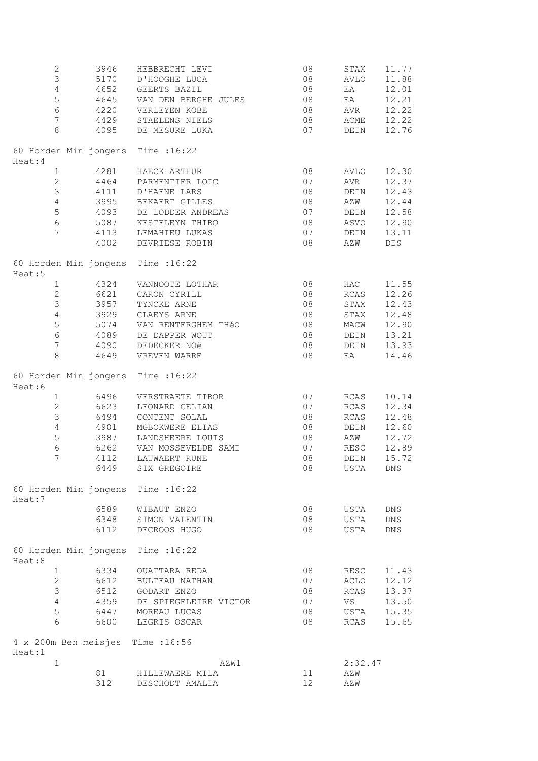| $\mathbf{2}$     | 3946 | HEBBRECHT LEVI                     | 08                | STAX    | 11.77       |
|------------------|------|------------------------------------|-------------------|---------|-------------|
| $\mathsf S$      | 5170 | D'HOOGHE LUCA                      | 08                | AVLO    | 11.88       |
| $\overline{4}$   | 4652 | GEERTS BAZIL                       | 08                | EA      | 12.01       |
| $\mathsf S$      | 4645 | VAN DEN BERGHE JULES               | 08                | EA      | 12.21       |
| $\epsilon$       | 4220 | VERLEYEN KOBE                      | 08                | AVR     | 12.22       |
| $\overline{7}$   | 4429 | STAELENS NIELS                     | 08                | ACME    | 12.22       |
| $\,8\,$          | 4095 | DE MESURE LUKA                     | 07                | DEIN    | 12.76       |
| Heat:4           |      | 60 Horden Min jongens Time : 16:22 |                   |         |             |
| $\mathbf{1}$     | 4281 | HAECK ARTHUR                       | 08                | AVLO    | 12.30       |
| $\mathbf{2}$     | 4464 | PARMENTIER LOIC                    | 07                | AVR     | 12.37       |
| $\mathsf 3$      | 4111 | D'HAENE LARS                       | 08                | DEIN    | 12.43       |
| $\overline{4}$   | 3995 | BEKAERT GILLES                     | 08                | AZW     | 12.44       |
| $\mathsf S$      | 4093 | DE LODDER ANDREAS                  | 07                | DEIN    | 12.58       |
| $\epsilon$       | 5087 | KESTELEYN THIBO                    | 08                | ASVO    | 12.90       |
| $7\overline{ }$  | 4113 | LEMAHIEU LUKAS                     | 07                | DEIN    | 13.11       |
|                  | 4002 | DEVRIESE ROBIN                     | 08                | AZW     | DIS         |
| Heat:5           |      | 60 Horden Min jongens Time : 16:22 |                   |         |             |
| $\mathbf 1$      | 4324 | VANNOOTE LOTHAR                    | 08                | HAC     | 11.55       |
| $\mathbf{2}$     | 6621 | CARON CYRILL                       | 08                | RCAS    | 12.26       |
| 3                | 3957 | TYNCKE ARNE                        | 08                | STAX    | 12.43       |
| 4                | 3929 | CLAEYS ARNE                        | 08                | STAX    | 12.48       |
| 5                | 5074 | VAN RENTERGHEM THÉO                | 08                | MACW    | 12.90       |
| $\epsilon$       | 4089 | DE DAPPER WOUT                     | 08                | DEIN    | 13.21       |
| $\boldsymbol{7}$ | 4090 | DEDECKER NOë                       | 08                | DEIN    | 13.93       |
| 8                | 4649 | VREVEN WARRE                       | 08                | EA      | 14.46       |
| Heat:6           |      | 60 Horden Min jongens Time : 16:22 |                   |         |             |
| $\mathbf{1}$     | 6496 | VERSTRAETE TIBOR                   | 07                | RCAS    | 10.14       |
| $\overline{c}$   | 6623 | LEONARD CELIAN                     | 07                | RCAS    | 12.34       |
| 3                | 6494 | CONTENT SOLAL                      | 08                | RCAS    | 12.48       |
| $\sqrt{4}$       | 4901 | MGBOKWERE ELIAS                    | 08                | DEIN    | 12.60       |
| 5                | 3987 | LANDSHEERE LOUIS                   | 08                | AZW     | 12.72       |
| $\sqrt{6}$       | 6262 | VAN MOSSEVELDE SAMI                | 07                | RESC    | 12.89       |
| $\overline{7}$   | 4112 | LAUWAERT RUNE                      | 08                | DEIN    | 15.72       |
|                  |      | 6449 SIX GREGOIRE                  | 08                | USTA    | DNS         |
| Heat:7           |      | 60 Horden Min jongens Time : 16:22 |                   |         |             |
|                  | 6589 | WIBAUT ENZO                        | 08                | USTA    | DNS         |
|                  | 6348 | SIMON VALENTIN                     | 08                | USTA    | ${\rm DNS}$ |
|                  | 6112 | DECROOS HUGO                       | 08                | USTA    | DNS         |
| Heat:8           |      | 60 Horden Min jongens Time : 16:22 |                   |         |             |
| $\mathbf{1}$     | 6334 | OUATTARA REDA                      | 08                | RESC    | 11.43       |
| $\mathbf{2}$     | 6612 | BULTEAU NATHAN                     | 07                | ACLO    | 12.12       |
| 3                | 6512 | GODART ENZO                        | 08                | RCAS    | 13.37       |
| 4                | 4359 | DE SPIEGELEIRE VICTOR              | 07                | VS      | 13.50       |
| 5                | 6447 | MOREAU LUCAS                       | 08                | USTA    | 15.35       |
| 6                | 6600 | LEGRIS OSCAR                       | 08                | RCAS    | 15.65       |
| Heat:1           |      | 4 x 200m Ben meisjes Time : 16:56  |                   |         |             |
| $1\,$            |      | AZW1                               |                   | 2:32.47 |             |
|                  | 81   | HILLEWAERE MILA                    | 11                | AZW     |             |
|                  | 312  | DESCHODT AMALIA                    | $12 \overline{ }$ | AZW     |             |
|                  |      |                                    |                   |         |             |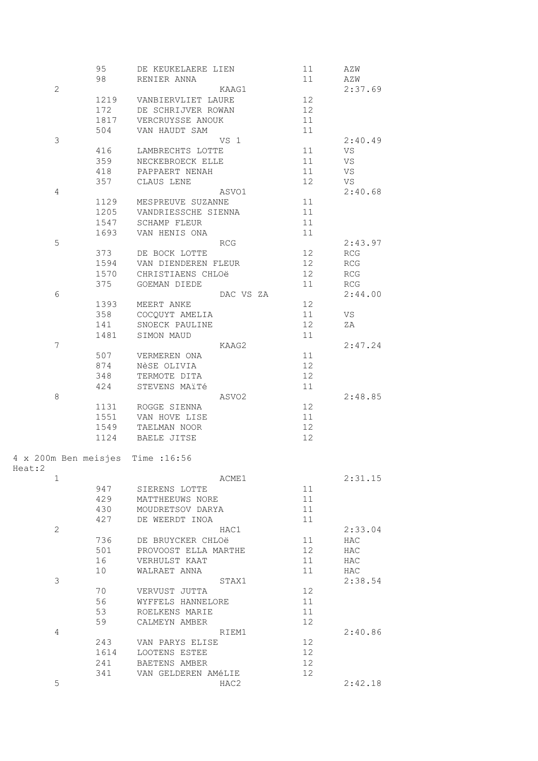|                | 95   | DE KEUKELAERE LIEN                | 11                | AZW     |
|----------------|------|-----------------------------------|-------------------|---------|
|                | 98   | RENIER ANNA                       | 11                | AZW     |
| $\overline{c}$ |      | KAAG1                             |                   | 2:37.69 |
|                | 1219 | VANBIERVLIET LAURE                | 12 <sup>°</sup>   |         |
|                | 172  | DE SCHRIJVER ROWAN                | 12                |         |
|                |      | 1817 VERCRUYSSE ANOUK             | 11                |         |
|                | 504  | VAN HAUDT SAM                     | 11                |         |
| 3              |      | VS 1                              |                   | 2:40.49 |
|                | 416  | LAMBRECHTS LOTTE                  | 11                | VS      |
|                | 359  | NECKEBROECK ELLE                  | 11                | VS      |
|                | 418  | PAPPAERT NENAH                    | 11                | VS      |
|                | 357  | CLAUS LENE                        | 12 <sup>°</sup>   | VS      |
| 4              |      | ASVO1                             |                   | 2:40.68 |
|                | 1129 | MESPREUVE SUZANNE                 | 11                |         |
|                |      | 1205 VANDRIESSCHE SIENNA          | 11                |         |
|                | 1547 | SCHAMP FLEUR                      | 11                |         |
|                | 1693 |                                   | 11                |         |
|                |      | VAN HENIS ONA                     |                   |         |
| 5              |      | RCG                               |                   | 2:43.97 |
|                | 373  | DE BOCK LOTTE                     | 12 <sup>°</sup>   | RCG     |
|                | 1594 | VAN DIENDEREN FLEUR               | 12 <sup>°</sup>   | RCG     |
|                | 1570 | CHRISTIAENS CHLOë                 | 12 <sup>°</sup>   | RCG     |
|                | 375  | GOEMAN DIEDE                      | 11                | RCG     |
| 6              |      | DAC VS ZA                         |                   | 2:44.00 |
|                | 1393 | MEERT ANKE                        | 12 <sup>°</sup>   |         |
|                | 358  | COCQUYT AMELIA                    | 11                | VS      |
|                | 141  | SNOECK PAULINE                    | 12 <sup>°</sup>   | ΖA      |
|                | 1481 | SIMON MAUD                        | 11                |         |
| 7              |      | KAAG2                             |                   | 2:47.24 |
|                | 507  | VERMEREN ONA                      | 11                |         |
|                | 874  | NèSE OLIVIA                       | 12                |         |
|                | 348  | TERMOTE DITA                      | 12                |         |
|                | 424  | STEVENS MAITé                     | 11                |         |
| $\,8\,$        |      | ASVO2                             |                   | 2:48.85 |
|                | 1131 | ROGGE SIENNA                      | 12                |         |
|                | 1551 | VAN HOVE LISE                     | 11                |         |
|                | 1549 | TAELMAN NOOR                      | 12                |         |
|                | 1124 | BAELE JITSE                       | 12                |         |
|                |      |                                   |                   |         |
|                |      | 4 x 200m Ben meisjes Time : 16:56 |                   |         |
| Heat:2         |      |                                   |                   |         |
|                |      | ACME1                             |                   |         |
| 1              |      |                                   |                   | 2:31.15 |
|                | 947  | SIERENS LOTTE                     | 11                |         |
|                | 429  | MATTHEEUWS NORE                   | 11                |         |
|                | 430  | MOUDRETSOV DARYA                  | 11                |         |
|                | 427  | DE WEERDT INOA                    | 11                |         |
| $\overline{2}$ |      | HAC1                              |                   | 2:33.04 |
|                | 736  | DE BRUYCKER CHLOë                 | 11                | HAC     |
|                | 501  | PROVOOST ELLA MARTHE              | 12 <sup>2</sup>   | HAC     |
|                | 16   | VERHULST KAAT                     | 11                | HAC     |
|                | 10   | WALRAET ANNA                      | 11                | HAC     |
| 3              |      | STAX1                             |                   | 2:38.54 |
|                | 70   | VERVUST JUTTA                     | 12                |         |
|                | 56   | WYFFELS HANNELORE                 | 11                |         |
|                | 53   | ROELKENS MARIE                    | 11                |         |
|                | 59   | CALMEYN AMBER                     | $12 \overline{ }$ |         |
| 4              |      | RIEM1                             |                   | 2:40.86 |
|                | 243  | VAN PARYS ELISE                   | 12                |         |
|                | 1614 | LOOTENS ESTEE                     | $12 \overline{ }$ |         |
|                | 241  | BAETENS AMBER                     | 12                |         |
|                | 341  | VAN GELDEREN AMÉLIE               | $12 \overline{ }$ |         |
| 5              |      | HAC2                              |                   | 2:42.18 |
|                |      |                                   |                   |         |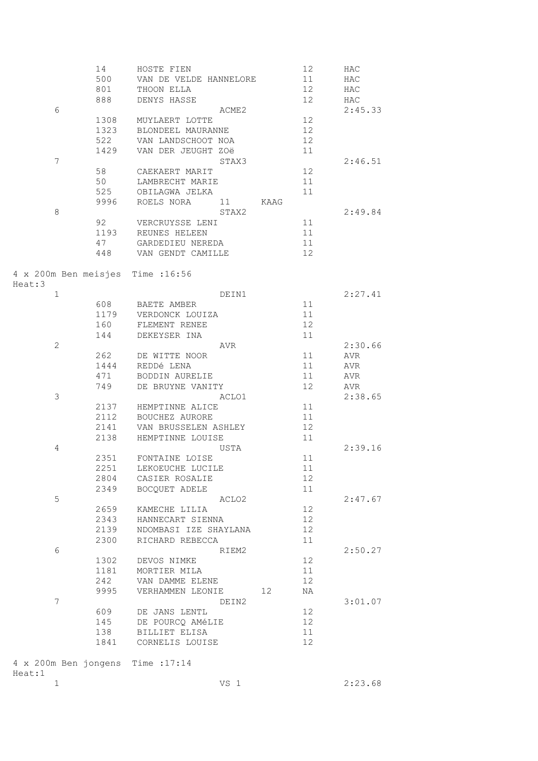|                                             | 14<br>500<br>801 | HOSTE FIEN<br>VAN DE VELDE HANNELORE<br>THOON ELLA |      | 12<br>11<br>12    | HAC<br>HAC<br>HAC |
|---------------------------------------------|------------------|----------------------------------------------------|------|-------------------|-------------------|
|                                             | 888              | DENYS HASSE                                        |      | $12 \overline{ }$ | HAC               |
| 6                                           |                  | ACME2                                              |      |                   | 2:45.33           |
|                                             | 1308             | MUYLAERT LOTTE                                     |      | 12                |                   |
|                                             | 1323             | BLONDEEL MAURANNE                                  |      | 12                |                   |
|                                             | 522              | VAN LANDSCHOOT NOA                                 |      | 12                |                   |
|                                             | 1429             | VAN DER JEUGHT ZOë                                 |      | 11                |                   |
| 7                                           |                  | STAX3                                              |      |                   | 2:46.51           |
|                                             | 58               | CAEKAERT MARIT                                     |      | 12                |                   |
|                                             | 50               | LAMBRECHT MARIE                                    |      | 11                |                   |
|                                             | 525              | OBILAGWA JELKA                                     |      | 11                |                   |
|                                             | 9996             | ROELS NORA<br>11                                   | KAAG |                   |                   |
| 8                                           |                  | STAX2                                              |      |                   | 2:49.84           |
|                                             | 92               | VERCRUYSSE LENI                                    |      | 11                |                   |
|                                             | 1193             | REUNES HELEEN                                      |      | 11                |                   |
|                                             | 47               | GARDEDIEU NEREDA<br>VAN GENDT CAMILLE              |      | 11                |                   |
|                                             | 448              |                                                    |      | 12                |                   |
| 4 x 200m Ben meisjes Time : 16:56<br>Heat:3 |                  |                                                    |      |                   |                   |
| $\mathbf{1}$                                |                  | DEIN1                                              |      |                   | 2:27.41           |
|                                             | 608              | BAETE AMBER                                        |      | 11                |                   |
|                                             | 1179             | VERDONCK LOUIZA                                    |      | 11                |                   |
|                                             | 160              | FLEMENT RENEE                                      |      | 12                |                   |
|                                             | 144              | DEKEYSER INA                                       |      | 11                |                   |
| 2                                           |                  | AVR                                                |      |                   | 2:30.66           |
|                                             | 262              | DE WITTE NOOR                                      |      | 11                | AVR               |
|                                             | 1444             | REDDé LENA                                         |      | 11                | AVR               |
|                                             | 471              | BODDIN AURELIE                                     |      | 11                | AVR               |
|                                             | 749              | DE BRUYNE VANITY                                   |      | 12                | AVR               |
| 3                                           |                  | ACLO1                                              |      |                   | 2:38.65           |
|                                             | 2137             | HEMPTINNE ALICE                                    |      | 11                |                   |
|                                             | 2112             | BOUCHEZ AURORE                                     |      | 11                |                   |
|                                             | 2141             | VAN BRUSSELEN ASHLEY                               |      | 12                |                   |
|                                             | 2138             | HEMPTINNE LOUISE                                   |      | 11                |                   |
| 4                                           |                  | USTA                                               |      |                   | 2:39.16           |
|                                             | 2351             | FONTAINE LOISE                                     |      | 11                |                   |
|                                             | 2251             | LEKOEUCHE LUCILE                                   |      | 11                |                   |
|                                             | 2804             | CASIER ROSALIE                                     |      | 12                |                   |
|                                             | 2349             | BOCQUET ADELE                                      |      | 11                |                   |
| 5                                           |                  | ACLO <sub>2</sub>                                  |      |                   | 2:47.67           |
|                                             | 2659             | KAMECHE LILIA                                      |      | 12                |                   |
|                                             | 2343<br>2139     | HANNECART SIENNA                                   |      | 12<br>12          |                   |
|                                             | 2300             | NDOMBASI IZE SHAYLANA<br>RICHARD REBECCA           |      | 11                |                   |
| 6                                           |                  | RIEM2                                              |      |                   | 2:50.27           |
|                                             | 1302             | DEVOS NIMKE                                        |      | 12                |                   |
|                                             | 1181             | MORTIER MILA                                       |      | 11                |                   |
|                                             | 242              | VAN DAMME ELENE                                    |      | 12                |                   |
|                                             | 9995             | VERHAMMEN LEONIE                                   | 12   | ΝA                |                   |
| 7                                           |                  | DEIN2                                              |      |                   | 3:01.07           |
|                                             | 609              | DE JANS LENTL                                      |      | 12                |                   |
|                                             | 145              | DE POURCQ AMéLIE                                   |      | 12                |                   |
|                                             | 138              | BILLIET ELISA                                      |      | 11                |                   |
|                                             | 1841             | CORNELIS LOUISE                                    |      | 12                |                   |
|                                             |                  |                                                    |      |                   |                   |
| 4 x 200m Ben jongens Time : 17:14           |                  |                                                    |      |                   |                   |
| Heat:1                                      |                  |                                                    |      |                   |                   |
| $\mathbf 1$                                 |                  | VS 1                                               |      |                   | 2:23.68           |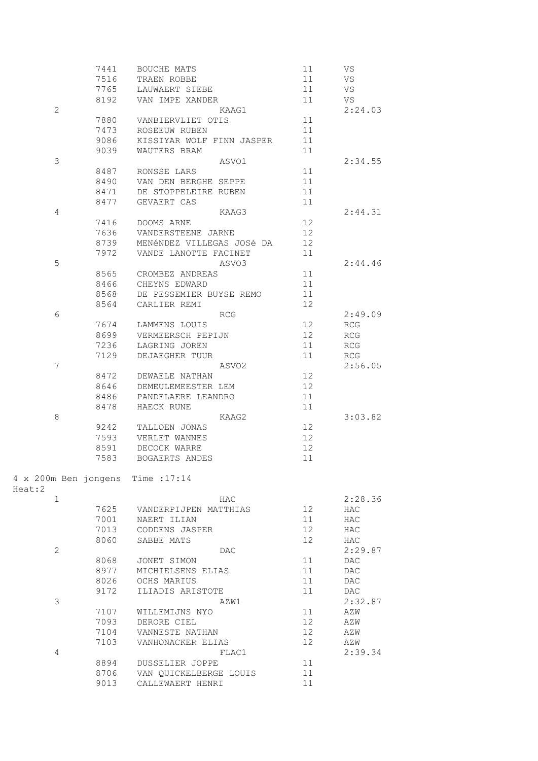|        | 7441           | BOUCHE MATS                       | 11                | VS.        |
|--------|----------------|-----------------------------------|-------------------|------------|
|        | 7516           | TRAEN ROBBE                       | 11                | VS.        |
|        | 7765           | LAUWAERT SIEBE                    | 11                | VS         |
|        | 8192           | VAN IMPE XANDER                   | 11                | VS.        |
|        | $\overline{2}$ | KAAG1                             |                   | 2:24.03    |
|        | 7880           | VANBIERVLIET OTIS                 | 11                |            |
|        | 7473           | ROSEEUW RUBEN                     | 11                |            |
|        | 9086           | KISSIYAR WOLF FINN JASPER         | 11                |            |
|        | 9039           | WAUTERS BRAM                      | 11                |            |
|        | 3              | ASVO1                             |                   | 2:34.55    |
|        | 8487           | RONSSE LARS                       | 11                |            |
|        | 8490           | VAN DEN BERGHE SEPPE              | 11                |            |
|        | 8471           | DE STOPPELEIRE RUBEN              | 11                |            |
|        |                |                                   |                   |            |
|        | 8477           | GEVAERT CAS                       | 11                |            |
|        | 4              | KAAG3                             |                   | 2:44.31    |
|        | 7416           | DOOMS ARNE                        | 12                |            |
|        | 7636           | VANDERSTEENE JARNE                | 12                |            |
|        | 8739           | MENÉNDEZ VILLEGAS JOSÉ DA         | $12 \overline{ }$ |            |
|        | 7972           | VANDE LANOTTE FACINET             | 11                |            |
|        | 5              | ASVO3                             |                   | 2:44.46    |
|        | 8565           | CROMBEZ ANDREAS                   | 11                |            |
|        | 8466           | CHEYNS EDWARD                     | 11                |            |
|        | 8568           | DE PESSEMIER BUYSE REMO           | 11                |            |
|        | 8564           | CARLIER REMI                      | 12                |            |
|        | 6              | RCG                               |                   | 2:49.09    |
|        | 7674           | LAMMENS LOUIS                     | 12                | <b>RCG</b> |
|        | 8699           | VERMEERSCH PEPIJN                 | 12                | RCG        |
|        | 7236           | LAGRING JOREN                     | 11                | RCG        |
|        | 7129           | DEJAEGHER TUUR                    | 11                | RCG        |
|        | 7              | ASVO2                             |                   | 2:56.05    |
|        | 8472           | DEWAELE NATHAN                    | $12 \overline{ }$ |            |
|        | 8646           | DEMEULEMEESTER LEM                | 12                |            |
|        |                |                                   |                   |            |
|        | 8486           | PANDELAERE LEANDRO                | 11                |            |
|        | 8478           | HAECK RUNE                        | 11                |            |
|        | 8              | KAAG2                             |                   | 3:03.82    |
|        | 9242           | TALLOEN JONAS                     | 12 <sup>2</sup>   |            |
|        | 7593           | VERLET WANNES                     | 12 <sup>°</sup>   |            |
|        | 8591           | DECOCK WARRE                      | 12 <sup>2</sup>   |            |
|        | 7583           | BOGAERTS ANDES                    | 11                |            |
|        |                |                                   |                   |            |
|        |                | 4 x 200m Ben jongens Time : 17:14 |                   |            |
| Heat:2 |                |                                   |                   |            |
|        | $\mathbf{1}$   | HAC                               |                   | 2:28.36    |
|        | 7625           | VANDERPIJPEN MATTHIAS             | 12 <sup>°</sup>   | HAC        |
|        | 7001           | NAERT ILIAN                       | 11                | HAC        |
|        | 7013           | CODDENS JASPER                    | 12 <sup>°</sup>   | HAC        |
|        | 8060           | SABBE MATS                        | 12 <sup>2</sup>   | HAC        |
|        | $\mathbf{2}$   | DAC                               |                   | 2:29.87    |
|        | 8068           | JONET SIMON                       | 11                | <b>DAC</b> |
|        | 8977           | MICHIELSENS ELIAS                 | 11                | <b>DAC</b> |
|        | 8026           | OCHS MARIUS                       | 11                | DAC        |
|        | 9172           | ILIADIS ARISTOTE                  | 11                | DAC        |
|        | 3              | AZW1                              |                   | 2:32.87    |
|        |                |                                   | 11                |            |
|        | 7107           | WILLEMIJNS NYO                    |                   | AZW        |
|        | 7093           | DERORE CIEL                       | 12 <sup>°</sup>   | AZW        |
|        | 7104           | VANNESTE NATHAN                   | 12 <sup>°</sup>   | AZW        |
|        | 7103           | VANHONACKER ELIAS                 | 12 <sup>2</sup>   | AZW        |
|        | 4              | FLAC1                             |                   | 2:39.34    |
|        | 8894           | DUSSELIER JOPPE                   | 11                |            |
|        | 8706           | VAN QUICKELBERGE LOUIS            | 11                |            |
|        | 9013           | CALLEWAERT HENRI                  | 11                |            |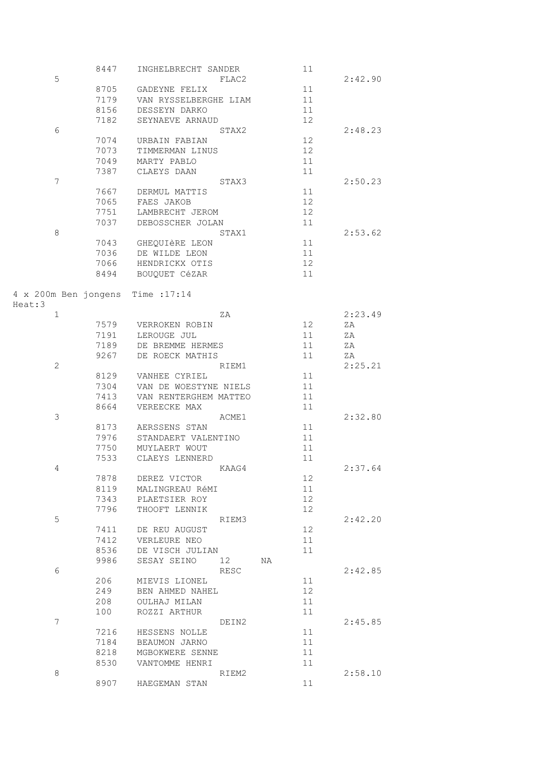|                | 8447                 | INGHELBRECHT SANDER   | 11                |         |
|----------------|----------------------|-----------------------|-------------------|---------|
| 5              |                      | FLAC2                 |                   | 2:42.90 |
|                | 8705                 | GADEYNE FELIX         | 11                |         |
|                | 7179                 | VAN RYSSELBERGHE LIAM | 11                |         |
|                | 8156                 | DESSEYN DARKO         | 11                |         |
|                | 7182                 | SEYNAEVE ARNAUD       | 12                |         |
| 6              |                      | STAX2                 |                   | 2:48.23 |
|                | 7074                 | URBAIN FABIAN         | 12                |         |
|                |                      |                       | 12                |         |
|                | 7073                 | TIMMERMAN LINUS       |                   |         |
|                | 7049                 | MARTY PABLO           | 11                |         |
|                | 7387                 | CLAEYS DAAN           | 11                |         |
| 7              |                      | STAX3                 |                   | 2:50.23 |
|                | 7667                 | DERMUL MATTIS         | 11                |         |
|                | 7065                 | FAES JAKOB            | 12                |         |
|                | 7751                 | LAMBRECHT JEROM       | 12                |         |
|                | 7037                 | DEBOSSCHER JOLAN      | 11                |         |
| 8              |                      | STAX1                 |                   | 2:53.62 |
|                |                      |                       |                   |         |
|                | 7043                 | GHEQUIÈRE LEON        | 11                |         |
|                | 7036                 | DE WILDE LEON         | 11                |         |
|                | 7066                 | HENDRICKX OTIS        | 12                |         |
|                | 8494                 | BOUQUET CéZAR         | 11                |         |
|                |                      |                       |                   |         |
|                | 4 x 200m Ben jongens | Time : 17:14          |                   |         |
| Heat:3         |                      |                       |                   |         |
| $\mathbf{1}$   |                      | ΖA                    |                   | 2:23.49 |
|                | 7579                 | VERROKEN ROBIN        | 12 <sup>2</sup>   | ΖA      |
|                | 7191                 | LEROUGE JUL           | 11                | ΖA      |
|                | 7189                 | DE BREMME HERMES      | 11                | ΖA      |
|                | 9267                 | DE ROECK MATHIS       | 11                | ZA      |
| $\overline{2}$ |                      |                       |                   |         |
|                |                      | RIEM1                 |                   | 2:25.21 |
|                | 8129                 | VANHEE CYRIEL         | 11                |         |
|                | 7304                 | VAN DE WOESTYNE NIELS | 11                |         |
|                | 7413                 | VAN RENTERGHEM MATTEO | 11                |         |
|                | 8664                 | VEREECKE MAX          | 11                |         |
| 3              |                      | ACME1                 |                   | 2:32.80 |
|                | 8173                 | AERSSENS STAN         | 11                |         |
|                | 7976                 | STANDAERT VALENTINO   | 11                |         |
|                | 7750                 | MUYLAERT WOUT         | 11                |         |
|                |                      | CLAEYS LENNERD        | 11                |         |
|                | 7533                 |                       |                   |         |
| 4              |                      | KAAG4                 |                   | 2:37.64 |
|                | 7878                 | DEREZ VICTOR          | 12                |         |
|                | 8119                 | MALINGREAU RéMI       | 11                |         |
|                | 7343                 | PLAETSIER ROY         | 12                |         |
|                | 7796                 | THOOFT LENNIK         | 12                |         |
| 5              |                      | RIEM3                 |                   | 2:42.20 |
|                | 7411                 | DE REU AUGUST         | 12                |         |
|                | 7412                 | VERLEURE NEO          | 11                |         |
|                |                      |                       |                   |         |
|                | 8536                 | DE VISCH JULIAN       | 11                |         |
|                | 9986                 | SESAY SEINO<br>12     | NA                |         |
| 6              |                      | RESC                  |                   | 2:42.85 |
|                | 206                  | MIEVIS LIONEL         | 11                |         |
|                | 249                  | BEN AHMED NAHEL       | $12 \overline{ }$ |         |
|                | 208                  | OULHAJ MILAN          | 11                |         |
|                | 100                  | ROZZI ARTHUR          | 11                |         |
| 7              |                      | DEIN2                 |                   | 2:45.85 |
|                | 7216                 | HESSENS NOLLE         | 11                |         |
|                | 7184                 |                       | 11                |         |
|                |                      | BEAUMON JARNO         |                   |         |
|                | 8218                 | MGBOKWERE SENNE       | 11                |         |
|                | 8530                 | VANTOMME HENRI        | 11                |         |
| 8              |                      | RIEM2                 |                   | 2:58.10 |
|                | 8907                 | HAEGEMAN STAN         | 11                |         |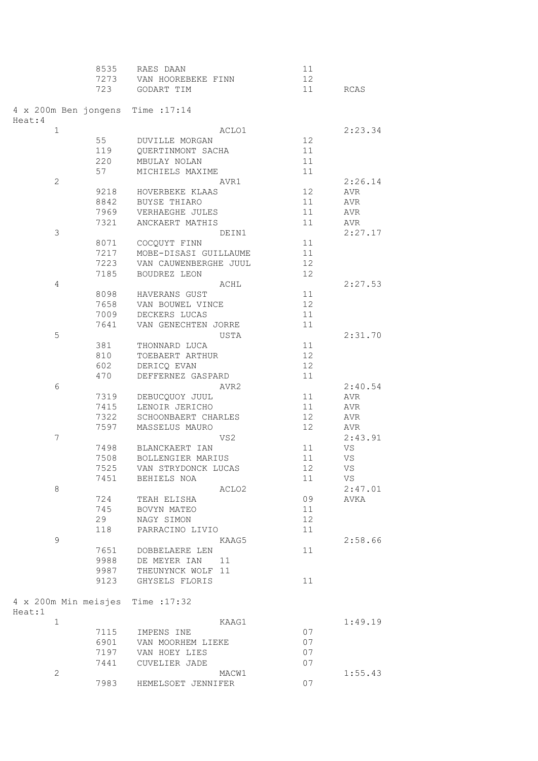|              | 8535 | RAES DAAN                         | 11 |         |
|--------------|------|-----------------------------------|----|---------|
|              | 7273 | VAN HOOREBEKE FINN                | 12 |         |
|              | 723  | GODART TIM                        | 11 | RCAS    |
|              |      |                                   |    |         |
|              |      | 4 x 200m Ben jongens Time : 17:14 |    |         |
| Heat:4       |      |                                   |    |         |
| $\mathbf{1}$ |      | ACLO1                             |    | 2:23.34 |
|              | 55   | <b>DUVILLE MORGAN</b>             | 12 |         |
|              | 119  | QUERTINMONT SACHA                 | 11 |         |
|              | 220  | MBULAY NOLAN                      | 11 |         |
|              |      |                                   | 11 |         |
|              | 57   | MICHIELS MAXIME                   |    |         |
| $\mathbf{2}$ |      | AVR1                              |    | 2:26.14 |
|              | 9218 | HOVERBEKE KLAAS                   | 12 | AVR     |
|              | 8842 | BUYSE THIARO                      | 11 | AVR     |
|              | 7969 | VERHAEGHE JULES                   | 11 | AVR     |
|              | 7321 | ANCKAERT MATHIS                   | 11 | AVR     |
| 3            |      | DEIN1                             |    | 2:27.17 |
|              | 8071 | COCQUYT FINN                      | 11 |         |
|              | 7217 | MOBE-DISASI GUILLAUME             | 11 |         |
|              | 7223 | VAN CAUWENBERGHE JUUL             | 12 |         |
|              | 7185 | <b>BOUDREZ LEON</b>               | 12 |         |
| 4            |      | ACHL                              |    | 2:27.53 |
|              | 8098 |                                   | 11 |         |
|              |      | HAVERANS GUST                     |    |         |
|              | 7658 | VAN BOUWEL VINCE                  | 12 |         |
|              | 7009 | DECKERS LUCAS                     | 11 |         |
|              | 7641 | VAN GENECHTEN JORRE               | 11 |         |
| 5            |      | USTA                              |    | 2:31.70 |
|              | 381  | THONNARD LUCA                     | 11 |         |
|              | 810  | TOEBAERT ARTHUR                   | 12 |         |
|              | 602  | DERICQ EVAN                       | 12 |         |
|              | 470  | DEFFERNEZ GASPARD                 | 11 |         |
| 6            |      | AVR2                              |    | 2:40.54 |
|              | 7319 | DEBUCQUOY JUUL                    | 11 | AVR     |
|              | 7415 | LENOIR JERICHO                    | 11 | AVR     |
|              | 7322 | SCHOONBAERT CHARLES               | 12 | AVR     |
|              | 7597 | MASSELUS MAURO                    | 12 | AVR     |
|              |      |                                   |    |         |
| 7            |      | VS2                               |    | 2:43.91 |
|              | 7498 | BLANCKAERT IAN                    | 11 | VS      |
|              | 7508 | BOLLENGIER MARIUS                 | 11 | VS      |
|              | 7525 | VAN STRYDONCK LUCAS               | 12 | VS      |
|              | 7451 | BEHIELS NOA                       | 11 | VS.     |
| $\,8\,$      |      | ACLO <sub>2</sub>                 |    | 2:47.01 |
|              | 724  | TEAH ELISHA                       | 09 | AVKA    |
|              | 745  | BOVYN MATEO                       | 11 |         |
|              | 29   | NAGY SIMON                        | 12 |         |
|              | 118  | PARRACINO LIVIO                   | 11 |         |
| 9            |      | KAAG5                             |    | 2:58.66 |
|              | 7651 | DOBBELAERE LEN                    | 11 |         |
|              | 9988 |                                   |    |         |
|              |      | DE MEYER IAN<br>11                |    |         |
|              | 9987 | THEUNYNCK WOLF 11                 |    |         |
|              | 9123 | GHYSELS FLORIS                    | 11 |         |
|              |      | 4 x 200m Min meisjes Time : 17:32 |    |         |
| Heat:1       |      |                                   |    |         |
| $\mathbf{1}$ |      | KAAG1                             |    | 1:49.19 |
|              | 7115 | IMPENS INE                        | 07 |         |
|              | 6901 | VAN MOORHEM LIEKE                 | 07 |         |
|              | 7197 | VAN HOEY LIES                     | 07 |         |
|              | 7441 | CUVELIER JADE                     | 07 |         |
| 2            |      | MACW1                             |    | 1:55.43 |
|              | 7983 | HEMELSOET JENNIFER                | 07 |         |
|              |      |                                   |    |         |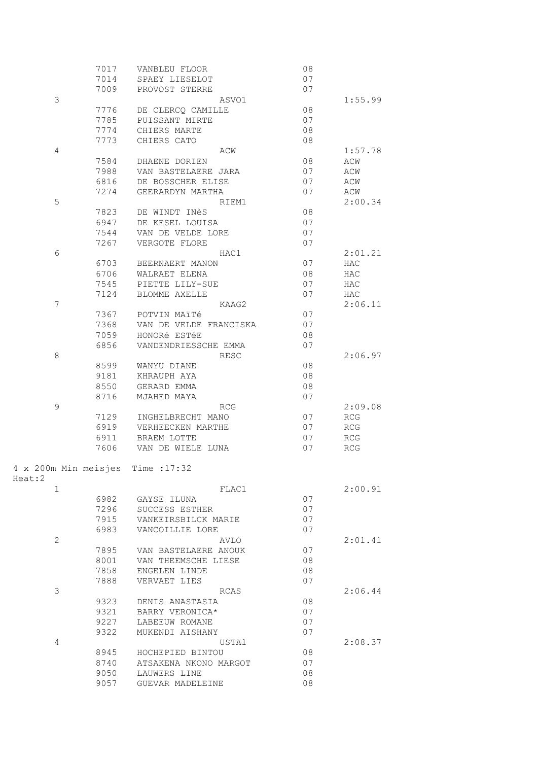|                                   | 7017 | VANBLEU FLOOR          | 08 |                             |
|-----------------------------------|------|------------------------|----|-----------------------------|
|                                   | 7014 | SPAEY LIESELOT         | 07 |                             |
|                                   | 7009 | PROVOST STERRE         | 07 |                             |
| 3                                 |      | ASVO1                  |    | 1:55.99                     |
|                                   | 7776 | DE CLERCO CAMILLE      | 08 |                             |
|                                   | 7785 | PUISSANT MIRTE         | 07 |                             |
|                                   | 7774 | CHIERS MARTE           | 08 |                             |
|                                   | 7773 | CHIERS CATO            | 08 |                             |
| 4                                 |      | ACW                    |    | 1:57.78                     |
|                                   | 7584 | DHAENE DORIEN          | 08 | ACW                         |
|                                   | 7988 | VAN BASTELAERE JARA    | 07 | ACW                         |
|                                   | 6816 |                        |    |                             |
|                                   |      | DE BOSSCHER ELISE      | 07 | ACW                         |
|                                   | 7274 | GEERARDYN MARTHA       | 07 | ACW                         |
| 5                                 |      | RIEM1                  |    | 2:00.34                     |
|                                   | 7823 | DE WINDT INÈS          | 08 |                             |
|                                   | 6947 | DE KESEL LOUISA        | 07 |                             |
|                                   | 7544 | VAN DE VELDE LORE      | 07 |                             |
|                                   | 7267 | VERGOTE FLORE          | 07 |                             |
| 6                                 |      | HAC1                   |    | 2:01.21                     |
|                                   | 6703 | BEERNAERT MANON        | 07 | HAC                         |
|                                   | 6706 | WALRAET ELENA          | 08 | HAC                         |
|                                   | 7545 | PIETTE LILY-SUE        | 07 | HAC                         |
|                                   | 7124 | BLOMME AXELLE          | 07 | HAC                         |
| 7                                 |      | KAAG2                  |    | 2:06.11                     |
|                                   | 7367 | POTVIN MAïTé           | 07 |                             |
|                                   | 7368 | VAN DE VELDE FRANCISKA | 07 |                             |
|                                   | 7059 | HONORé ESTéE           | 08 |                             |
|                                   | 6856 | VANDENDRIESSCHE EMMA   | 07 |                             |
| 8                                 |      | RESC                   |    | 2:06.97                     |
|                                   | 8599 | WANYU DIANE            | 08 |                             |
|                                   | 9181 | KHRAUPH AYA            | 08 |                             |
|                                   | 8550 | GERARD EMMA            | 08 |                             |
|                                   | 8716 | MJAHED MAYA            | 07 |                             |
| 9                                 |      |                        |    | 2:09.08                     |
|                                   |      | RCG                    |    |                             |
|                                   | 7129 | INGHELBRECHT MANO      | 07 | <b>RCG</b>                  |
|                                   | 6919 | VERHEECKEN MARTHE      | 07 | <b>RCG</b>                  |
|                                   | 6911 | BRAEM LOTTE            | 07 | RCG                         |
|                                   | 7606 | VAN DE WIELE LUNA      | 07 | $\mathop{\rm RCG}\nolimits$ |
| 4 x 200m Min meisjes Time : 17:32 |      |                        |    |                             |
| Heat:2                            |      |                        |    |                             |
| 1                                 |      | FLAC1                  |    | 2:00.91                     |
|                                   | 6982 | GAYSE ILUNA            | 07 |                             |
|                                   | 7296 | SUCCESS ESTHER         | 07 |                             |
|                                   | 7915 | VANKEIRSBILCK MARIE    | 07 |                             |
|                                   | 6983 | VANCOILLIE LORE        | 07 |                             |
| $\mathbf{2}$                      |      | AVLO                   |    | 2:01.41                     |
|                                   | 7895 | VAN BASTELAERE ANOUK   | 07 |                             |
|                                   | 8001 | VAN THEEMSCHE LIESE    | 08 |                             |
|                                   | 7858 | ENGELEN LINDE          | 08 |                             |
|                                   | 7888 | VERVAET LIES           | 07 |                             |
| 3                                 |      | RCAS                   |    | 2:06.44                     |
|                                   | 9323 | DENIS ANASTASIA        | 08 |                             |
|                                   | 9321 | BARRY VERONICA*        | 07 |                             |
|                                   | 9227 | LABEEUW ROMANE         | 07 |                             |
|                                   | 9322 | MUKENDI AISHANY        | 07 |                             |
| 4                                 |      | USTA1                  |    | 2:08.37                     |
|                                   |      |                        |    |                             |
|                                   | 8945 | HOCHEPIED BINTOU       | 08 |                             |
|                                   | 8740 | ATSAKENA NKONO MARGOT  | 07 |                             |
|                                   | 9050 | LAUWERS LINE           | 08 |                             |
|                                   | 9057 | GUEVAR MADELEINE       | 08 |                             |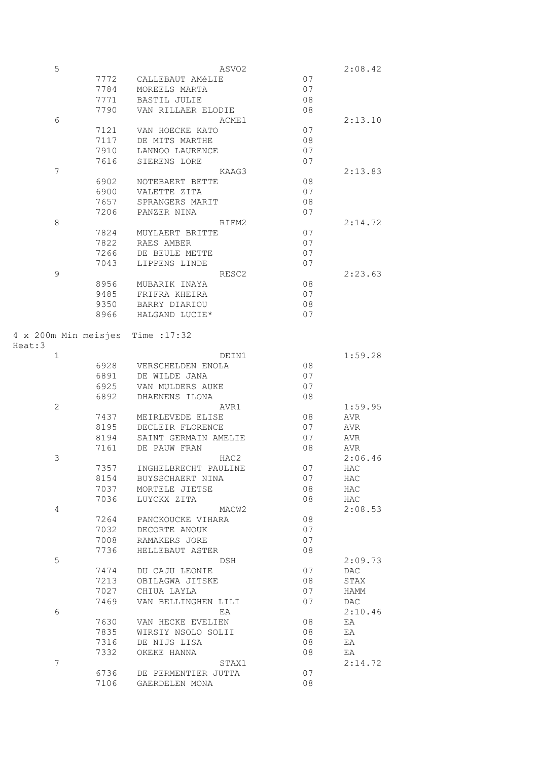| 5              |      | ASVO2                             |    | 2:08.42 |
|----------------|------|-----------------------------------|----|---------|
|                | 7772 | CALLEBAUT AMéLIE                  | 07 |         |
|                | 7784 | MOREELS MARTA                     | 07 |         |
|                | 7771 | <b>BASTIL JULIE</b>               | 08 |         |
|                | 7790 | VAN RILLAER ELODIE                | 08 |         |
| 6              |      | ACME1                             |    | 2:13.10 |
|                | 7121 | VAN HOECKE KATO                   | 07 |         |
|                | 7117 | DE MITS MARTHE                    | 08 |         |
|                | 7910 | LANNOO LAURENCE                   | 07 |         |
|                | 7616 | SIERENS LORE                      | 07 |         |
| 7              |      | KAAG3                             |    | 2:13.83 |
|                | 6902 | NOTEBAERT BETTE                   | 08 |         |
|                | 6900 | VALETTE ZITA                      | 07 |         |
|                | 7657 | SPRANGERS MARIT                   | 08 |         |
|                | 7206 | PANZER NINA                       | 07 |         |
| 8              |      | RIEM2                             |    | 2:14.72 |
|                | 7824 | MUYLAERT BRITTE                   | 07 |         |
|                | 7822 | RAES AMBER                        | 07 |         |
|                | 7266 | DE BEULE METTE                    | 07 |         |
|                | 7043 | LIPPENS LINDE                     | 07 |         |
| 9              |      | RESC2                             |    | 2:23.63 |
|                | 8956 | MUBARIK INAYA                     | 08 |         |
|                | 9485 | FRIFRA KHEIRA                     | 07 |         |
|                | 9350 | BARRY DIARIOU                     | 08 |         |
|                | 8966 | HALGAND LUCIE*                    | 07 |         |
|                |      |                                   |    |         |
|                |      | 4 x 200m Min meisjes Time : 17:32 |    |         |
| Heat:3         |      |                                   |    |         |
| 1              |      | DEIN1                             |    | 1:59.28 |
|                | 6928 | VERSCHELDEN ENOLA                 | 08 |         |
|                | 6891 | DE WILDE JANA                     | 07 |         |
|                | 6925 | VAN MULDERS AUKE                  | 07 |         |
|                | 6892 | DHAENENS ILONA                    | 08 |         |
| $\overline{2}$ |      | AVR1                              |    | 1:59.95 |
|                | 7437 | MEIRLEVEDE ELISE                  | 08 | AVR     |
|                | 8195 | DECLEIR FLORENCE                  | 07 | AVR     |
|                | 8194 | SAINT GERMAIN AMELIE              | 07 | AVR     |
|                | 7161 | DE PAUW FRAN                      | 08 | AVR     |
| 3              |      | HAC <sub>2</sub>                  |    | 2:06.46 |
|                | 7357 | INGHELBRECHT PAULINE              | 07 | HAC     |
|                | 8154 | BUYSSCHAERT NINA                  | 07 | HAC     |
|                | 7037 | MORTELE JIETSE                    | 08 | HAC     |
|                | 7036 | LUYCKX ZITA                       | 08 | HAC     |
| 4              |      | MACW2                             |    | 2:08.53 |
|                | 7264 | PANCKOUCKE VIHARA                 | 08 |         |
|                | 7032 | DECORTE ANOUK                     | 07 |         |
|                | 7008 | RAMAKERS JORE                     | 07 |         |
|                | 7736 | HELLEBAUT ASTER                   | 08 |         |
| 5              |      | DSH                               |    | 2:09.73 |
|                | 7474 | DU CAJU LEONIE                    | 07 | DAC     |
|                | 7213 | OBILAGWA JITSKE                   | 08 | STAX    |
|                | 7027 | CHIUA LAYLA                       | 07 | HAMM    |
|                | 7469 | VAN BELLINGHEN LILI               | 07 | DAC     |
| 6              |      | EA                                |    | 2:10.46 |
|                | 7630 | VAN HECKE EVELIEN                 | 08 | ΕA      |
|                | 7835 | WIRSIY NSOLO SOLII                | 08 | EA      |
|                | 7316 | DE NIJS LISA                      | 08 | EA      |
|                | 7332 | OKEKE HANNA                       | 08 | ΕA      |
| 7              |      | STAX1                             |    | 2:14.72 |
|                | 6736 | DE PERMENTIER JUTTA               | 07 |         |
|                |      |                                   |    |         |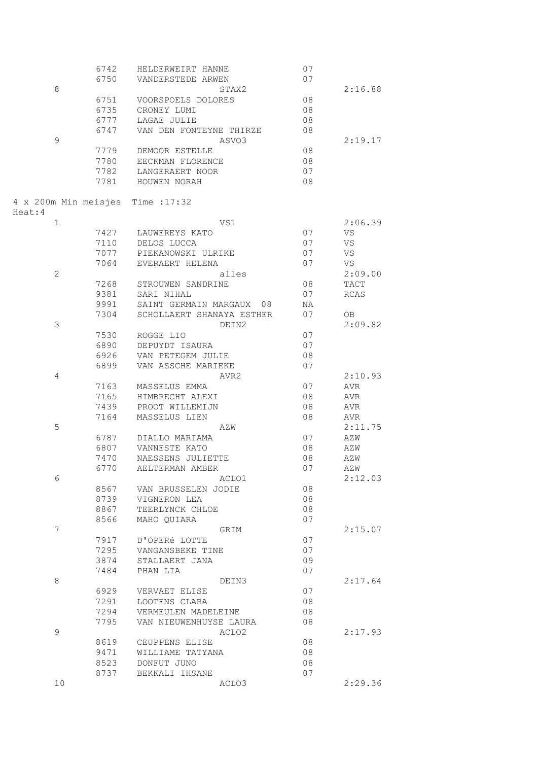|                | 6742                 | HELDERWEIRT HANNE           | 07 |                |
|----------------|----------------------|-----------------------------|----|----------------|
|                | 6750                 | VANDERSTEDE ARWEN           | 07 |                |
| $\,8\,$        |                      | STAX2                       |    | 2:16.88        |
|                | 6751                 | VOORSPOELS DOLORES          | 08 |                |
|                | 6735                 | CRONEY LUMI                 | 08 |                |
|                | 6777                 | LAGAE JULIE                 | 08 |                |
|                | 6747                 | VAN DEN FONTEYNE THIRZE     | 08 |                |
| $\mathsf 9$    |                      |                             |    | 2:19.17        |
|                |                      | ASVO3                       |    |                |
|                | 7779                 | DEMOOR ESTELLE              | 08 |                |
|                | 7780                 | EECKMAN FLORENCE            | 08 |                |
|                | 7782                 | LANGERAERT NOOR             | 07 |                |
|                | 7781                 | HOUWEN NORAH                | 08 |                |
|                |                      |                             |    |                |
|                | 4 x 200m Min meisjes | Time : 17:32                |    |                |
| Heat:4         |                      |                             |    |                |
| $\mathbf{1}$   |                      | VS1                         |    | 2:06.39        |
|                | 7427                 | LAUWEREYS KATO              | 07 | VS             |
|                | 7110                 | DELOS LUCCA                 | 07 | VS             |
|                | 7077                 | PIEKANOWSKI ULRIKE          | 07 | VS             |
|                | 7064                 | EVERAERT HELENA             | 07 | VS             |
| $\overline{c}$ |                      | alles                       |    | 2:09.00        |
|                | 7268                 |                             | 08 | TACT           |
|                |                      | STROUWEN SANDRINE           |    |                |
|                | 9381                 | SARI NIHAL                  | 07 | RCAS           |
|                | 9991                 | SAINT GERMAIN MARGAUX<br>08 | NA |                |
|                | 7304                 | SCHOLLAERT SHANAYA ESTHER   | 07 | OB.            |
| 3              |                      | DEIN2                       |    | 2:09.82        |
|                | 7530                 | ROGGE LIO                   | 07 |                |
|                | 6890                 | DEPUYDT ISAURA              | 07 |                |
|                | 6926                 | VAN PETEGEM JULIE           | 08 |                |
|                | 6899                 | VAN ASSCHE MARIEKE          | 07 |                |
| 4              |                      | AVR2                        |    | 2:10.93        |
|                | 7163                 | MASSELUS EMMA               | 07 | AVR            |
|                | 7165                 | HIMBRECHT ALEXI             | 08 | AVR            |
|                | 7439                 | PROOT WILLEMIJN             | 08 | AVR            |
|                | 7164                 | MASSELUS LIEN               | 08 |                |
| 5              |                      |                             |    | AVR<br>2:11.75 |
|                |                      | AZW                         |    |                |
|                | 6787                 | DIALLO MARIAMA              | 07 | AZW            |
|                | 6807                 | VANNESTE KATO               | 08 | AZW            |
|                | 7470                 | NAESSENS JULIETTE           | 08 | AZW            |
|                | 6770                 | AELTERMAN AMBER             | 07 | AZW            |
| 6              |                      | ACLO1                       |    | 2:12.03        |
|                | 8567                 | VAN BRUSSELEN JODIE         | 08 |                |
|                | 8739                 | VIGNERON LEA                | 08 |                |
|                | 8867                 | TEERLYNCK CHLOE             | 08 |                |
|                | 8566                 | MAHO QUIARA                 | 07 |                |
| 7              |                      | GRIM                        |    | 2:15.07        |
|                | 7917                 | D'OPERé LOTTE               | 07 |                |
|                | 7295                 | VANGANSBEKE TINE            | 07 |                |
|                | 3874                 | STALLAERT JANA              | 09 |                |
|                | 7484                 | PHAN LIA                    | 07 |                |
| 8              |                      |                             |    | 2:17.64        |
|                |                      | DEIN3                       |    |                |
|                | 6929                 | VERVAET ELISE               | 07 |                |
|                | 7291                 | LOOTENS CLARA               | 08 |                |
|                | 7294                 | VERMEULEN MADELEINE         | 08 |                |
|                | 7795                 | VAN NIEUWENHUYSE LAURA      | 08 |                |
| 9              |                      | ACLO2                       |    | 2:17.93        |
|                | 8619                 | CEUPPENS ELISE              | 08 |                |
|                | 9471                 | WILLIAME TATYANA            | 08 |                |
|                | 8523                 | DONFUT JUNO                 | 08 |                |
|                | 8737                 | BEKKALI IHSANE              | 07 |                |
| 10             |                      | ACLO3                       |    | 2:29.36        |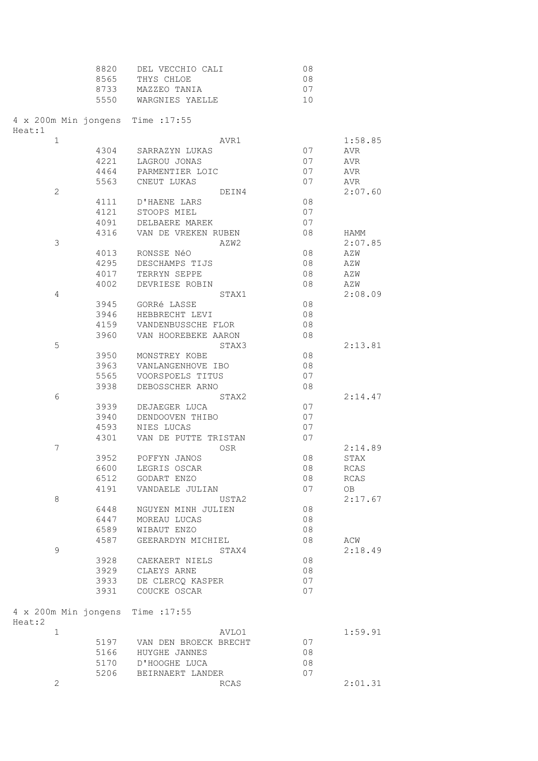|                                   | 8820         | DEL VECCHIO CALI                 | 08 |         |
|-----------------------------------|--------------|----------------------------------|----|---------|
|                                   | 8565         | THYS CHLOE                       | 08 |         |
|                                   | 8733         | MAZZEO TANIA                     | 07 |         |
|                                   | 5550         | WARGNIES YAELLE                  | 10 |         |
| 4 x 200m Min jongens Time : 17:55 |              |                                  |    |         |
| Heat:1<br>$\mathbf{1}$            |              | AVR1                             |    | 1:58.85 |
|                                   | 4304         | SARRAZYN LUKAS                   | 07 | AVR.    |
|                                   | 4221         | LAGROU JONAS                     | 07 | AVR     |
|                                   | 4464         | PARMENTIER LOIC                  | 07 | AVR     |
|                                   | 5563         | CNEUT LUKAS                      | 07 | AVR     |
| $\mathbf{2}$                      |              | DEIN4                            |    | 2:07.60 |
|                                   | 4111         | D'HAENE LARS                     | 08 |         |
|                                   | 4121         | STOOPS MIEL                      | 07 |         |
|                                   | 4091         | DELBAERE MAREK                   | 07 |         |
|                                   | 4316         | VAN DE VREKEN RUBEN              | 08 | HAMM    |
| 3                                 |              | AZW2                             |    | 2:07.85 |
|                                   | 4013         | RONSSE NéO                       | 08 | AZW     |
|                                   | 4295         | DESCHAMPS TIJS                   | 08 | AZW     |
|                                   | 4017         | TERRYN SEPPE                     | 08 | AZW     |
|                                   | 4002         | DEVRIESE ROBIN                   | 08 | AZW     |
| 4                                 |              | STAX1                            |    | 2:08.09 |
|                                   | 3945         | GORRé LASSE                      | 08 |         |
|                                   | 3946         | HEBBRECHT LEVI                   | 08 |         |
|                                   | 4159         | VANDENBUSSCHE FLOR               | 08 |         |
|                                   | 3960         | VAN HOOREBEKE AARON              | 08 |         |
| 5                                 |              | STAX3                            |    | 2:13.81 |
|                                   | 3950         | MONSTREY KOBE                    | 08 |         |
|                                   | 3963         | VANLANGENHOVE IBO                | 08 |         |
|                                   | 5565         | VOORSPOELS TITUS                 | 07 |         |
|                                   | 3938         | DEBOSSCHER ARNO                  | 08 |         |
| 6                                 |              | STAX2                            | 07 | 2:14.47 |
|                                   | 3939<br>3940 | DEJAEGER LUCA<br>DENDOOVEN THIBO | 07 |         |
|                                   | 4593         | NIES LUCAS                       | 07 |         |
|                                   | 4301         | VAN DE PUTTE TRISTAN             | 07 |         |
| $\overline{7}$                    |              | OSR                              |    | 2:14.89 |
|                                   | 3952         | POFFYN JANOS                     | 08 | STAX    |
|                                   | 6600         | LEGRIS OSCAR                     | 08 | RCAS    |
|                                   | 6512         | GODART ENZO                      | 08 | RCAS    |
|                                   | 4191         | VANDAELE JULIAN                  | 07 | OB      |
| $\,8\,$                           |              | USTA2                            |    | 2:17.67 |
|                                   | 6448         | NGUYEN MINH JULIEN               | 08 |         |
|                                   | 6447         | MOREAU LUCAS                     | 08 |         |
|                                   | 6589         | WIBAUT ENZO                      | 08 |         |
|                                   | 4587         | GEERARDYN MICHIEL                | 08 | ACW     |
| $\mathsf 9$                       |              | STAX4                            |    | 2:18.49 |
|                                   | 3928         | CAEKAERT NIELS                   | 08 |         |
|                                   | 3929         | CLAEYS ARNE                      | 08 |         |
|                                   | 3933         | DE CLERCQ KASPER                 | 07 |         |
|                                   | 3931         | COUCKE OSCAR                     | 07 |         |
| 4 x 200m Min jongens<br>Heat:2    |              | Time : 17:55                     |    |         |
| $\mathbf{1}$                      |              | AVLO1                            |    | 1:59.91 |
|                                   | 5197         | VAN DEN BROECK BRECHT            | 07 |         |
|                                   | 5166         | HUYGHE JANNES                    | 08 |         |
|                                   | 5170         | D'HOOGHE LUCA                    | 08 |         |
|                                   | 5206         | BEIRNAERT LANDER                 | 07 |         |
| 2                                 |              | RCAS                             |    | 2:01.31 |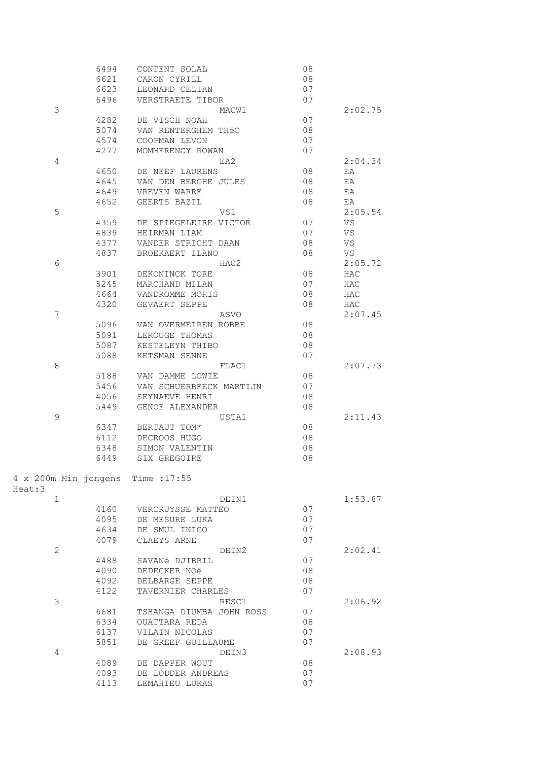|                                   | 6494 | CONTENT SOLAL              | 08 |         |
|-----------------------------------|------|----------------------------|----|---------|
|                                   | 6621 | CARON CYRILL               | 08 |         |
|                                   | 6623 | LEONARD CELIAN             | 07 |         |
|                                   | 6496 | VERSTRAETE TIBOR           | 07 |         |
| 3                                 |      | MACW1                      |    | 2:02.75 |
|                                   | 4282 | DE VISCH NOAH              | 07 |         |
|                                   | 5074 | VAN RENTERGHEM THÉO        | 08 |         |
|                                   | 4574 | COOPMAN LEVON              | 07 |         |
|                                   | 4277 | MOMMERENCY ROWAN           | 07 |         |
| 4                                 |      | EA2                        |    | 2:04.34 |
|                                   | 4650 | DE NEEF LAURENS            | 08 | EA      |
|                                   | 4645 | VAN DEN BERGHE JULES       | 08 | ΕA      |
|                                   | 4649 | VREVEN WARRE               | 08 | EA      |
|                                   | 4652 | GEERTS BAZIL               | 08 | ΕA      |
| 5                                 |      | VS1                        |    | 2:05.54 |
|                                   | 4359 | DE SPIEGELEIRE VICTOR      | 07 | VS      |
|                                   | 4839 | HEIRMAN LIAM               | 07 | VS      |
|                                   | 4377 |                            |    |         |
|                                   |      | VANDER STRICHT DAAN        | 08 | VS.     |
|                                   | 4837 | BROEKAERT ILANO            | 08 | VS      |
| 6                                 |      | HAC2                       |    | 2:05.72 |
|                                   | 3901 | DEKONINCK TORE             | 08 | HAC     |
|                                   | 5245 | MARCHAND MILAN             | 07 | HAC     |
|                                   | 4664 | VANDROMME MORIS            | 08 | HAC     |
|                                   | 4320 | GEVAERT SEPPE              | 08 | HAC     |
| 7                                 |      | ASVO                       |    | 2:07.45 |
|                                   | 5096 | VAN OVERMEIREN ROBBE       | 08 |         |
|                                   | 5091 | LEROUGE THOMAS             | 08 |         |
|                                   | 5087 | KESTELEYN THIBO            | 08 |         |
|                                   | 5088 | KETSMAN SENNE              | 07 |         |
| 8                                 |      | FLAC1                      |    | 2:07.73 |
|                                   | 5188 | VAN DAMME LOWIE            | 08 |         |
|                                   | 5456 | VAN SCHUERBEECK MARTIJN    | 07 |         |
|                                   | 4056 | SEYNAEVE HENRI             | 08 |         |
|                                   | 5449 | GENOE ALEXANDER            | 08 |         |
| 9                                 |      | USTA1                      |    | 2:11.43 |
|                                   | 6347 | BERTAUT TOM*               | 08 |         |
|                                   | 6112 | DECROOS HUGO               | 08 |         |
|                                   | 6348 | SIMON VALENTIN             | 08 |         |
|                                   | 6449 | SIX GREGOIRE               | 08 |         |
|                                   |      |                            |    |         |
| 4 x 200m Min jongens Time : 17:55 |      |                            |    |         |
| Heat:3                            |      |                            |    |         |
|                                   |      |                            |    |         |
| $\mathbf{1}$                      | 4160 | DEIN1<br>VERCRUYSSE MATTEO | 07 | 1:53.87 |
|                                   |      |                            |    |         |
|                                   | 4095 | DE MESURE LUKA             | 07 |         |
|                                   | 4634 | DE SMUL INIGO              | 07 |         |
|                                   | 4079 | CLAEYS ARNE                | 07 |         |
| $\mathbf{2}$                      |      | DEIN2                      |    | 2:02.41 |
|                                   | 4488 | SAVANÉ DJIBRIL             | 07 |         |
|                                   | 4090 | DEDECKER NOë               | 08 |         |
|                                   | 4092 | DELBARGE SEPPE             | 08 |         |
|                                   | 4122 | TAVERNIER CHARLES          | 07 |         |
| 3                                 |      | RESC1                      |    | 2:06.92 |
|                                   | 6681 | TSHANGA DIUMBA JOHN ROSS   | 07 |         |
|                                   | 6334 | OUATTARA REDA              | 08 |         |
|                                   | 6137 | VILAIN NICOLAS             | 07 |         |
|                                   | 5851 | DE GREEF GUILLAUME         | 07 |         |
| 4                                 |      | DEIN3                      |    | 2:08.93 |
|                                   | 4089 | DE DAPPER WOUT             | 08 |         |
|                                   | 4093 | DE LODDER ANDREAS          | 07 |         |
|                                   | 4113 | LEMAHIEU LUKAS             | 07 |         |
|                                   |      |                            |    |         |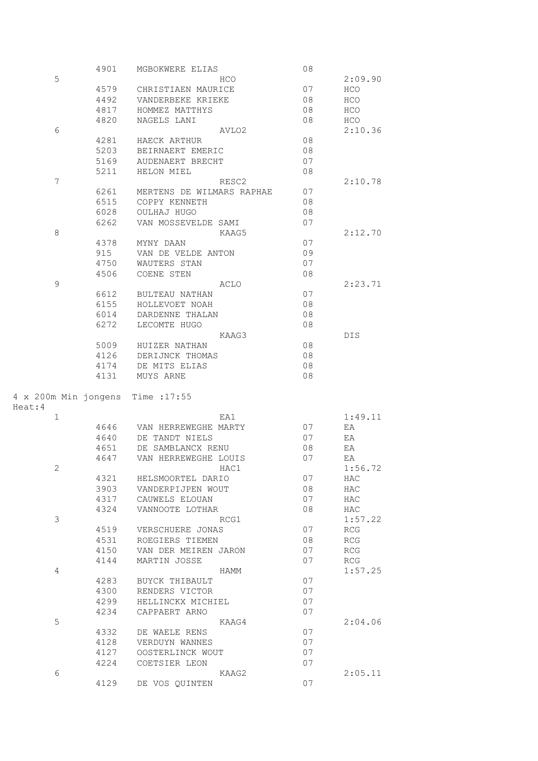|                      | 4901 | MGBOKWERE ELIAS           | 08 |            |
|----------------------|------|---------------------------|----|------------|
| 5                    |      | HCO                       |    | 2:09.90    |
|                      | 4579 | CHRISTIAEN MAURICE        | 07 | HCO        |
|                      | 4492 | VANDERBEKE KRIEKE         | 08 | <b>HCO</b> |
|                      | 4817 |                           | 08 | <b>HCO</b> |
|                      |      | HOMMEZ MATTHYS            |    |            |
|                      | 4820 | NAGELS LANI               | 08 | <b>HCO</b> |
| 6                    |      | AVLO <sub>2</sub>         |    | 2:10.36    |
|                      | 4281 | HAECK ARTHUR              | 08 |            |
|                      | 5203 | BEIRNAERT EMERIC          | 08 |            |
|                      | 5169 | AUDENAERT BRECHT          | 07 |            |
|                      | 5211 | HELON MIEL                | 08 |            |
| 7                    |      | RESC2                     |    | 2:10.78    |
|                      | 6261 | MERTENS DE WILMARS RAPHAE | 07 |            |
|                      |      |                           |    |            |
|                      | 6515 | COPPY KENNETH             | 08 |            |
|                      | 6028 | OULHAJ HUGO               | 08 |            |
|                      | 6262 | VAN MOSSEVELDE SAMI       | 07 |            |
| 8                    |      | KAAG5                     |    | 2:12.70    |
|                      | 4378 | MYNY DAAN                 | 07 |            |
|                      | 915  | VAN DE VELDE ANTON        | 09 |            |
|                      | 4750 | WAUTERS STAN              | 07 |            |
|                      | 4506 | COENE STEN                | 08 |            |
|                      |      |                           |    |            |
| 9                    |      | ACLO                      |    | 2:23.71    |
|                      | 6612 | BULTEAU NATHAN            | 07 |            |
|                      | 6155 | HOLLEVOET NOAH            | 08 |            |
|                      | 6014 | DARDENNE THALAN           | 08 |            |
|                      | 6272 | LECOMTE HUGO              | 08 |            |
|                      |      | KAAG3                     |    | <b>DIS</b> |
|                      | 5009 | HUIZER NATHAN             | 08 |            |
|                      | 4126 | DERIJNCK THOMAS           | 08 |            |
|                      |      |                           |    |            |
|                      |      |                           |    |            |
|                      | 4174 | DE MITS ELIAS             | 08 |            |
|                      | 4131 | MUYS ARNE                 | 08 |            |
|                      |      |                           |    |            |
| 4 x 200m Min jongens |      | Time : 17:55              |    |            |
| Heat: 4              |      |                           |    |            |
| $\mathbf 1$          |      | EA1                       |    | 1:49.11    |
|                      |      |                           |    |            |
|                      | 4646 | VAN HERREWEGHE MARTY      | 07 | EA         |
|                      | 4640 | DE TANDT NIELS            | 07 | ΕA         |
|                      | 4651 | DE SAMBLANCX RENU         | 08 | ΕA         |
|                      | 4647 | VAN HERREWEGHE LOUIS      | 07 | EA         |
| $\mathbf{2}$         |      | HAC1                      |    | 1:56.72    |
|                      | 4321 | HELSMOORTEL DARIO         | 07 | HAC        |
|                      | 3903 | VANDERPIJPEN WOUT         | 08 | HAC        |
|                      |      |                           | 07 |            |
|                      | 4317 | CAUWELS ELOUAN            |    | HAC        |
|                      | 4324 | VANNOOTE LOTHAR           | 08 | HAC        |
| 3                    |      | RCG1                      |    | 1:57.22    |
|                      | 4519 | VERSCHUERE JONAS          | 07 | <b>RCG</b> |
|                      | 4531 | ROEGIERS TIEMEN           | 08 | RCG        |
|                      | 4150 | VAN DER MEIREN JARON      | 07 | RCG        |
|                      | 4144 | MARTIN JOSSE              | 07 | RCG        |
| 4                    |      | HAMM                      |    | 1:57.25    |
|                      |      |                           |    |            |
|                      | 4283 | BUYCK THIBAULT            | 07 |            |
|                      | 4300 | RENDERS VICTOR            | 07 |            |
|                      | 4299 | HELLINCKX MICHIEL         | 07 |            |
|                      | 4234 | CAPPAERT ARNO             | 07 |            |
| 5                    |      | KAAG4                     |    | 2:04.06    |
|                      | 4332 | DE WAELE RENS             | 07 |            |
|                      | 4128 | VERDUYN WANNES            | 07 |            |
|                      | 4127 | OOSTERLINCK WOUT          |    |            |
|                      |      |                           | 07 |            |
|                      | 4224 | COETSIER LEON             | 07 |            |
| 6                    | 4129 | KAAG2<br>DE VOS QUINTEN   | 07 | 2:05.11    |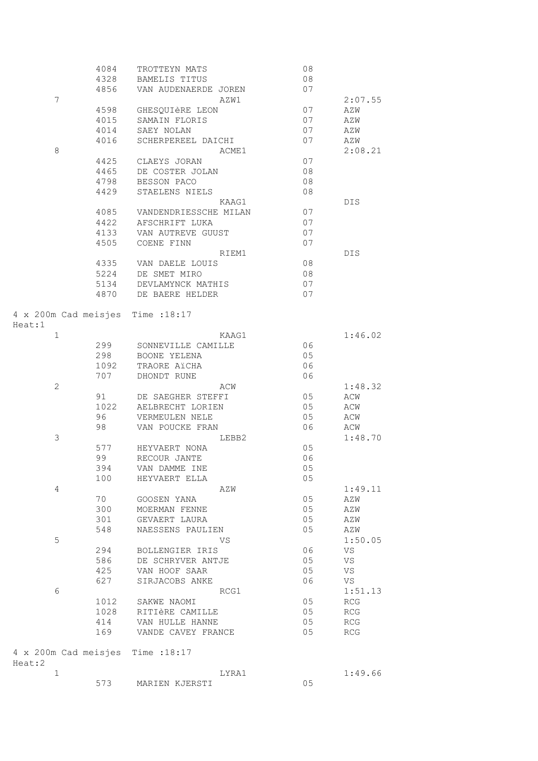|        |              | 4084 | TROTTEYN MATS                     |       | 08             |                                  |
|--------|--------------|------|-----------------------------------|-------|----------------|----------------------------------|
|        |              | 4328 | BAMELIS TITUS                     |       | 08             |                                  |
|        |              | 4856 | VAN AUDENAERDE JOREN              |       | 07             |                                  |
|        | 7            |      |                                   | AZW1  |                | 2:07.55                          |
|        |              | 4598 | GHESQUIÈRE LEON                   |       | 07             | AZW                              |
|        |              | 4015 | SAMAIN FLORIS                     |       | 07             | AZW                              |
|        |              | 4014 | SAEY NOLAN                        |       | 07             | AZW                              |
|        |              | 4016 | SCHERPEREEL DAICHI                |       | 07             | AZW                              |
|        | 8            |      |                                   | ACME1 |                | 2:08.21                          |
|        |              | 4425 | CLAEYS JORAN                      |       | 07             |                                  |
|        |              | 4465 | DE COSTER JOLAN                   |       | 08             |                                  |
|        |              | 4798 | BESSON PACO                       |       | 08             |                                  |
|        |              | 4429 | STAELENS NIELS                    |       | 08             |                                  |
|        |              |      |                                   | KAAG1 |                | DIS                              |
|        |              | 4085 | VANDENDRIESSCHE MILAN             |       | 07             |                                  |
|        |              | 4422 | AFSCHRIFT LUKA                    |       | 07             |                                  |
|        |              | 4133 |                                   |       | 07             |                                  |
|        |              |      | VAN AUTREVE GUUST                 |       |                |                                  |
|        |              | 4505 | COENE FINN                        |       | 07             |                                  |
|        |              |      |                                   | RIEM1 |                | DIS                              |
|        |              | 4335 | VAN DAELE LOUIS                   |       | 08             |                                  |
|        |              | 5224 | DE SMET MIRO                      |       | 08             |                                  |
|        |              | 5134 | DEVLAMYNCK MATHIS                 |       | 07             |                                  |
|        |              | 4870 | DE BAERE HELDER                   |       | 07             |                                  |
|        |              |      |                                   |       |                |                                  |
|        |              |      | 4 x 200m Cad meisjes Time : 18:17 |       |                |                                  |
| Heat:1 |              |      |                                   |       |                |                                  |
|        | $\mathbf{1}$ |      |                                   | KAAG1 |                | 1:46.02                          |
|        |              | 299  | SONNEVILLE CAMILLE                |       | 06             |                                  |
|        |              | 298  | BOONE YELENA                      |       | 05             |                                  |
|        |              | 1092 | TRAORE AïCHA                      |       | 06             |                                  |
|        |              | 707  | DHONDT RUNE                       |       | 06             |                                  |
|        | $\mathbf{2}$ |      |                                   | ACW   |                | 1:48.32                          |
|        |              | 91   | DE SAEGHER STEFFI                 |       | 05             | ACW                              |
|        |              | 1022 | AELBRECHT LORIEN                  |       | 05             | ACW                              |
|        |              | 96   | VERMEULEN NELE                    |       | 05             | ACW                              |
|        |              | 98   | VAN POUCKE FRAN                   |       | 06             | ACW                              |
|        | 3            |      |                                   | LEBB2 |                | 1:48.70                          |
|        |              | 577  | HEYVAERT NONA                     |       | 05             |                                  |
|        |              | 99   | RECOUR JANTE                      |       | 06             |                                  |
|        |              | 394  | VAN DAMME INE                     |       | 05             |                                  |
|        |              | 100  | HEYVAERT ELLA                     |       | 05             |                                  |
|        | 4            |      |                                   | AZW   |                | 1:49.11                          |
|        |              | 70   | GOOSEN YANA                       |       | 05             | AZW                              |
|        |              | 300  | MOERMAN FENNE                     |       | 05             | AZW                              |
|        |              |      |                                   |       |                |                                  |
|        |              | 301  | GEVAERT LAURA                     |       | 05             | AZW                              |
|        |              | 548  | NAESSENS PAULIEN                  |       | 05             | AZW                              |
|        | 5            |      |                                   | VS    |                | 1:50.05                          |
|        |              | 294  | BOLLENGIER IRIS                   |       | 06             | VS                               |
|        |              | 586  | DE SCHRYVER ANTJE                 |       | 05             | VS                               |
|        |              | 425  | VAN HOOF SAAR                     |       | 05             | VS                               |
|        |              | 627  | SIRJACOBS ANKE                    |       | 06             | VS                               |
|        | 6            |      |                                   | RCG1  |                | 1:51.13                          |
|        |              |      |                                   |       | 0 <sub>5</sub> | RCG                              |
|        |              | 1012 | SAKWE NAOMI                       |       |                |                                  |
|        |              | 1028 | RITIÈRE CAMILLE                   |       | 05             | RCG                              |
|        |              | 414  | VAN HULLE HANNE                   |       | 05             | RCG                              |
|        |              | 169  | VANDE CAVEY FRANCE                |       | 05             | $\mathbb{R}\mathbb{C}\mathbb{G}$ |
|        |              |      |                                   |       |                |                                  |
|        |              |      | 4 x 200m Cad meisjes Time : 18:17 |       |                |                                  |
| Heat:2 |              |      |                                   |       |                |                                  |
|        | $\mathbf 1$  |      |                                   | LYRA1 |                | 1:49.66                          |
|        |              | 573  | MARIEN KJERSTI                    |       | 05             |                                  |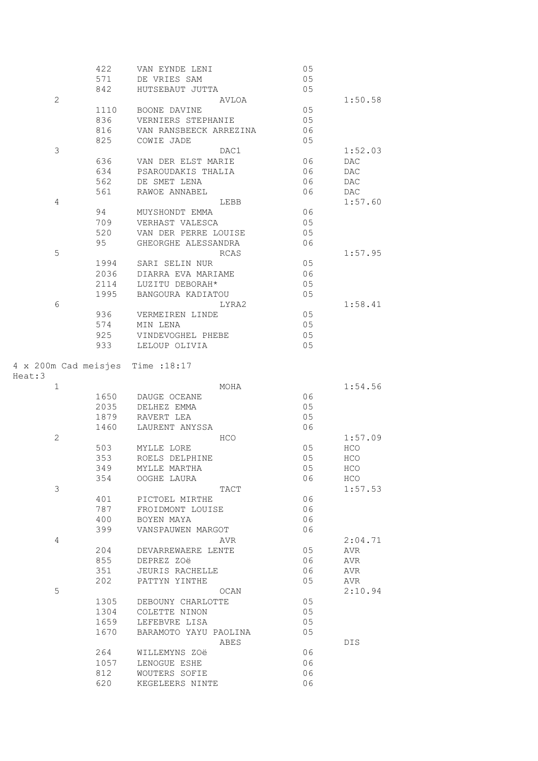|                                   | 422        | VAN EYNDE LENI                   | 05       |            |
|-----------------------------------|------------|----------------------------------|----------|------------|
|                                   | 571        | DE VRIES SAM                     | 05       |            |
|                                   | 842        | HUTSEBAUT JUTTA                  | 05       |            |
| $\overline{2}$                    |            | AVLOA                            |          | 1:50.58    |
|                                   | 1110       | BOONE DAVINE                     | 05       |            |
|                                   | 836        | VERNIERS STEPHANIE               | 05       |            |
|                                   | 816        | VAN RANSBEECK ARREZINA           | 06       |            |
|                                   | 825        | COWIE JADE                       | 05       |            |
| 3                                 |            | DAC1                             |          | 1:52.03    |
|                                   | 636        | VAN DER ELST MARIE               | 06       | DAC        |
|                                   | 634        | PSAROUDAKIS THALIA               | 06       | DAC        |
|                                   | 562        | DE SMET LENA                     | 06       | DAC        |
|                                   | 561        | RAWOE ANNABEL                    | 06       | DAC        |
| 4                                 |            | LEBB                             |          | 1:57.60    |
|                                   | 94         | MUYSHONDT EMMA                   | 06       |            |
|                                   | 709        | VERHAST VALESCA                  | 05       |            |
|                                   | 520        | VAN DER PERRE LOUISE             | 05       |            |
|                                   | 95         | GHEORGHE ALESSANDRA              | 06       |            |
| 5                                 |            | RCAS                             |          | 1:57.95    |
|                                   | 1994       | SARI SELIN NUR                   | 05       |            |
|                                   | 2036       | DIARRA EVA MARIAME               | 06       |            |
|                                   | 2114       | LUZITU DEBORAH*                  | 05       |            |
|                                   | 1995       | BANGOURA KADIATOU                | 05       |            |
| 6                                 |            | LYRA2                            |          | 1:58.41    |
|                                   | 936        | VERMEIREN LINDE                  | 05       |            |
|                                   | 574        | MIN LENA                         | 05       |            |
|                                   | 925        | VINDEVOGHEL PHEBE                | 05       |            |
|                                   | 933        | LELOUP OLIVIA                    | 05       |            |
| 4 x 200m Cad meisjes Time : 18:17 |            |                                  |          |            |
| Heat:3                            |            |                                  |          |            |
| $\mathbf{1}$                      |            | MOHA                             |          | 1:54.56    |
|                                   | 1650       | DAUGE OCEANE                     | 06       |            |
|                                   | 2035       | DELHEZ EMMA                      | 05       |            |
|                                   | 1879       | RAVERT LEA                       | 05       |            |
|                                   | 1460       | LAURENT ANYSSA                   | 06       |            |
| $\overline{c}$                    |            | <b>HCO</b>                       |          | 1:57.09    |
|                                   | 503        | MYLLE LORE                       | 05       | HCO        |
|                                   | 353        | ROELS DELPHINE                   | 05       | HCO        |
|                                   | 349        | MYLLE MARTHA                     | 05       | HCO        |
|                                   | 354        | OOGHE LAURA                      | 06       | <b>HCO</b> |
| 3                                 |            | TACT                             |          | 1:57.53    |
|                                   | 401        | PICTOEL MIRTHE                   | 06       |            |
|                                   | 787        | FROIDMONT LOUISE                 | 06       |            |
|                                   | 400        | BOYEN MAYA                       | 06       |            |
|                                   | 399        | VANSPAUWEN MARGOT                | 06       |            |
| 4                                 |            | AVR                              |          | 2:04.71    |
|                                   | 204        | DEVARREWAERE LENTE               | 05       | AVR        |
|                                   | 855        | DEPREZ ZOë                       | 06       | AVR        |
|                                   | 351        | JEURIS RACHELLE                  | 06       | AVR        |
|                                   | 202        | PATTYN YINTHE                    | 05       | AVR        |
| 5                                 |            | OCAN                             |          | 2:10.94    |
|                                   | 1305       | DEBOUNY CHARLOTTE                | 05       |            |
|                                   | 1304       | COLETTE NINON                    | 05       |            |
|                                   | 1659       | LEFEBVRE LISA                    | 05       |            |
|                                   | 1670       | BARAMOTO YAYU PAOLINA            | 05       |            |
|                                   |            | ABES                             |          | DIS        |
|                                   | 264        | WILLEMYNS ZOë                    | 06       |            |
|                                   | 1057       | LENOGUE ESHE                     | 06       |            |
|                                   | 812<br>620 | WOUTERS SOFIE<br>KEGELEERS NINTE | 06<br>06 |            |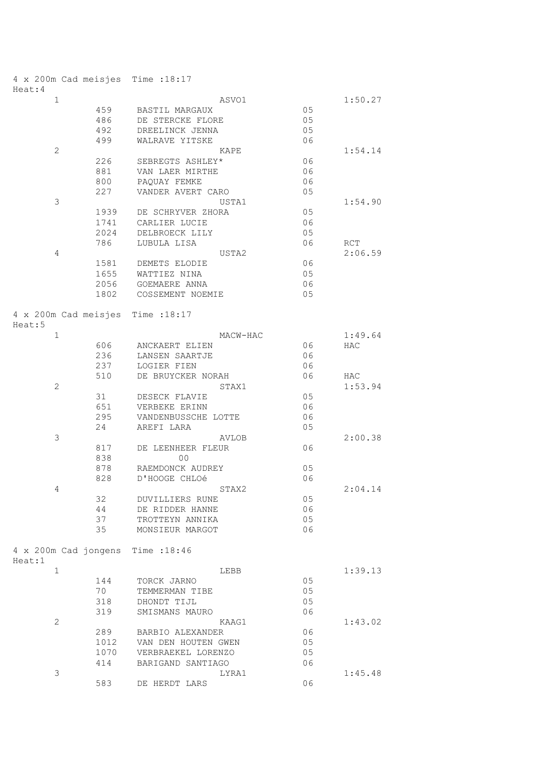|                       |      | 4 x 200m Cad meisjes Time : 18:17 |          |         |
|-----------------------|------|-----------------------------------|----------|---------|
| Heat:4                |      |                                   |          |         |
| $\mathbf{1}$          |      | ASVO1                             |          | 1:50.27 |
|                       |      | 459 BASTIL MARGAUX                | 05       |         |
|                       | 486  | DE STERCKE FLORE                  | 05       |         |
|                       | 492  | DREELINCK JENNA                   | 05       |         |
|                       | 499  | WALRAVE YITSKE                    | 06       |         |
| 2                     |      | KAPE                              |          | 1:54.14 |
|                       | 226  | SEBREGTS ASHLEY*                  | 06       |         |
|                       | 881  | VAN LAER MIRTHE                   | 06       |         |
|                       | 800  | PAQUAY FEMKE                      | 06       |         |
|                       | 227  | VANDER AVERT CARO                 | 05       |         |
| 3                     |      | USTA1                             |          | 1:54.90 |
|                       | 1939 | DE SCHRYVER ZHORA                 | 05       |         |
|                       | 1741 | CARLIER LUCIE                     | 06       |         |
|                       | 2024 |                                   | 05       |         |
|                       |      | DELBROECK LILY                    |          |         |
|                       | 786  | LUBULA LISA                       | 06       | RCT     |
| 4                     |      | USTA2                             |          | 2:06.59 |
|                       | 1581 | DEMETS ELODIE                     | 06       |         |
|                       | 1655 | WATTIEZ NINA                      | 05       |         |
|                       | 2056 | GOEMAERE ANNA                     | 06       |         |
|                       | 1802 | COSSEMENT NOEMIE                  | 05       |         |
|                       |      | 4 x 200m Cad meisjes Time : 18:17 |          |         |
| Heat:5                |      |                                   |          |         |
| $\mathbf{1}$          |      |                                   | MACW-HAC | 1:49.64 |
|                       | 606  | ANCKAERT ELIEN                    | 06       | HAC     |
|                       | 236  | LANSEN SAARTJE                    | 06       |         |
|                       | 237  | LOGIER FIEN                       | 06       |         |
|                       | 510  | DE BRUYCKER NORAH                 | 06       | HAC     |
| 2                     |      | STAX1                             |          | 1:53.94 |
|                       | 31   | DESECK FLAVIE                     | 05       |         |
|                       | 651  | VERBEKE ERINN                     | 06       |         |
|                       | 295  | VANDENBUSSCHE LOTTE               | 06       |         |
|                       | 24   | AREFI LARA                        | 05       |         |
| 3                     |      | AVLOB                             |          | 2:00.38 |
|                       | 817  |                                   | 06       |         |
|                       |      | DE LEENHEER FLEUR                 |          |         |
|                       | 838  | 0 <sub>0</sub>                    |          |         |
|                       | 878  | RAEMDONCK AUDREY                  | 05       |         |
|                       | 828  | D'HOOGE CHLOé                     | 06       |         |
| 4                     |      | STAX2                             |          | 2:04.14 |
|                       | 32   | DUVILLIERS RUNE                   | 05       |         |
|                       | 44   | DE RIDDER HANNE                   | 06       |         |
|                       | 37   | TROTTEYN ANNIKA                   | 05       |         |
|                       | 35   | MONSIEUR MARGOT                   | 06       |         |
|                       |      | 4 x 200m Cad jongens Time : 18:46 |          |         |
| Heat:1<br>$\mathbf 1$ |      | LEBB                              |          | 1:39.13 |
|                       | 144  | TORCK JARNO                       | 05       |         |
|                       | 70   |                                   | 05       |         |
|                       |      | TEMMERMAN TIBE                    |          |         |
|                       | 318  | DHONDT TIJL                       | 05       |         |
|                       | 319  | SMISMANS MAURO                    | 06       |         |
| 2                     |      | KAAG1                             |          | 1:43.02 |
|                       | 289  | BARBIO ALEXANDER                  | 06       |         |
|                       | 1012 | VAN DEN HOUTEN GWEN               | 05       |         |
|                       | 1070 | VERBRAEKEL LORENZO                | 05       |         |
|                       | 414  | BARIGAND SANTIAGO                 | 06       |         |
| 3                     |      | LYRA1                             |          | 1:45.48 |
|                       | 583  | DE HERDT LARS                     | 06       |         |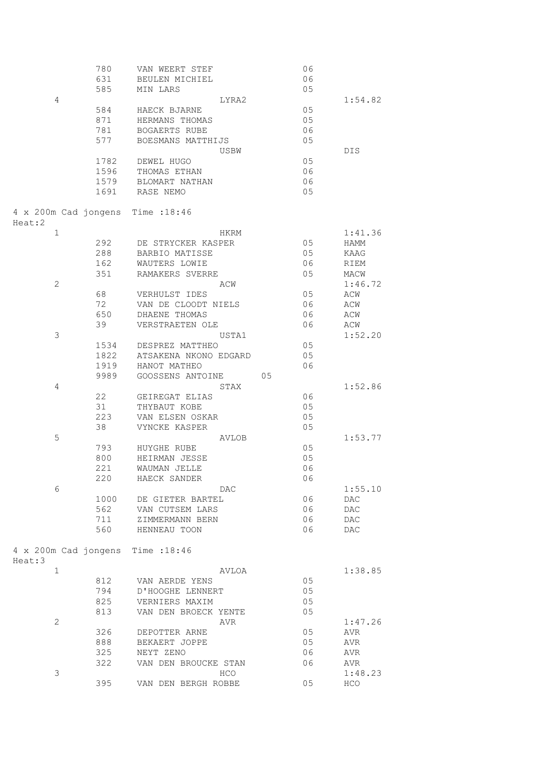|                                | 780  | VAN WEERT STEF        | 06 |                    |
|--------------------------------|------|-----------------------|----|--------------------|
|                                | 631  | BEULEN MICHIEL        | 06 |                    |
|                                | 585  | MIN LARS              | 05 |                    |
| 4                              |      | LYRA2                 |    | 1:54.82            |
|                                | 584  | HAECK BJARNE          | 05 |                    |
|                                | 871  | HERMANS THOMAS        | 05 |                    |
|                                | 781  | BOGAERTS RUBE         | 06 |                    |
|                                | 577  | BOESMANS MATTHIJS     | 05 |                    |
|                                |      |                       |    | DIS                |
|                                |      | USBW                  | 05 |                    |
|                                | 1782 | DEWEL HUGO            |    |                    |
|                                | 1596 | THOMAS ETHAN          | 06 |                    |
|                                | 1579 | BLOMART NATHAN        | 06 |                    |
|                                | 1691 | RASE NEMO             | 05 |                    |
|                                |      |                       |    |                    |
| 4 x 200m Cad jongens<br>Heat:2 |      | Time : 18:46          |    |                    |
| $\mathbf{1}$                   |      | HKRM                  |    | 1:41.36            |
|                                | 292  |                       | 05 | HAMM               |
|                                |      | DE STRYCKER KASPER    |    |                    |
|                                | 288  | BARBIO MATISSE        | 05 | KAAG               |
|                                | 162  | WAUTERS LOWIE         | 06 | RIEM               |
|                                | 351  | RAMAKERS SVERRE       | 05 | MACW               |
| 2                              |      | ACW                   |    | 1:46.72            |
|                                | 68   | VERHULST IDES         | 05 | ACW                |
|                                | 72   | VAN DE CLOODT NIELS   | 06 | ACW                |
|                                | 650  | DHAENE THOMAS         | 06 | ACW                |
|                                | 39   | VERSTRAETEN OLE       | 06 | ACW                |
| 3                              |      | USTA1                 |    | 1:52.20            |
|                                | 1534 | DESPREZ MATTHEO       | 05 |                    |
|                                | 1822 | ATSAKENA NKONO EDGARD | 05 |                    |
|                                | 1919 | HANOT MATHEO          | 06 |                    |
|                                | 9989 | GOOSSENS ANTOINE      | 05 |                    |
| 4                              |      | STAX                  |    | 1:52.86            |
|                                | 22   | GEIREGAT ELIAS        | 06 |                    |
|                                | 31   | THYBAUT KOBE          | 05 |                    |
|                                | 223  | VAN ELSEN OSKAR       | 05 |                    |
|                                | 38   | VYNCKE KASPER         | 05 |                    |
|                                |      |                       |    |                    |
| 5                              |      | AVLOB                 |    | 1:53.77            |
|                                | 793  | HUYGHE RUBE           | 05 |                    |
|                                | 800  | HEIRMAN JESSE         | 05 |                    |
|                                | 221  | WAUMAN JELLE          | 06 |                    |
|                                | 220  | HAECK SANDER          | 06 |                    |
| 6                              |      | DAC                   |    | 1:55.10            |
|                                | 1000 | DE GIETER BARTEL      | 06 | DAC                |
|                                | 562  | VAN CUTSEM LARS       | 06 | DAC                |
|                                | 711  | ZIMMERMANN BERN       | 06 | $\mathop{\rm DAC}$ |
|                                | 560  | HENNEAU TOON          | 06 | DAC                |
|                                |      |                       |    |                    |
| 4 x 200m Cad jongens           |      | Time : 18:46          |    |                    |
| Heat:3                         |      |                       |    |                    |
| 1                              |      | AVLOA                 |    | 1:38.85            |
|                                | 812  | VAN AERDE YENS        | 05 |                    |
|                                | 794  | D'HOOGHE LENNERT      | 05 |                    |
|                                | 825  | VERNIERS MAXIM        | 05 |                    |
|                                | 813  | VAN DEN BROECK YENTE  | 05 |                    |
| 2                              |      | AVR                   |    | 1:47.26            |
|                                | 326  | DEPOTTER ARNE         | 05 | AVR                |
|                                | 888  | BEKAERT JOPPE         | 05 | AVR                |
|                                | 325  | NEYT ZENO             | 06 | AVR                |
|                                | 322  | VAN DEN BROUCKE STAN  | 06 | AVR                |
| 3                              |      | <b>HCO</b>            |    | 1:48.23            |
|                                | 395  | VAN DEN BERGH ROBBE   | 05 | HCO                |
|                                |      |                       |    |                    |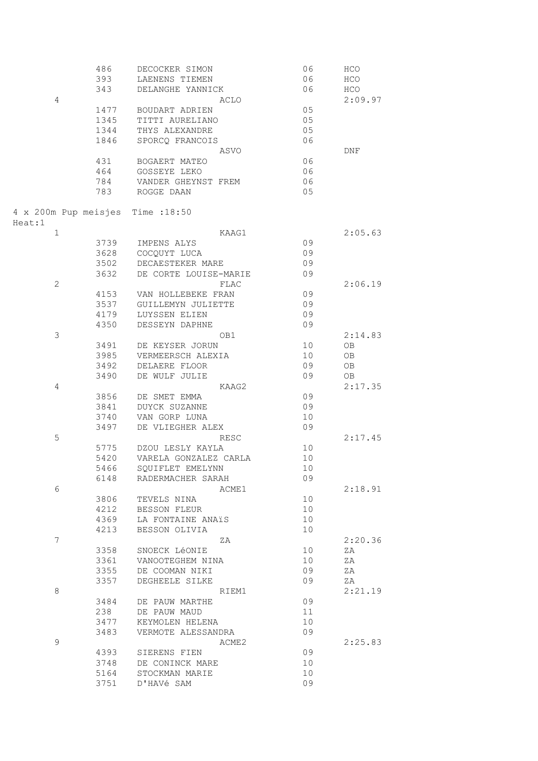|                       | 486          | DECOCKER SIMON                    | 06 | HCO      |
|-----------------------|--------------|-----------------------------------|----|----------|
|                       | 393          | LAENENS TIEMEN                    | 06 | HCO      |
|                       | 343          | DELANGHE YANNICK                  | 06 | HCO      |
| $\overline{4}$        |              | ACLO                              |    | 2:09.97  |
|                       | 1477         | BOUDART ADRIEN                    | 05 |          |
|                       | 1345         | TITTI AURELIANO                   | 05 |          |
|                       | 1344         | THYS ALEXANDRE                    | 05 |          |
|                       | 1846         | SPORCQ FRANCOIS                   | 06 |          |
|                       |              | ASVO                              |    | DNF      |
|                       | 431          | BOGAERT MATEO                     | 06 |          |
|                       | 464          | GOSSEYE LEKO                      | 06 |          |
|                       | 784          | VANDER GHEYNST FREM               | 06 |          |
|                       | 783          | ROGGE DAAN                        | 05 |          |
| 4 x 200m Pup meisjes  |              | Time : 18:50                      |    |          |
| Heat:1<br>$\mathbf 1$ |              | KAAG1                             |    | 2:05.63  |
|                       | 3739         | IMPENS ALYS                       | 09 |          |
|                       | 3628         | COCQUYT LUCA                      | 09 |          |
|                       | 3502         | DECAESTEKER MARE                  | 09 |          |
|                       | 3632         | DE CORTE LOUISE-MARIE             | 09 |          |
| $\mathbf{2}$          |              |                                   |    | 2:06.19  |
|                       | 4153         | FLAC<br>VAN HOLLEBEKE FRAN        | 09 |          |
|                       | 3537         |                                   | 09 |          |
|                       |              | GUILLEMYN JULIETTE                | 09 |          |
|                       | 4179<br>4350 | LUYSSEN ELIEN<br>DESSEYN DAPHNE   | 09 |          |
| $\mathfrak{Z}$        |              |                                   |    |          |
|                       |              | OB1                               | 10 | 2:14.83  |
|                       | 3491<br>3985 | DE KEYSER JORUN                   | 10 | OВ       |
|                       |              | VERMEERSCH ALEXIA                 | 09 | OB       |
|                       | 3492<br>3490 | DELAERE FLOOR                     | 09 | OВ<br>OB |
|                       |              | DE WULF JULIE                     |    |          |
| 4                     |              | KAAG2                             |    | 2:17.35  |
|                       | 3856         | DE SMET EMMA                      | 09 |          |
|                       | 3841         | DUYCK SUZANNE                     | 09 |          |
|                       | 3740         | VAN GORP LUNA<br>DE VLIEGHER ALEX | 10 |          |
| 5                     | 3497         |                                   | 09 |          |
|                       |              | RESC                              |    | 2:17.45  |
|                       | 5775         | DZOU LESLY KAYLA                  | 10 |          |
|                       | 5420         | VARELA GONZALEZ CARLA             | 10 |          |
|                       | 5466         | SOUIFLET EMELYNN                  | 10 |          |
| 6                     | 6148         | RADERMACHER SARAH                 | 09 |          |
|                       |              | ACME1<br>TEVELS NINA              |    | 2:18.91  |
|                       | 3806         |                                   | 10 |          |
|                       | 4212         | BESSON FLEUR                      | 10 |          |
|                       | 4369         | LA FONTAINE ANAIS                 | 10 |          |
|                       | 4213         | BESSON OLIVIA                     | 10 |          |
| 7                     |              | ΖA                                |    | 2:20.36  |
|                       | 3358         | SNOECK LéONIE                     | 10 | ΖA       |
|                       | 3361         | VANOOTEGHEM NINA                  | 10 | ΖA       |
|                       | 3355         | DE COOMAN NIKI                    | 09 | ΖA       |
|                       | 3357         | DEGHEELE SILKE                    | 09 | ΖA       |
| 8                     |              | RIEM1                             |    | 2:21.19  |
|                       | 3484         | DE PAUW MARTHE                    | 09 |          |
|                       | 238          | DE PAUW MAUD                      | 11 |          |
|                       | 3477         | KEYMOLEN HELENA                   | 10 |          |
|                       | 3483         | VERMOTE ALESSANDRA                | 09 |          |
| 9                     |              | ACME2                             |    | 2:25.83  |
|                       | 4393         | SIERENS FIEN                      | 09 |          |
|                       | 3748         | DE CONINCK MARE                   | 10 |          |
|                       | 5164         | STOCKMAN MARIE                    | 10 |          |
|                       | 3751         | D'HAVé SAM                        | 09 |          |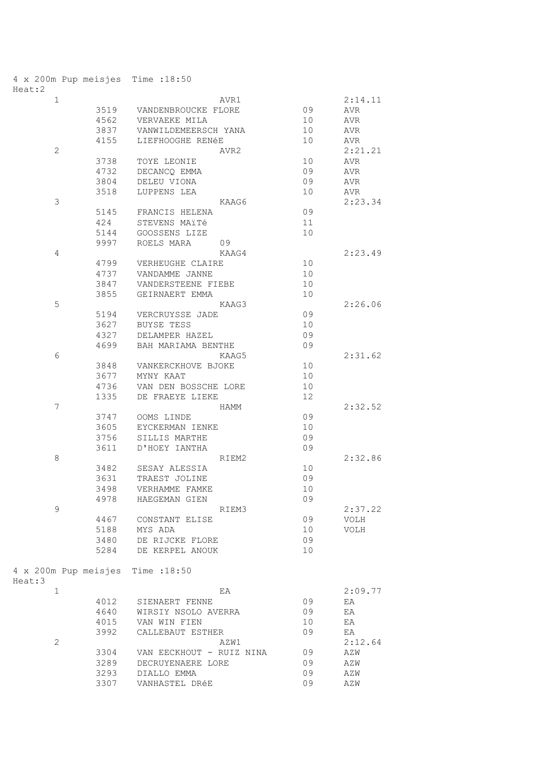| 4 x 200m Pup meisjes Time : 18:50 |      |                           |    |             |
|-----------------------------------|------|---------------------------|----|-------------|
| Heat:2                            |      |                           |    |             |
| $\mathbf{1}$                      |      | AVR1                      |    | 2:14.11     |
|                                   |      | 3519 VANDENBROUCKE FLORE  | 09 | AVR         |
|                                   |      | 4562 VERVAEKE MILA        | 10 | AVR         |
|                                   | 3837 | VANWILDEMEERSCH YANA      | 10 | AVR         |
|                                   | 4155 | LIEFHOOGHE RENÉE          | 10 | AVR         |
| 2                                 |      | AVR2                      |    | 2:21.21     |
|                                   | 3738 | TOYE LEONIE               | 10 | AVR         |
|                                   | 4732 | DECANCO EMMA              | 09 | AVR         |
|                                   | 3804 | DELEU VIONA               | 09 | AVR         |
|                                   | 3518 | LUPPENS LEA               | 10 | AVR         |
| 3                                 |      | KAAG6                     |    | 2:23.34     |
|                                   | 5145 | FRANCIS HELENA            | 09 |             |
|                                   | 424  | STEVENS MAITé             | 11 |             |
|                                   | 5144 | GOOSSENS LIZE             | 10 |             |
|                                   | 9997 | ROELS MARA<br>09          |    |             |
| 4                                 |      | KAAG4                     |    | 2:23.49     |
|                                   | 4799 | VERHEUGHE CLAIRE          | 10 |             |
|                                   | 4737 | VANDAMME JANNE            | 10 |             |
|                                   |      | 3847 VANDERSTEENE FIEBE   | 10 |             |
|                                   | 3855 | GEIRNAERT EMMA            | 10 |             |
| 5                                 |      | KAAG3                     |    | 2:26.06     |
|                                   | 5194 | VERCRUYSSE JADE           | 09 |             |
|                                   | 3627 | BUYSE TESS                | 10 |             |
|                                   | 4327 | DELAMPER HAZEL            | 09 |             |
|                                   | 4699 | BAH MARIAMA BENTHE        | 09 |             |
| 6                                 |      | KAAG5                     |    | 2:31.62     |
|                                   | 3848 | VANKERCKHOVE BJOKE        | 10 |             |
|                                   | 3677 |                           | 10 |             |
|                                   |      | MYNY KAAT                 |    |             |
|                                   |      | 4736 VAN DEN BOSSCHE LORE | 10 |             |
|                                   | 1335 | DE FRAEYE LIEKE           | 12 |             |
| 7                                 |      | HAMM                      |    | 2:32.52     |
|                                   | 3747 | OOMS LINDE                | 09 |             |
|                                   | 3605 | EYCKERMAN IENKE           | 10 |             |
|                                   | 3756 | SILLIS MARTHE             | 09 |             |
|                                   | 3611 | D'HOEY IANTHA             | 09 |             |
| 8                                 |      | RIEM2                     |    | 2:32.86     |
|                                   | 3482 | SESAY ALESSIA             | 10 |             |
|                                   | 3631 | TRAEST JOLINE             | 09 |             |
|                                   | 3498 | VERHAMME FAMKE            | 10 |             |
|                                   | 4978 | HAEGEMAN GIEN             | 09 |             |
| 9                                 |      | RIEM3                     |    | 2:37.22     |
|                                   | 4467 | CONSTANT ELISE            | 09 | VOLH        |
|                                   | 5188 | MYS ADA                   | 10 | <b>VOLH</b> |
|                                   | 3480 | DE RIJCKE FLORE           | 09 |             |
|                                   | 5284 | DE KERPEL ANOUK           | 10 |             |
| 4 x 200m Pup meisjes Time : 18:50 |      |                           |    |             |
| Heat:3                            |      |                           |    |             |
| 1                                 |      | ΕA                        |    | 2:09.77     |
|                                   | 4012 | SIENAERT FENNE            | 09 | ΕA          |
|                                   | 4640 | WIRSIY NSOLO AVERRA       | 09 | ΕA          |
|                                   | 4015 | VAN WIN FIEN              | 10 | ΕA          |
|                                   | 3992 | CALLEBAUT ESTHER          | 09 | ΕA          |
| 2                                 |      | AZW1                      |    | 2:12.64     |
|                                   | 3304 | VAN EECKHOUT - RUIZ NINA  | 09 | AZW         |
|                                   | 3289 | DECRUYENAERE LORE         | 09 | AZW         |
|                                   | 3293 | DIALLO EMMA               | 09 | AZW         |
|                                   | 3307 | VANHASTEL DRéE            | 09 | AZW         |
|                                   |      |                           |    |             |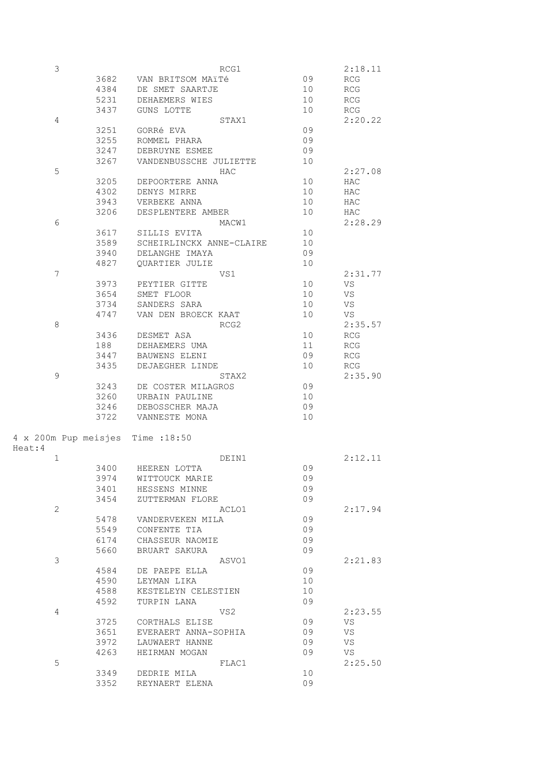| 3                                 |              | RCG1                          |                 | 2:18.11    |
|-----------------------------------|--------------|-------------------------------|-----------------|------------|
|                                   | 3682         | VAN BRITSOM MAïTé             | 09              | <b>RCG</b> |
|                                   | 4384         | DE SMET SAARTJE               | 10 <sup>°</sup> | RCG        |
|                                   | 5231         | DEHAEMERS WIES                | 10              | <b>RCG</b> |
|                                   | 3437         | GUNS LOTTE                    | 10              | RCG        |
| 4                                 |              | STAX1                         |                 | 2:20.22    |
|                                   | 3251         | GORRé EVA                     | 09              |            |
|                                   | 3255         | ROMMEL PHARA                  | 09              |            |
|                                   | 3247         | DEBRUYNE ESMEE                | 09              |            |
|                                   | 3267         | VANDENBUSSCHE JULIETTE        | 10              |            |
| 5                                 |              | HAC                           |                 | 2:27.08    |
|                                   | 3205         | DEPOORTERE ANNA               | 10              | HAC        |
|                                   | 4302         | DENYS MIRRE                   | 10 <sup>°</sup> | HAC        |
|                                   | 3943         | VERBEKE ANNA                  | 10 <sub>o</sub> | HAC        |
|                                   | 3206         | DESPLENTERE AMBER             | 10              | HAC        |
| 6                                 |              | MACW1                         |                 | 2:28.29    |
|                                   | 3617         | SILLIS EVITA                  | 10              |            |
|                                   | 3589         | SCHEIRLINCKX ANNE-CLAIRE      | 10              |            |
|                                   | 3940         | DELANGHE IMAYA                | 09              |            |
|                                   | 4827         | QUARTIER JULIE                | 10              |            |
| $\overline{7}$                    |              | VS1                           |                 | 2:31.77    |
|                                   | 3973         | PEYTIER GITTE                 | 10              | VS         |
|                                   | 3654         | SMET FLOOR                    | 10              | VS         |
|                                   | 3734         | SANDERS SARA                  | 10              | VS         |
|                                   | 4747         | VAN DEN BROECK KAAT           | 10              | VS         |
|                                   |              | RCG2                          |                 |            |
| $\,8\,$                           |              |                               |                 | 2:35.57    |
|                                   | 3436         | DESMET ASA                    | 10 <sup>°</sup> | <b>RCG</b> |
|                                   | 188          | DEHAEMERS UMA                 | 11              | RCG        |
|                                   | 3447         | BAUWENS ELENI                 | 09              | RCG        |
|                                   | 3435         | DEJAEGHER LINDE               | 10 <sup>°</sup> | RCG        |
| $\mathsf 9$                       |              | STAX2                         |                 | 2:35.90    |
|                                   | 3243         | DE COSTER MILAGROS            | 09              |            |
|                                   | 3260         | URBAIN PAULINE                | 10              |            |
|                                   | 3246         | DEBOSSCHER MAJA               | 09              |            |
|                                   | 3722         | VANNESTE MONA                 | 10              |            |
| 4 x 200m Pup meisjes Time : 18:50 |              |                               |                 |            |
| Heat: 4                           |              |                               |                 |            |
| $\mathbf 1$                       |              | DEIN1                         |                 | 2:12.11    |
|                                   |              | 3400 HEEREN LOTTA             | 09              |            |
|                                   | 3974         | WITTOUCK MARIE                | 09              |            |
|                                   | 3401         | HESSENS MINNE                 | 09              |            |
|                                   | 3454         | ZUTTERMAN FLORE               | 09              |            |
| $\mathbf{2}$                      |              | ACLO1                         |                 | 2:17.94    |
|                                   | 5478         | VANDERVEKEN MILA              | 09              |            |
|                                   | 5549         | CONFENTE TIA                  | 09              |            |
|                                   | 6174         | CHASSEUR NAOMIE               | 09              |            |
|                                   | 5660         | BRUART SAKURA                 | 09              |            |
| 3                                 |              | ASVO1                         |                 | 2:21.83    |
|                                   | 4584         | DE PAEPE ELLA                 | 09              |            |
|                                   | 4590         | LEYMAN LIKA                   | 10              |            |
|                                   | 4588         | KESTELEYN CELESTIEN           | 10              |            |
|                                   | 4592         | TURPIN LANA                   | 09              |            |
| 4                                 |              | VS <sub>2</sub>               |                 | 2:23.55    |
|                                   | 3725         | CORTHALS ELISE                | 09              | VS         |
|                                   | 3651         | EVERAERT ANNA-SOPHIA          | 09              | VS         |
|                                   | 3972         | LAUWAERT HANNE                | 09              | VS         |
|                                   | 4263         | HEIRMAN MOGAN                 | 09              | VS.        |
| 5                                 |              |                               |                 |            |
|                                   |              |                               |                 |            |
|                                   |              | FLAC1                         |                 | 2:25.50    |
|                                   | 3349<br>3352 | DEDRIE MILA<br>REYNAERT ELENA | 10<br>09        |            |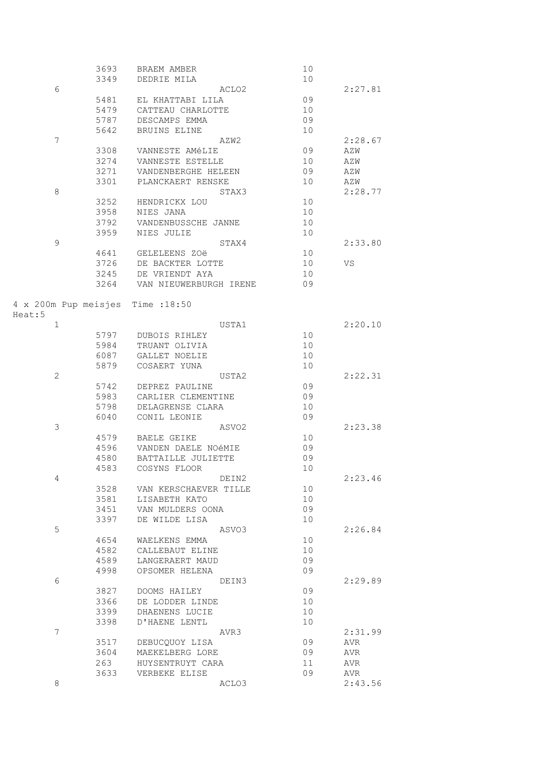|                | 3693                 | BRAEM AMBER            | 10 |         |
|----------------|----------------------|------------------------|----|---------|
|                | 3349                 | DEDRIE MILA            | 10 |         |
| 6              |                      | ACLO <sub>2</sub>      |    | 2:27.81 |
|                | 5481                 | EL KHATTABI LILA       | 09 |         |
|                | 5479                 | CATTEAU CHARLOTTE      | 10 |         |
|                |                      | 5787 DESCAMPS EMMA     | 09 |         |
|                | 5642                 | BRUINS ELINE           | 10 |         |
| $\overline{7}$ |                      |                        |    |         |
|                |                      | AZW2                   |    | 2:28.67 |
|                | 3308                 | VANNESTE AMéLIE        | 09 | AZW     |
|                | 3274                 | VANNESTE ESTELLE       | 10 | AZW     |
|                | 3271                 | VANDENBERGHE HELEEN    | 09 | AZW     |
|                | 3301                 | PLANCKAERT RENSKE      | 10 | AZW     |
| 8              |                      | STAX3                  |    | 2:28.77 |
|                | 3252                 | HENDRICKX LOU          | 10 |         |
|                | 3958                 | NIES JANA              | 10 |         |
|                | 3792                 | VANDENBUSSCHE JANNE    | 10 |         |
|                | 3959                 | NIES JULIE             | 10 |         |
| 9              |                      |                        |    |         |
|                |                      | STAX4                  |    | 2:33.80 |
|                | 4641                 | GELELEENS ZOë          | 10 |         |
|                | 3726                 | DE BACKTER LOTTE       | 10 | VS      |
|                |                      | 3245 DE VRIENDT AYA    | 10 |         |
|                | 3264                 | VAN NIEUWERBURGH IRENE | 09 |         |
|                |                      |                        |    |         |
|                | 4 x 200m Pup meisjes | Time : 18:50           |    |         |
| Heat:5         |                      |                        |    |         |
| $\mathbf 1$    |                      | USTA1                  |    | 2:20.10 |
|                | 5797                 |                        | 10 |         |
|                |                      | DUBOIS RIHLEY          |    |         |
|                | 5984                 | TRUANT OLIVIA          | 10 |         |
|                | 6087                 | GALLET NOELIE          | 10 |         |
|                | 5879                 | COSAERT YUNA           | 10 |         |
| 2              |                      | USTA2                  |    | 2:22.31 |
|                | 5742                 | DEPREZ PAULINE         | 09 |         |
|                | 5983                 | CARLIER CLEMENTINE     | 09 |         |
|                | 5798                 | DELAGRENSE CLARA       | 10 |         |
|                | 6040                 | CONIL LEONIE           | 09 |         |
| 3              |                      | ASVO2                  |    | 2:23.38 |
|                | 4579                 | BAELE GEIKE            | 10 |         |
|                | 4596                 |                        |    |         |
|                |                      | VANDEN DAELE NOéMIE    | 09 |         |
|                | 4580                 | BATTAILLE JULIETTE     | 09 |         |
|                | 4583                 | COSYNS FLOOR           | 10 |         |
| 4              |                      | DEIN2                  |    | 2:23.46 |
|                | 3528                 | VAN KERSCHAEVER TILLE  | 10 |         |
|                | 3581                 | LISABETH KATO          | 10 |         |
|                | 3451                 | VAN MULDERS OONA       | 09 |         |
|                | 3397                 | DE WILDE LISA          | 10 |         |
| 5              |                      | ASVO3                  |    | 2:26.84 |
|                | 4654                 | WAELKENS EMMA          | 10 |         |
|                | 4582                 |                        | 10 |         |
|                |                      | CALLEBAUT ELINE        |    |         |
|                | 4589                 | LANGERAERT MAUD        | 09 |         |
|                | 4998                 | OPSOMER HELENA         | 09 |         |
| 6              |                      | DEIN3                  |    | 2:29.89 |
|                | 3827                 | DOOMS HAILEY           | 09 |         |
|                | 3366                 | DE LODDER LINDE        | 10 |         |
|                | 3399                 | DHAENENS LUCIE         | 10 |         |
|                | 3398                 | D'HAENE LENTL          | 10 |         |
| 7              |                      | AVR3                   |    | 2:31.99 |
|                | 3517                 | DEBUCQUOY LISA         | 09 | AVR     |
|                | 3604                 | MAEKELBERG LORE        | 09 | AVR     |
|                |                      |                        |    |         |
|                | 263                  | HUYSENTRUYT CARA       | 11 | AVR     |
|                | 3633                 | VERBEKE ELISE          | 09 | AVR     |
| 8              |                      | ACLO3                  |    | 2:43.56 |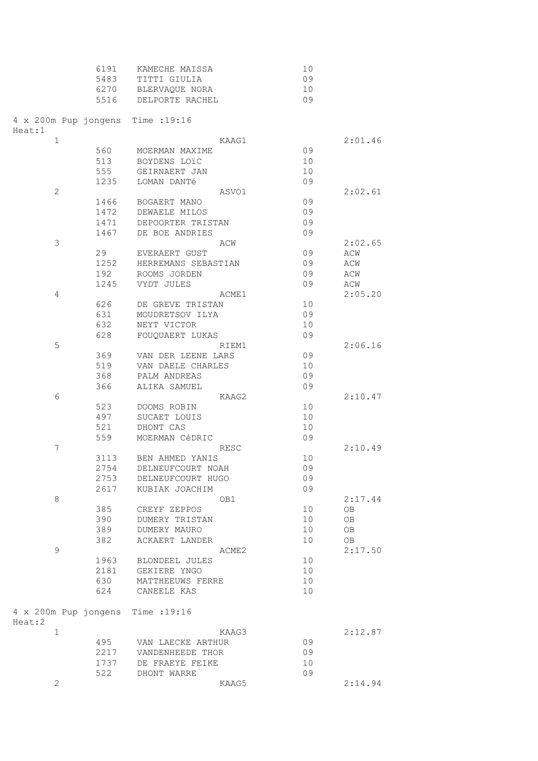|                                   | 6191 | KAMECHE MAISSA      |       | 10 |         |
|-----------------------------------|------|---------------------|-------|----|---------|
|                                   | 5483 | TITTI GIULIA        |       | 09 |         |
|                                   | 6270 | BLERVAQUE NORA      |       | 10 |         |
|                                   | 5516 | DELPORTE RACHEL     |       | 09 |         |
| 4 x 200m Pup jongens Time : 19:16 |      |                     |       |    |         |
| Heat:1<br>$\mathbf{1}$            |      |                     | KAAG1 |    | 2:01.46 |
|                                   | 560  | MOERMAN MAXIME      |       | 09 |         |
|                                   | 513  | BOYDENS LOIC        |       | 10 |         |
|                                   | 555  | GEIRNAERT JAN       |       | 10 |         |
|                                   | 1235 | LOMAN DANTé         |       | 09 |         |
| $\mathbf{2}$                      |      |                     | ASVO1 |    | 2:02.61 |
|                                   | 1466 | BOGAERT MANO        |       | 09 |         |
|                                   | 1472 | DEWAELE MILOS       |       | 09 |         |
|                                   | 1471 | DEPOORTER TRISTAN   |       | 09 |         |
|                                   | 1467 | DE BOE ANDRIES      |       | 09 |         |
| $\mathfrak{Z}$                    |      |                     | ACW   |    | 2:02.65 |
|                                   | 29   | EVERAERT GUST       |       | 09 | ACW     |
|                                   | 1252 | HERREMANS SEBASTIAN |       | 09 | ACW     |
|                                   | 192  | ROOMS JORDEN        |       | 09 | ACW     |
|                                   | 1245 | VYDT JULES          |       | 09 | ACW     |
| 4                                 |      |                     | ACME1 |    | 2:05.20 |
|                                   | 626  | DE GREVE TRISTAN    |       | 10 |         |
|                                   | 631  | MOUDRETSOV ILYA     |       | 09 |         |
|                                   | 632  | NEYT VICTOR         |       | 10 |         |
|                                   | 628  | FOUQUAERT LUKAS     |       | 09 |         |
| 5                                 |      |                     | RIEM1 |    | 2:06.16 |
|                                   | 369  | VAN DER LEENE LARS  |       | 09 |         |
|                                   | 519  | VAN DAELE CHARLES   |       | 10 |         |
|                                   | 368  | PALM ANDREAS        |       | 09 |         |
|                                   | 366  | ALIKA SAMUEL        |       | 09 |         |
| 6                                 |      |                     | KAAG2 |    | 2:10.47 |
|                                   | 523  | DOOMS ROBIN         |       | 10 |         |
|                                   | 497  | SUCAET LOUIS        |       | 10 |         |
|                                   | 521  | DHONT CAS           |       | 10 |         |
|                                   | 559  | MOERMAN CéDRIC      |       | 09 |         |
| $\overline{7}$                    |      |                     | RESC  |    | 2:10.49 |
|                                   | 3113 | BEN AHMED YANIS     |       | 10 |         |
|                                   | 2754 | DELNEUFCOURT NOAH   |       | 09 |         |
|                                   | 2753 | DELNEUFCOURT HUGO   |       | 09 |         |
|                                   | 2617 | KUBIAK JOACHIM      |       | 09 |         |
| 8                                 |      |                     | OB1   |    | 2:17.44 |
|                                   | 385  | CREYF ZEPPOS        |       | 10 | OВ      |
|                                   | 390  | DUMERY TRISTAN      |       | 10 | OВ      |
|                                   | 389  | DUMERY MAURO        |       | 10 | OВ      |
|                                   | 382  | ACKAERT LANDER      |       | 10 | OВ      |
| 9                                 |      |                     | ACME2 |    | 2:17.50 |
|                                   | 1963 | BLONDEEL JULES      |       | 10 |         |
|                                   | 2181 | GEKIERE YNGO        |       | 10 |         |
|                                   | 630  | MATTHEEUWS FERRE    |       | 10 |         |
|                                   | 624  | CANEELE KAS         |       | 10 |         |
| 4 x 200m Pup jongens Time : 19:16 |      |                     |       |    |         |
| Heat:2                            |      |                     |       |    |         |
| $\mathbf{1}$                      |      |                     | KAAG3 |    | 2:12.87 |
|                                   | 495  | VAN LAECKE ARTHUR   |       | 09 |         |
|                                   | 2217 | VANDENHEEDE THOR    |       | 09 |         |
|                                   | 1737 | DE FRAEYE FEIKE     |       | 10 |         |
|                                   | 522  | DHONT WARRE         |       | 09 |         |
| $\mathbf{2}$                      |      |                     | KAAG5 |    | 2:14.94 |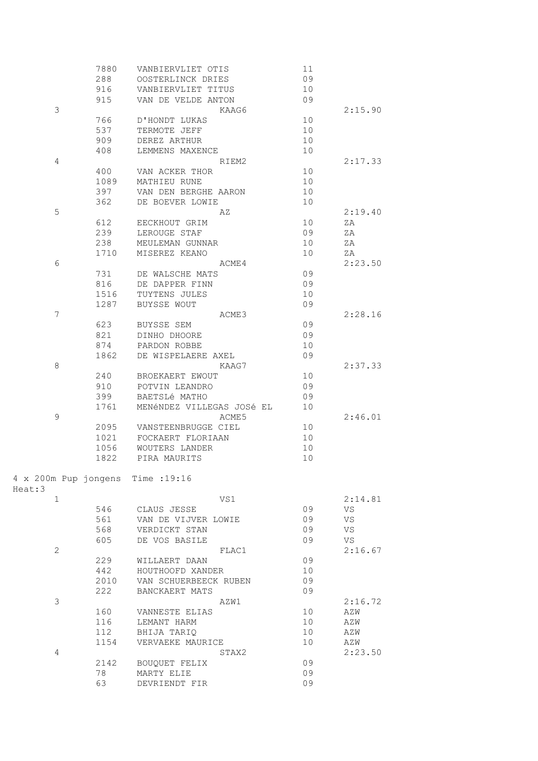|                                   | 7880 | VANBIERVLIET OTIS         | 11              |         |
|-----------------------------------|------|---------------------------|-----------------|---------|
|                                   | 288  | OOSTERLINCK DRIES         | 09              |         |
|                                   | 916  | VANBIERVLIET TITUS        | 10              |         |
|                                   | 915  | VAN DE VELDE ANTON        | 09              |         |
| 3                                 |      | KAAG6                     |                 | 2:15.90 |
|                                   | 766  | D'HONDT LUKAS             | 10              |         |
|                                   | 537  | TERMOTE JEFF              | 10              |         |
|                                   | 909  | DEREZ ARTHUR              | 10              |         |
|                                   | 408  | LEMMENS MAXENCE           | 10              |         |
| 4                                 |      | RIEM2                     |                 | 2:17.33 |
|                                   | 400  | VAN ACKER THOR            | 10              |         |
|                                   | 1089 | MATHIEU RUNE              | 10              |         |
|                                   | 397  | VAN DEN BERGHE AARON      | 10              |         |
|                                   | 362  | DE BOEVER LOWIE           | 10              |         |
| 5                                 |      | ΑZ                        |                 | 2:19.40 |
|                                   | 612  | EECKHOUT GRIM             | 10              | ΖA      |
|                                   | 239  | LEROUGE STAF              | 09              | ΖA      |
|                                   | 238  | MEULEMAN GUNNAR           | 10              | ΖA      |
|                                   | 1710 | MISEREZ KEANO             | 10              | ZA      |
| 6                                 |      | ACME 4                    |                 | 2:23.50 |
|                                   | 731  | DE WALSCHE MATS           | 09              |         |
|                                   | 816  | DE DAPPER FINN            | 09              |         |
|                                   | 1516 | TUYTENS JULES             | 10              |         |
|                                   | 1287 | <b>BUYSSE WOUT</b>        | 09              |         |
| 7                                 |      | ACME3                     |                 | 2:28.16 |
|                                   | 623  | BUYSSE SEM                | 09              |         |
|                                   | 821  | DINHO DHOORE              | 09              |         |
|                                   | 874  | PARDON ROBBE              | 10              |         |
|                                   | 1862 | DE WISPELAERE AXEL        | 09              |         |
| 8                                 |      | KAAG7                     |                 | 2:37.33 |
|                                   | 240  | BROEKAERT EWOUT           | 10              |         |
|                                   | 910  | POTVIN LEANDRO            | 09              |         |
|                                   | 399  | BAETSLé MATHO             | 09              |         |
|                                   | 1761 | MENÉNDEZ VILLEGAS JOSÉ EL | 10              |         |
| 9                                 |      | ACME <sub>5</sub>         |                 | 2:46.01 |
|                                   | 2095 | VANSTEENBRUGGE CIEL       | 10              |         |
|                                   | 1021 | FOCKAERT FLORIAAN         | 10              |         |
|                                   | 1056 | WOUTERS LANDER            | 10              |         |
|                                   | 1822 | PIRA MAURITS              | 10              |         |
|                                   |      |                           |                 |         |
| 4 x 200m Pup jongens Time : 19:16 |      |                           |                 |         |
| Heat:3                            |      |                           |                 |         |
| $\mathbf{1}$                      |      | VS1                       |                 | 2:14.81 |
|                                   | 546  | CLAUS JESSE               | 09              | VS      |
|                                   | 561  | VAN DE VIJVER LOWIE       | 09              | VS      |
|                                   | 568  | VERDICKT STAN             | 09              | VS      |
|                                   | 605  | DE VOS BASILE             | 09              | VS      |
| $\mathbf{2}$                      |      | FLAC1                     |                 | 2:16.67 |
|                                   | 229  | WILLAERT DAAN             | 09              |         |
|                                   | 442  | HOUTHOOFD XANDER          | 10              |         |
|                                   | 2010 | VAN SCHUERBEECK RUBEN     | 09              |         |
|                                   | 222  | BANCKAERT MATS            | 09              |         |
| 3                                 |      | AZW1                      |                 | 2:16.72 |
|                                   | 160  | VANNESTE ELIAS            | 10              | AZW     |
|                                   | 116  | LEMANT HARM               | 10 <sub>1</sub> | AZW     |
|                                   | 112  | BHIJA TARIQ               | 10 <sup>°</sup> | AZW     |
|                                   | 1154 | VERVAEKE MAURICE          | 10              | AZW     |
| 4                                 |      | STAX2                     |                 | 2:23.50 |
|                                   | 2142 | BOUQUET FELIX             | 09              |         |
|                                   | 78   | MARTY ELIE                | 09              |         |
|                                   | 63   | DEVRIENDT FIR             | 09              |         |
|                                   |      |                           |                 |         |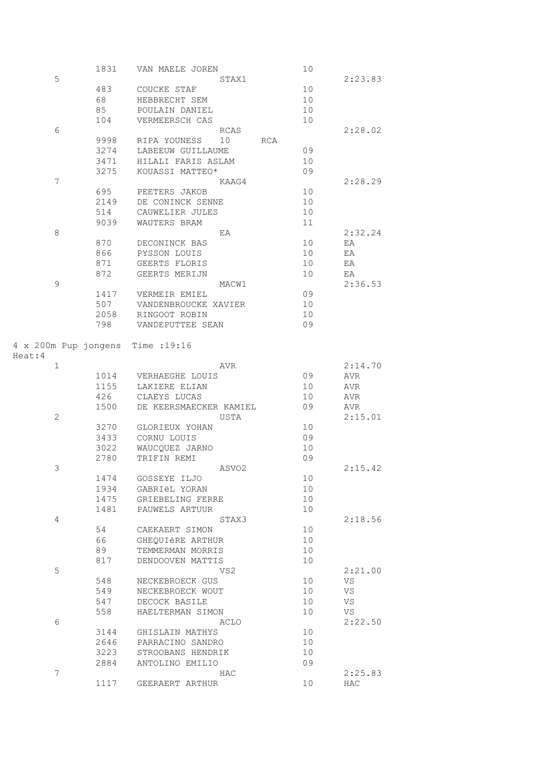|                                | 1831 | VAN MAELE JOREN           | 10 |         |
|--------------------------------|------|---------------------------|----|---------|
| 5                              |      | STAX1                     |    | 2:23.83 |
|                                | 483  | COUCKE STAF               | 10 |         |
|                                | 68   | HEBBRECHT SEM             | 10 |         |
|                                | 85   | POULAIN DANIEL            | 10 |         |
|                                |      |                           |    |         |
|                                | 104  | VERMEERSCH CAS            | 10 |         |
| 6                              |      | RCAS                      |    | 2:28.02 |
|                                | 9998 | RIPA YOUNESS<br>10<br>RCA |    |         |
|                                | 3274 | LABEEUW GUILLAUME         | 09 |         |
|                                | 3471 | HILALI FARIS ASLAM        | 10 |         |
|                                | 3275 | KOUASSI MATTEO*           | 09 |         |
| 7                              |      | KAAG4                     |    | 2:28.29 |
|                                | 695  | PEETERS JAKOB             | 10 |         |
|                                |      |                           |    |         |
|                                | 2149 | DE CONINCK SENNE          | 10 |         |
|                                | 514  | CAUWELIER JULES           | 10 |         |
|                                | 9039 | WAUTERS BRAM              | 11 |         |
| 8                              |      | EA                        |    | 2:32.24 |
|                                | 870  | DECONINCK BAS             | 10 | EA      |
|                                | 866  | PYSSON LOUIS              | 10 | EA      |
|                                | 871  | GEERTS FLORIS             |    |         |
|                                |      |                           | 10 | EA      |
|                                | 872  | GEERTS MERIJN             | 10 | EA      |
| 9                              |      | MACW1                     |    | 2:36.53 |
|                                | 1417 | VERMEIR EMIEL             | 09 |         |
|                                | 507  | VANDENBROUCKE XAVIER      | 10 |         |
|                                | 2058 | RINGOOT ROBIN             | 10 |         |
|                                | 798  | VANDEPUTTEE SEAN          | 09 |         |
|                                |      |                           |    |         |
| 4 x 200m Pup jongens<br>Heat:4 |      | Time : 19:16              |    |         |
| $\mathbf{1}$                   |      | AVR                       |    | 2:14.70 |
|                                | 1014 | VERHAEGHE LOUIS           | 09 | AVR     |
|                                | 1155 | LAKIERE ELIAN             | 10 | AVR     |
|                                |      |                           |    |         |
|                                | 426  | CLAEYS LUCAS              | 10 | AVR     |
|                                | 1500 | DE KEERSMAECKER KAMIEL    | 09 | AVR     |
| 2                              |      | USTA                      |    | 2:15.01 |
|                                | 3270 | GLORIEUX YOHAN            | 10 |         |
|                                | 3433 | CORNU LOUIS               | 09 |         |
|                                | 3022 | WAUCQUEZ JARNO            | 10 |         |
|                                | 2780 | TRIFIN REMI               | 09 |         |
|                                |      |                           |    |         |
| 3                              |      | ASVO <sub>2</sub>         |    | 2:15.42 |
|                                | 1474 | GOSSEYE ILJO              | 10 |         |
|                                | 1934 | GABRIËL YORAN             | 10 |         |
|                                | 1475 | GRIEBELING FERRE          | 10 |         |
|                                | 1481 | PAUWELS ARTUUR            | 10 |         |
| 4                              |      | STAX3                     |    | 2:18.56 |
|                                | 54   | CAEKAERT SIMON            | 10 |         |
|                                |      |                           |    |         |
|                                | 66   | GHEQUIÈRE ARTHUR          | 10 |         |
|                                | 89   | TEMMERMAN MORRIS          | 10 |         |
|                                | 817  | DENDOOVEN MATTIS          | 10 |         |
| 5                              |      | VS2                       |    | 2:21.00 |
|                                | 548  | NECKEBROECK GUS           | 10 | VS      |
|                                | 549  | NECKEBROECK WOUT          | 10 | VS      |
|                                |      |                           | 10 | VS      |
|                                | 547  | DECOCK BASILE             |    |         |
|                                | 558  | HAELTERMAN SIMON          | 10 | VS.     |
| 6                              |      | ACLO                      |    | 2:22.50 |
|                                | 3144 | GHISLAIN MATHYS           | 10 |         |
|                                | 2646 | PARRACINO SANDRO          | 10 |         |
|                                | 3223 | STROOBANS HENDRIK         | 10 |         |
|                                | 2884 | ANTOLINO EMILIO           | 09 |         |
| 7                              |      |                           |    |         |
|                                |      | HAC                       |    | 2:25.83 |
|                                | 1117 | GEERAERT ARTHUR           | 10 | HAC     |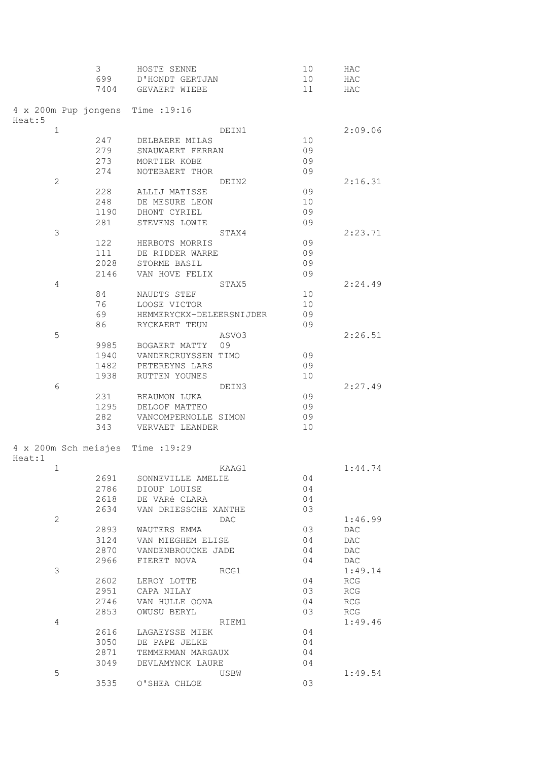|                                             | 3    | HOSTE SENNE              | 10 | HAC          |
|---------------------------------------------|------|--------------------------|----|--------------|
|                                             | 699  | D'HONDT GERTJAN          | 10 | $_{\rm HAC}$ |
|                                             |      | 7404 GEVAERT WIEBE       | 11 | HAC          |
|                                             |      |                          |    |              |
| 4 x 200m Pup jongens Time : 19:16<br>Heat:5 |      |                          |    |              |
| $\mathbf{1}$                                |      | DEIN1                    |    | 2:09.06      |
|                                             |      | 247 DELBAERE MILAS       | 10 |              |
|                                             |      | 279 SNAUWAERT FERRAN     | 09 |              |
|                                             |      | 273 MORTIER KOBE         | 09 |              |
|                                             | 274  | NOTEBAERT THOR           | 09 |              |
| 2                                           |      | DEIN2                    |    | 2:16.31      |
|                                             | 228  | ALLIJ MATISSE            | 09 |              |
|                                             | 248  | DE MESURE LEON           | 10 |              |
|                                             | 1190 | DHONT CYRIEL             | 09 |              |
|                                             | 281  |                          | 09 |              |
|                                             |      | STEVENS LOWIE            |    |              |
| 3                                           |      | STAX4                    |    | 2:23.71      |
|                                             | 122  | HERBOTS MORRIS           | 09 |              |
|                                             |      | 111 DE RIDDER WARRE      | 09 |              |
|                                             |      | 2028 STORME BASIL        | 09 |              |
|                                             |      | 2146 VAN HOVE FELIX      | 09 |              |
| 4                                           |      | STAX5                    |    | 2:24.49      |
|                                             | 84   | NAUDTS STEF              | 10 |              |
|                                             | 76   | LOOSE VICTOR             | 10 |              |
|                                             | 69   | HEMMERYCKX-DELEERSNIJDER | 09 |              |
|                                             | 86   | RYCKAERT TEUN            | 09 |              |
| 5                                           |      | ASVO3                    |    | 2:26.51      |
|                                             |      | 9985 BOGAERT MATTY 09    |    |              |
|                                             | 1940 | VANDERCRUYSSEN TIMO      | 09 |              |
|                                             | 1482 | PETEREYNS LARS           | 09 |              |
|                                             | 1938 | RUTTEN YOUNES            | 10 |              |
| 6                                           |      | DEIN3                    |    | 2:27.49      |
|                                             | 231  | BEAUMON LUKA             | 09 |              |
|                                             |      | 1295 DELOOF MATTEO       | 09 |              |
|                                             |      | 282 VANCOMPERNOLLE SIMON | 09 |              |
|                                             |      | 343 VERVAET LEANDER      | 10 |              |
|                                             |      |                          |    |              |
| 4 x 200m Sch meisjes Time : 19:29           |      |                          |    |              |
| Heat:1                                      |      |                          |    |              |
| $\overline{1}$                              |      | KAAG1                    |    | 1:44.74      |
|                                             | 2691 | SONNEVILLE AMELIE        | 04 |              |
|                                             | 2786 | DIOUF LOUISE             | 04 |              |
|                                             | 2618 | DE VARé CLARA            | 04 |              |
|                                             | 2634 | VAN DRIESSCHE XANTHE     | 03 |              |
| 2                                           |      | DAC                      |    | 1:46.99      |
|                                             | 2893 | WAUTERS EMMA             | 03 | DAC          |
|                                             | 3124 | VAN MIEGHEM ELISE        | 04 | DAC          |
|                                             | 2870 | VANDENBROUCKE JADE       | 04 | DAC          |
|                                             | 2966 | FIERET NOVA              | 04 | DAC          |
| 3                                           |      | RCG1                     |    | 1:49.14      |
|                                             | 2602 | LEROY LOTTE              | 04 | RCG          |
|                                             | 2951 | CAPA NILAY               | 03 | RCG          |
|                                             | 2746 | VAN HULLE OONA           | 04 | RCG          |
|                                             | 2853 | OWUSU BERYL              | 03 | RCG          |
| 4                                           |      | RIEM1                    |    | 1:49.46      |
|                                             | 2616 | LAGAEYSSE MIEK           | 04 |              |
|                                             | 3050 | DE PAPE JELKE            | 04 |              |
|                                             | 2871 | TEMMERMAN MARGAUX        | 04 |              |
|                                             | 3049 | DEVLAMYNCK LAURE         | 04 |              |
| 5                                           |      | USBW                     |    | 1:49.54      |
|                                             | 3535 | O'SHEA CHLOE             | 03 |              |
|                                             |      |                          |    |              |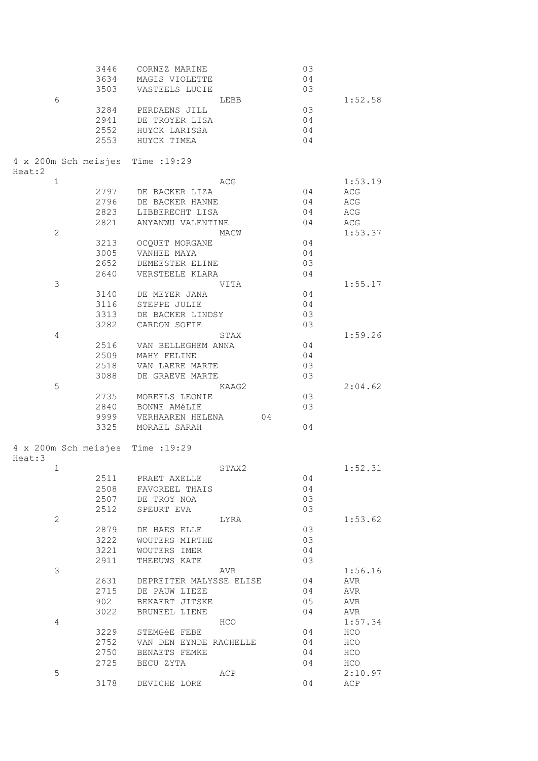|                                   | 3446 | CORNEZ MARINE                          | 03       |                |
|-----------------------------------|------|----------------------------------------|----------|----------------|
|                                   | 3634 | MAGIS VIOLETTE                         | 04       |                |
|                                   | 3503 | VASTEELS LUCIE                         | 03       |                |
| 6                                 |      | LEBB                                   |          | 1:52.58        |
|                                   | 3284 | PERDAENS JILL                          | 03       |                |
|                                   | 2941 | DE TROYER LISA                         | 04       |                |
|                                   | 2552 | HUYCK LARISSA                          | 04       |                |
|                                   | 2553 | HUYCK TIMEA                            | 04       |                |
|                                   |      |                                        |          |                |
| 4 x 200m Sch meisjes Time : 19:29 |      |                                        |          |                |
| Heat:2                            |      |                                        |          |                |
| $\mathbf 1$                       |      | ACG                                    |          | 1:53.19        |
|                                   | 2797 | DE BACKER LIZA                         | 04       | ACG            |
|                                   | 2796 | DE BACKER HANNE                        | 04       | ACG            |
|                                   | 2823 | LIBBERECHT LISA                        | 04       | ACG            |
|                                   | 2821 | ANYANWU VALENTINE                      | 04       | ACG            |
| 2                                 |      | MACW                                   |          | 1:53.37        |
|                                   | 3213 | OCQUET MORGANE                         | 04       |                |
|                                   | 3005 | VANHEE MAYA                            | 04       |                |
|                                   | 2652 | DEMEESTER ELINE                        | 03       |                |
|                                   | 2640 | VERSTEELE KLARA                        | 04       |                |
| 3                                 |      | VITA                                   |          | 1:55.17        |
|                                   | 3140 | DE MEYER JANA                          | 04       |                |
|                                   | 3116 | STEPPE JULIE                           | 04       |                |
|                                   | 3313 | DE BACKER LINDSY                       | 03       |                |
|                                   | 3282 | CARDON SOFIE                           | 03       |                |
| 4                                 |      | STAX                                   |          | 1:59.26        |
|                                   | 2516 |                                        | 04       |                |
|                                   |      | VAN BELLEGHEM ANNA                     | 04       |                |
|                                   | 2509 | MAHY FELINE                            |          |                |
|                                   | 2518 | VAN LAERE MARTE                        | 03<br>03 |                |
| 5                                 | 3088 | DE GRAEVE MARTE                        |          |                |
|                                   |      | KAAG2                                  |          | 2:04.62        |
|                                   | 2735 | MOREELS LEONIE                         | 03       |                |
|                                   | 2840 | BONNE AMÉLIE                           | 03       |                |
|                                   | 9999 | VERHAAREN HELENA<br>04<br>MORAEL SARAH |          |                |
|                                   |      |                                        |          |                |
|                                   | 3325 |                                        | 04       |                |
|                                   |      |                                        |          |                |
| 4 x 200m Sch meisjes Time : 19:29 |      |                                        |          |                |
| Heat:3                            |      |                                        |          |                |
| $\frac{1}{2}$                     |      | STAX2                                  |          | 1:52.31        |
|                                   | 2511 | PRAET AXELLE                           | 04       |                |
|                                   | 2508 | FAVOREEL THAIS                         | 04       |                |
|                                   | 2507 | DE TROY NOA                            | 03       |                |
|                                   | 2512 | SPEURT EVA                             | 03       |                |
| $\mathbf{2}$                      |      | LYRA                                   |          | 1:53.62        |
|                                   | 2879 | DE HAES ELLE                           | 03       |                |
|                                   | 3222 | WOUTERS MIRTHE                         | 03       |                |
|                                   | 3221 | WOUTERS IMER                           | 04       |                |
|                                   | 2911 | THEEUWS KATE                           | 03       |                |
| 3                                 |      | AVR                                    |          | 1:56.16        |
|                                   | 2631 | DEPREITER MALYSSE ELISE                | 04       | AVR            |
|                                   | 2715 | DE PAUW LIEZE                          | 04       | AVR            |
|                                   | 902  | BEKAERT JITSKE                         | 05       | AVR            |
|                                   | 3022 | BRUNEEL LIENE                          | 04       | AVR            |
| 4                                 |      | <b>HCO</b>                             |          | 1:57.34        |
|                                   | 3229 | STEMGÉE FEBE                           | 04       | <b>HCO</b>     |
|                                   | 2752 | VAN DEN EYNDE RACHELLE                 | 04       | HCO            |
|                                   | 2750 | BENAETS FEMKE                          | 04       | HCO            |
|                                   | 2725 | BECU ZYTA                              | 04       | HCO            |
| 5                                 | 3178 | ACP<br>DEVICHE LORE                    | 04       | 2:10.97<br>ACP |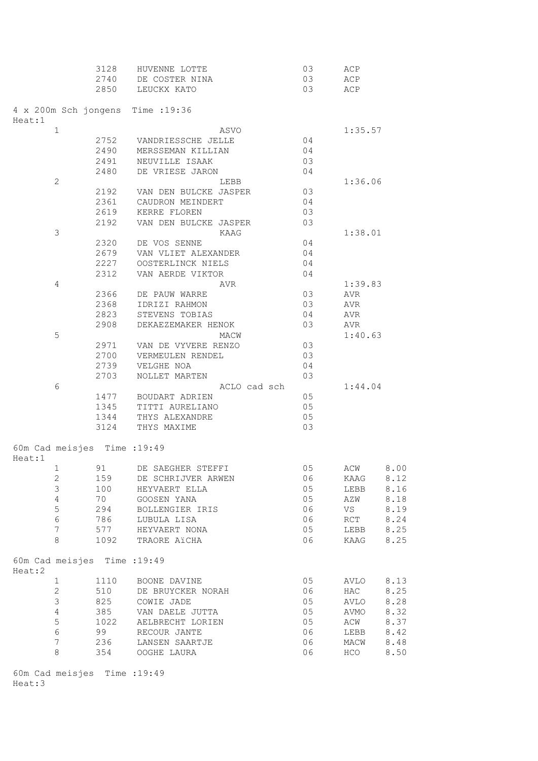|        |                                                 | 3128 | HUVENNE LOTTE                     | 03 | ACP         |      |
|--------|-------------------------------------------------|------|-----------------------------------|----|-------------|------|
|        |                                                 | 2740 | DE COSTER NINA                    | 03 | ACP         |      |
|        |                                                 | 2850 | LEUCKX KATO                       | 03 | ACP         |      |
|        |                                                 |      | 4 x 200m Sch jongens Time : 19:36 |    |             |      |
| Heat:1 |                                                 |      |                                   |    |             |      |
|        | $\mathbf 1$                                     |      | ASVO                              |    | 1:35.57     |      |
|        |                                                 | 2752 | VANDRIESSCHE JELLE                | 04 |             |      |
|        |                                                 | 2490 | MERSSEMAN KILLIAN                 | 04 |             |      |
|        |                                                 | 2491 | NEUVILLE ISAAK                    | 03 |             |      |
|        |                                                 | 2480 | DE VRIESE JARON                   | 04 |             |      |
|        | 2                                               |      | LEBB                              |    | 1:36.06     |      |
|        |                                                 | 2192 | VAN DEN BULCKE JASPER             | 03 |             |      |
|        |                                                 | 2361 | CAUDRON MEINDERT                  | 04 |             |      |
|        |                                                 | 2619 | KERRE FLOREN                      | 03 |             |      |
|        |                                                 | 2192 | VAN DEN BULCKE JASPER             | 03 |             |      |
|        | 3                                               |      | KAAG                              |    | 1:38.01     |      |
|        |                                                 | 2320 | DE VOS SENNE                      | 04 |             |      |
|        |                                                 | 2679 | VAN VLIET ALEXANDER               | 04 |             |      |
|        |                                                 | 2227 | OOSTERLINCK NIELS                 | 04 |             |      |
|        |                                                 | 2312 | VAN AERDE VIKTOR                  | 04 |             |      |
|        | 4                                               |      | AVR                               |    | 1:39.83     |      |
|        |                                                 | 2366 | DE PAUW WARRE                     | 03 | AVR         |      |
|        |                                                 | 2368 | IDRIZI RAHMON                     | 03 |             |      |
|        |                                                 |      |                                   |    | AVR         |      |
|        |                                                 | 2823 | STEVENS TOBIAS                    | 04 | AVR         |      |
|        |                                                 | 2908 | DEKAEZEMAKER HENOK                | 03 | AVR         |      |
|        | 5                                               |      | MACW                              |    | 1:40.63     |      |
|        |                                                 | 2971 | VAN DE VYVERE RENZO               | 03 |             |      |
|        |                                                 | 2700 | VERMEULEN RENDEL                  | 03 |             |      |
|        |                                                 | 2739 | VELGHE NOA                        | 04 |             |      |
|        |                                                 | 2703 | NOLLET MARTEN                     | 03 |             |      |
|        | 6                                               |      | ACLO cad sch                      |    | 1:44.04     |      |
|        |                                                 | 1477 | BOUDART ADRIEN                    | 05 |             |      |
|        |                                                 | 1345 | TITTI AURELIANO                   | 05 |             |      |
|        |                                                 | 1344 | THYS ALEXANDRE                    | 05 |             |      |
|        |                                                 | 3124 | THYS MAXIME                       | 03 |             |      |
|        | 60m Cad meisjes Time : 19:49                    |      |                                   |    |             |      |
| Heat:1 |                                                 |      |                                   |    |             |      |
|        | . The contract of $\mathbf{1}$ and $\mathbf{1}$ |      | 91 DE SAEGHER STEFFI              | 05 | ACW         | 8.00 |
|        | 2                                               | 159  | DE SCHRIJVER ARWEN                | 06 | KAAG        | 8.12 |
|        | $\mathfrak{Z}$                                  | 100  | HEYVAERT ELLA                     | 05 | LEBB        | 8.16 |
|        | 4                                               | 70   | GOOSEN YANA                       | 05 | AZW         | 8.18 |
|        | 5                                               | 294  | BOLLENGIER IRIS                   | 06 | VS <b>V</b> | 8.19 |
|        | 6                                               | 786  | LUBULA LISA                       | 06 | RCT         | 8.24 |
|        | 7                                               | 577  | HEYVAERT NONA                     | 05 | LEBB        | 8.25 |
|        | 8                                               | 1092 | TRAORE AïCHA                      | 06 | KAAG        | 8.25 |
|        | 60m Cad meisjes Time : 19:49                    |      |                                   |    |             |      |
| Heat:2 |                                                 |      |                                   |    |             |      |
|        | $\mathbf{1}$                                    | 1110 | BOONE DAVINE                      | 05 | AVLO        | 8.13 |
|        | $\mathbf{2}$                                    | 510  | DE BRUYCKER NORAH                 | 06 | HAC         | 8.25 |
|        | 3                                               | 825  | COWIE JADE                        | 05 | AVLO        | 8.28 |
|        | $\overline{4}$                                  | 385  | VAN DAELE JUTTA                   | 05 | AVMO        | 8.32 |
|        | 5                                               | 1022 | AELBRECHT LORIEN                  | 05 | ACW         | 8.37 |
|        | $6\,$                                           | 99   | RECOUR JANTE                      | 06 | LEBB        | 8.42 |
|        | 7                                               | 236  | LANSEN SAARTJE                    | 06 | MACW        | 8.48 |
|        | $\,8\,$                                         | 354  | OOGHE LAURA                       | 06 | HCO         | 8.50 |
|        |                                                 |      |                                   |    |             |      |
|        |                                                 |      |                                   |    |             |      |

60m Cad meisjes Time :19:49 Heat:3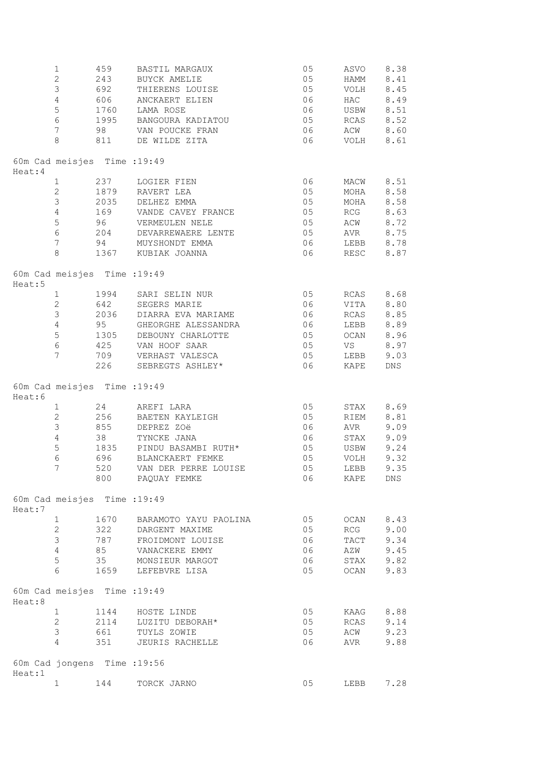|                                        | $\mathbf 1$         | 459     | BASTIL MARGAUX                          | 05       | ASVO            | 8.38         |
|----------------------------------------|---------------------|---------|-----------------------------------------|----------|-----------------|--------------|
|                                        | $\mathbf{2}$        | 243     | BUYCK AMELIE                            | 05       | HAMM            | 8.41         |
|                                        | 3                   | 692     | THIERENS LOUISE                         | 05       | VOLH            | 8.45         |
|                                        | $\overline{4}$      | 606     | ANCKAERT ELIEN                          | 06       | HAC             | 8.49         |
|                                        | 5                   | 1760    | LAMA ROSE                               | 06       | USBW            | 8.51         |
|                                        | 6                   |         | 1995 BANGOURA KADIATOU                  | 05       | RCAS            | 8.52         |
|                                        | $7\overline{ }$     |         | 98 VAN POUCKE FRAN                      | 06       | ACW             | 8.60         |
|                                        | 8                   | 811     | DE WILDE ZITA                           | 06       | VOLH            | 8.61         |
|                                        |                     |         |                                         |          |                 |              |
| 60m Cad meisjes Time : 19:49<br>Heat:4 |                     |         |                                         |          |                 |              |
|                                        | $\mathbf{1}$        | 237     | LOGIER FIEN                             | 06       | MACW            | 8.51         |
|                                        | $\mathbf{2}$        | 1879    | RAVERT LEA                              | 05       | MOHA            | 8.58         |
|                                        | $\mathfrak{Z}$      | 2035    | DELHEZ EMMA                             | 05       | MOHA            | 8.58         |
|                                        | $\overline{4}$      | 169     | VANDE CAVEY FRANCE                      | 05       | RCG             | 8.63         |
|                                        | 5                   | 96 — 10 | VERMEULEN NELE                          | 05       | ACW             | 8.72         |
|                                        | 6                   | 204     | DEVARREWAERE LENTE                      | 05       | AVR             | 8.75         |
|                                        | $\overline{7}$      | 94      | MUYSHONDT EMMA                          | 06       | LEBB            | 8.78         |
|                                        | 8                   |         | 1367 KUBIAK JOANNA                      | 06       | RESC            | 8.87         |
|                                        |                     |         |                                         |          |                 |              |
| 60m Cad meisjes Time : 19:49<br>Heat:5 |                     |         |                                         |          |                 |              |
|                                        | $\mathbf{1}$        |         | 1994 SARI SELIN NUR                     | 05       | RCAS            | 8.68         |
|                                        | $\mathbf{2}$        |         | 642 SEGERS MARIE                        | 06       | VITA            | 8.80         |
|                                        | $\mathfrak{Z}$      |         | 2036 DIARRA EVA MARIAME                 | 06       | RCAS            | 8.85         |
|                                        | $\overline{4}$      | 95      | GHEORGHE ALESSANDRA                     | 06       | LEBB            | 8.89         |
|                                        | 5                   |         | 1305 DEBOUNY CHARLOTTE                  | 05       | OCAN            | 8.96         |
|                                        | $6\overline{6}$     | 425     | VAN HOOF SAAR                           | 05       | VS <sub>2</sub> | 8.97         |
|                                        | 7                   | 709     | VERHAST VALESCA                         | 05       | LEBB            | 9.03         |
|                                        |                     | 226     | SEBREGTS ASHLEY*                        | 06       | KAPE            | DNS          |
|                                        |                     |         |                                         |          |                 |              |
| 60m Cad meisjes Time : 19:49           |                     |         |                                         |          |                 |              |
| Heat:6                                 |                     |         |                                         |          |                 |              |
|                                        | $\mathbf{1}$        |         | 24 AREFI LARA                           | 05       | STAX            | 8.69         |
|                                        | $\mathbf{2}$        | 256     | BAETEN KAYLEIGH                         | 05       | RIEM            | 8.81         |
|                                        | $\mathfrak{Z}$      | 855     | DEPREZ ZOë                              | 06       | AVR             | 9.09         |
|                                        | $\overline{4}$      | 38      | TYNCKE JANA                             | 06       | STAX            | 9.09         |
|                                        | 5                   | 1835    |                                         | 05       | USBW            | 9.24         |
|                                        | $\epsilon$          | 696 1   | PINDU BASAMBI RUTH*<br>BLANCKAERT FEMKE | 05       | VOLH            | 9.32         |
|                                        | 7                   | 520     |                                         | 05       | LEBB 9.35       |              |
|                                        |                     | 800     | VAN DER PERRE LOUISE<br>PAQUAY FEMKE    | 06       | KAPE            | DNS          |
| 60m Cad meisjes Time : 19:49           |                     |         |                                         |          |                 |              |
| Heat:7                                 |                     |         |                                         |          |                 |              |
|                                        | $\mathbf{1}$        | 1670    | BARAMOTO YAYU PAOLINA                   | 05       | OCAN            | 8.43         |
|                                        | $\mathbf{2}$        | 322     | DARGENT MAXIME                          | 05       | RCG             | 9.00         |
|                                        | 3                   | 787     | FROIDMONT LOUISE                        | 06       | TACT            | 9.34         |
|                                        | $\overline{4}$      | 85      | VANACKERE EMMY                          | 06       | AZW             | 9.45         |
|                                        | 5                   | 35      | MONSIEUR MARGOT                         | 06       | STAX            | 9.82         |
|                                        | 6                   |         | 1659 LEFEBVRE LISA                      | 05       | OCAN            | 9.83         |
| 60m Cad meisjes Time : 19:49<br>Heat:8 |                     |         |                                         |          |                 |              |
|                                        | $1 -$               |         | 1144 HOSTE LINDE                        | 05       | KAAG            | 8.88         |
|                                        | $\overline{2}$      |         |                                         |          |                 |              |
|                                        |                     |         | 2114 LUZITU DEBORAH*                    | 05       | RCAS            | 9.14         |
|                                        | 3<br>$\overline{4}$ | 351     | 661 TUYLS ZOWIE<br>JEURIS RACHELLE      | 05<br>06 | ACW<br>AVR      | 9.23<br>9.88 |
| 60m Cad jongens Time : 19:56           |                     |         |                                         |          |                 |              |
| Heat:1                                 | $\mathbf{1}$        | 144     | TORCK JARNO                             | 05       | LEBB            | 7.28         |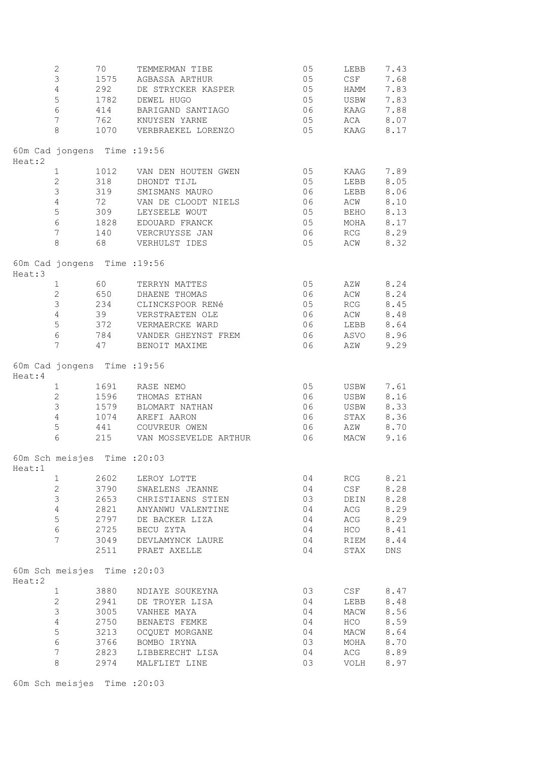|         | $\overline{2}$<br>$\mathfrak{Z}$ | 70           | TEMMERMAN TIBE<br>1575 AGBASSA ARTHUR  | 05<br>05 | LEBB<br>CSF                 | 7.43<br>7.68 |
|---------|----------------------------------|--------------|----------------------------------------|----------|-----------------------------|--------------|
|         | $\overline{4}$                   |              | 292 DE STRYCKER KASPER                 | 05       | HAMM                        | 7.83         |
|         | 5                                | 1782         | DEWEL HUGO                             | 05       | USBW                        | 7.83         |
|         | $6\,$                            | 414          | BARIGAND SANTIAGO                      | 06       | KAAG                        | 7.88         |
|         | $7\phantom{.0}$                  |              | 762 KNUYSEN YARNE                      | 05       | ACA                         | 8.07         |
|         | 8                                |              | 1070 VERBRAEKEL LORENZO                | 05       | KAAG                        | 8.17         |
| Heat:2  | 60m Cad jongens Time : 19:56     |              |                                        |          |                             |              |
|         | 1                                |              | 1012 VAN DEN HOUTEN GWEN               | 05       | <b>KAAG</b>                 | 7.89         |
|         | $\mathbf{2}$                     | 318          | DHONDT TIJL                            | 05       | LEBB                        | 8.05         |
|         | $\mathfrak{Z}$                   | 319          | SMISMANS MAURO                         | 06       | LEBB                        | 8.06         |
|         | $\overline{4}$                   | 72           | VAN DE CLOODT NIELS                    | 06       | ACW                         | 8.10         |
|         | $\overline{5}$                   | 309          | LEYSEELE WOUT                          | 05       | <b>BEHO</b>                 | 8.13         |
|         | 6                                |              | 1828 EDOUARD FRANCK                    | 05       | MOHA                        | 8.17         |
|         | $7\phantom{.0}$<br>8             |              | 140 VERCRUYSSE JAN<br>68 VERHULST IDES | 06<br>05 | RCG<br>ACW                  | 8.29<br>8.32 |
| Heat:3  | 60m Cad jongens Time : 19:56     |              |                                        |          |                             |              |
|         | $\mathbf{1}$                     |              | 60 TERRYN MATTES                       | 05       | AZW                         | 8.24         |
|         | $\overline{2}$                   | 650          | DHAENE THOMAS                          | 06       | ACW                         | 8.24         |
|         | $\mathfrak{Z}$                   | 234          | CLINCKSPOOR RENé                       | 05       | RCG                         | 8.45         |
|         | $\overline{4}$                   |              | 39 VERSTRAETEN OLE                     | 06       | ACW                         | 8.48         |
|         | 5                                | 372          | VERMAERCKE WARD                        | 06 06    | LEBB                        | 8.64         |
|         | 6                                |              | 784 VANDER GHEYNST FREM                | 06 06    | ASVO                        | 8.96         |
|         | $7\overline{ }$                  | 47           | BENOIT MAXIME                          | 06       | AZW                         | 9.29         |
| Heat: 4 | 60m Cad jongens Time : 19:56     |              |                                        |          |                             |              |
|         | $\mathbf{1}$                     |              | 1691 RASE NEMO                         | 05       | USBW                        | 7.61         |
|         | $\mathbf{2}$                     |              | 1596 THOMAS ETHAN                      | 06       | USBW                        | 8.16         |
|         | 3                                |              | 1579 BLOMART NATHAN                    | 06       | USBW                        | 8.33         |
|         | $\overline{4}$                   |              | 1074 AREFI AARON                       | 06 06    | STAX                        | 8.36         |
|         | 5                                |              | 441 COUVREUR OWEN                      | 06       | AZW                         | 8.70         |
|         | $6\phantom{.}6$                  |              | 215 VAN MOSSEVELDE ARTHUR 06           |          | MACW                        | 9.16         |
| Heat:1  | 60m Sch meisjes Time : 20:03     |              |                                        |          |                             |              |
|         | 1                                | 2602         | LEROY LOTTE                            | 04       | RCG                         | 8.21         |
|         | $\mathbf{2}$                     | 3790         | SWAELENS JEANNE                        | 04       | $\mathop{\rm CSF}\nolimits$ | 8.28         |
|         | 3                                | 2653         | CHRISTIAENS STIEN                      | 03       | DEIN                        | 8.28         |
|         | 4<br>5                           | 2821         | ANYANWU VALENTINE                      | 04       | ACG                         | 8.29         |
|         | 6                                | 2797         | DE BACKER LIZA                         | 04<br>04 | ACG                         | 8.29         |
|         | 7                                | 2725<br>3049 | BECU ZYTA<br>DEVLAMYNCK LAURE          | 04       | HCO<br>RIEM                 | 8.41<br>8.44 |
|         |                                  | 2511         | PRAET AXELLE                           | 04       | STAX                        | DNS          |
| Heat:2  | 60m Sch meisjes Time : 20:03     |              |                                        |          |                             |              |
|         | $\mathbf{1}$                     | 3880         | NDIAYE SOUKEYNA                        | 03       | CSE                         | 8.47         |
|         | $\overline{2}$                   | 2941         | DE TROYER LISA                         | 04       | LEBB                        | 8.48         |
|         | $\mathsf 3$                      | 3005         | VANHEE MAYA                            | 04       | MACW                        | 8.56         |
|         | $\overline{4}$                   | 2750         | BENAETS FEMKE                          | 04       | HCO                         | 8.59         |
|         | 5                                | 3213         | OCQUET MORGANE                         | 04       | MACW                        | 8.64         |
|         | $\sqrt{6}$                       | 3766         | BOMBO IRYNA                            | 03       | MOHA                        | 8.70         |
|         | $\boldsymbol{7}$                 | 2823         | LIBBERECHT LISA                        | 04       | ACG                         | 8.89         |
|         | 8                                | 2974         | MALFLIET LINE                          | 03       | VOLH                        | 8.97         |

60m Sch meisjes Time :20:03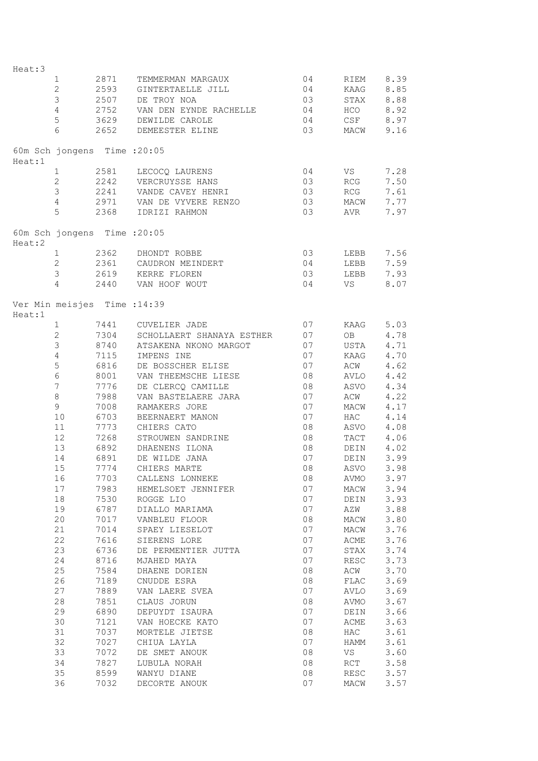| Heat:3 |                              |      |                                       |    |                 |      |
|--------|------------------------------|------|---------------------------------------|----|-----------------|------|
|        | $\mathbf{1}$                 | 2871 | TEMMERMAN MARGAUX                     | 04 | RIEM            | 8.39 |
|        | $\overline{c}$               | 2593 | GINTERTAELLE JILL                     | 04 | KAAG            | 8.85 |
|        | 3                            | 2507 | DE TROY NOA                           | 03 | STAX            | 8.88 |
|        | $\overline{4}$               | 2752 | VAN DEN EYNDE RACHELLE                | 04 | HCO             | 8.92 |
|        | 5                            | 3629 | DEWILDE CAROLE                        | 04 | CSF             | 8.97 |
|        | 6                            | 2652 | DEMEESTER ELINE                       | 03 | MACW            | 9.16 |
|        |                              |      |                                       |    |                 |      |
| Heat:1 | 60m Sch jongens Time : 20:05 |      |                                       |    |                 |      |
|        | $\mathbf{1}$                 |      | 2581 LECOCQ LAURENS                   | 04 | VS              | 7.28 |
|        | $\overline{2}$               | 2242 | VERCRUYSSE HANS                       | 03 | RCG             | 7.50 |
|        | 3                            | 2241 | VANDE CAVEY HENRI                     | 03 | RCG             | 7.61 |
|        | $\overline{4}$               |      | 2971 VAN DE VYVERE RENZO              | 03 | MACW            | 7.77 |
|        | 5                            |      | 2368 IDRIZI RAHMON                    | 03 | AVR             | 7.97 |
| Heat:2 | 60m Sch jongens Time : 20:05 |      |                                       |    |                 |      |
|        | $\mathbf{1}$                 |      | 2362 DHONDT ROBBE                     | 03 | LEBB            | 7.56 |
|        | $\mathbf{2}$                 |      |                                       | 04 | LEBB            | 7.59 |
|        | 3                            | 2619 | 2361 CAUDRON MEINDERT<br>KERRE FLOREN | 03 | LEBB            | 7.93 |
|        | 4                            | 2440 | VAN HOOF WOUT                         | 04 | VS              | 8.07 |
|        |                              |      |                                       |    |                 |      |
| Heat:1 | Ver Min meisjes Time : 14:39 |      |                                       |    |                 |      |
|        | $\mathbf{1}$                 |      | 7441 CUVELIER JADE                    | 07 | KAAG            | 5.03 |
|        | $\overline{c}$               |      | 7304 SCHOLLAERT SHANAYA ESTHER        | 07 | OB              | 4.78 |
|        | 3                            | 8740 | ATSAKENA NKONO MARGOT                 | 07 | USTA            | 4.71 |
|        | $\overline{4}$               | 7115 | IMPENS INE                            | 07 | KAAG            | 4.70 |
|        | 5                            | 6816 | DE BOSSCHER ELISE                     | 07 | ACW             | 4.62 |
|        | $\epsilon$                   | 8001 | VAN THEEMSCHE LIESE                   | 08 | AVLO            | 4.42 |
|        | $7\phantom{.}$               | 7776 | DE CLERCQ CAMILLE                     | 08 | ASVO            | 4.34 |
|        | 8                            | 7988 | VAN BASTELAERE JARA                   | 07 | ACW             | 4.22 |
|        | 9                            | 7008 | RAMAKERS JORE                         | 07 | MACW            | 4.17 |
|        | 10                           | 6703 | BEERNAERT MANON                       | 07 | <b>HAC</b>      | 4.14 |
|        | 11                           | 7773 | CHIERS CATO                           | 08 | ASVO            | 4.08 |
|        | 12                           | 7268 | STROUWEN SANDRINE                     | 08 | TACT            | 4.06 |
|        | 13                           | 6892 | DHAENENS ILONA                        | 08 | $\texttt{DEIN}$ | 4.02 |
|        | 14                           | 6891 | DE WILDE JANA                         | 07 | DEIN            | 3.99 |
|        | 15                           |      | 7774 CHIERS MARTE                     | 08 | ASVO 3.98       |      |
|        | 16                           | 7703 | CALLENS LONNEKE                       | 08 | AVMO            | 3.97 |
|        | 17                           |      | 7983 HEMELSOET JENNIFER               | 07 | MACW            | 3.94 |
|        | 18                           | 7530 | ROGGE LIO                             | 07 | DEIN            | 3.93 |
|        | 19                           | 6787 | DIALLO MARIAMA                        | 07 | AZW             | 3.88 |
|        | 20                           |      | 7017 VANBLEU FLOOR                    | 08 | MACW            | 3.80 |
|        | 21                           | 7014 | SPAEY LIESELOT                        | 07 | MACW            | 3.76 |
|        | 22                           | 7616 | SIERENS LORE                          | 07 | ACME            | 3.76 |
|        | 23                           | 6736 | DE PERMENTIER JUTTA                   | 07 | STAX            | 3.74 |
|        | 24                           | 8716 | MJAHED MAYA                           | 07 | RESC            | 3.73 |
|        | 25                           | 7584 | DHAENE DORIEN                         | 08 | ACW             | 3.70 |
|        | 26                           | 7189 | CNUDDE ESRA                           | 08 | ${\tt FLAC}$    | 3.69 |
|        | 27                           | 7889 | VAN LAERE SVEA                        | 07 | AVLO            | 3.69 |
|        | 28                           | 7851 | CLAUS JORUN                           | 08 | AVMO            | 3.67 |
|        | 29                           | 6890 | DEPUYDT ISAURA                        | 07 | DEIN            | 3.66 |
|        | 30                           | 7121 | VAN HOECKE KATO                       | 07 | ACME            | 3.63 |
|        | 31                           | 7037 | MORTELE JIETSE                        | 08 | HAC             | 3.61 |
|        | 32                           | 7027 | CHIUA LAYLA                           | 07 | HAMM            | 3.61 |
|        | 33                           | 7072 | DE SMET ANOUK                         | 08 | VS              | 3.60 |
|        | 34                           | 7827 | LUBULA NORAH                          | 08 | RCT             | 3.58 |
|        | 35                           | 8599 | WANYU DIANE                           | 08 | RESC            | 3.57 |
|        | 36                           | 7032 | DECORTE ANOUK                         | 07 | MACW            | 3.57 |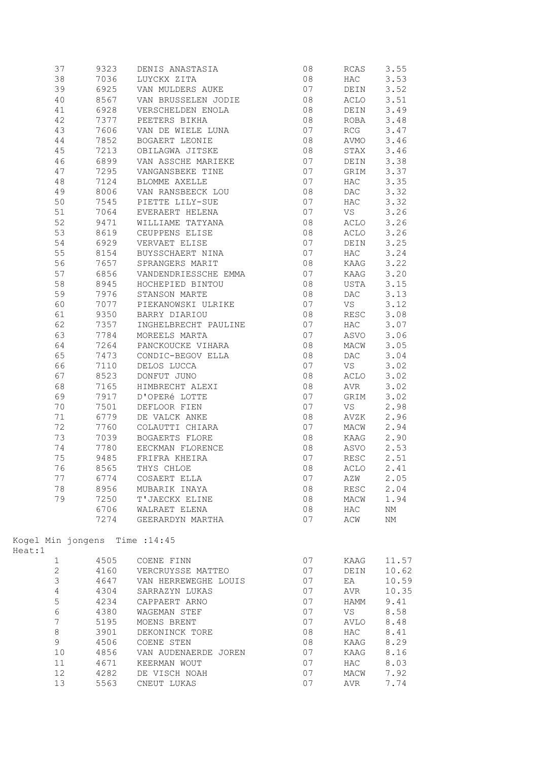|        | 37               | 9323 | DENIS ANASTASIA                | 08 | RCAS       | 3.55  |
|--------|------------------|------|--------------------------------|----|------------|-------|
|        | 38               | 7036 | LUYCKX ZITA                    | 08 | HAC        | 3.53  |
|        | 39               | 6925 | VAN MULDERS AUKE               | 07 | DEIN       | 3.52  |
|        | 40               | 8567 | VAN BRUSSELEN JODIE            | 08 | ACLO       | 3.51  |
|        | 41               | 6928 | VERSCHELDEN ENOLA              | 08 | DEIN       | 3.49  |
|        | 42               | 7377 | PEETERS BIKHA                  | 08 | ROBA       | 3.48  |
|        | 43               | 7606 | VAN DE WIELE LUNA              | 07 | RCG        | 3.47  |
|        | 44               | 7852 | BOGAERT LEONIE                 | 08 | AVMO       | 3.46  |
|        | 45               | 7213 | OBILAGWA JITSKE                | 08 | STAX       | 3.46  |
|        | 46               | 6899 | VAN ASSCHE MARIEKE             | 07 | DEIN       | 3.38  |
|        | 47               | 7295 | VANGANSBEKE TINE               | 07 | GRIM       | 3.37  |
|        | 48               | 7124 | BLOMME AXELLE                  | 07 | <b>HAC</b> | 3.35  |
|        | 49               | 8006 | VAN RANSBEECK LOU              | 08 | DAC        | 3.32  |
|        | 50               | 7545 | PIETTE LILY-SUE                | 07 | HAC        | 3.32  |
|        | 51               | 7064 | EVERAERT HELENA                | 07 | VS         | 3.26  |
|        |                  |      |                                |    |            |       |
|        | 52               | 9471 | WILLIAME TATYANA               | 08 | ACLO       | 3.26  |
|        | 53               | 8619 | CEUPPENS ELISE                 | 08 | ACLO       | 3.26  |
|        | 54               | 6929 | VERVAET ELISE                  | 07 | DEIN       | 3.25  |
|        | 55               | 8154 | BUYSSCHAERT NINA               | 07 | HAC        | 3.24  |
|        | 56               | 7657 | SPRANGERS MARIT                | 08 | KAAG       | 3.22  |
|        | 57               | 6856 | VANDENDRIESSCHE EMMA           | 07 | KAAG       | 3.20  |
|        | 58               | 8945 | HOCHEPIED BINTOU               | 08 | USTA       | 3.15  |
|        | 59               | 7976 | STANSON MARTE                  | 08 | DAC        | 3.13  |
|        | 60               | 7077 | PIEKANOWSKI ULRIKE             | 07 | VS         | 3.12  |
|        | 61               | 9350 | BARRY DIARIOU                  | 08 | RESC       | 3.08  |
|        | 62               | 7357 | INGHELBRECHT PAULINE           | 07 | HAC        | 3.07  |
|        | 63               | 7784 | MOREELS MARTA                  | 07 | ASVO       | 3.06  |
|        | 64               | 7264 | PANCKOUCKE VIHARA              | 08 | MACW       | 3.05  |
|        | 65               | 7473 | CONDIC-BEGOV ELLA              | 08 | <b>DAC</b> | 3.04  |
|        | 66               | 7110 | DELOS LUCCA                    | 07 | VS         | 3.02  |
|        | 67               | 8523 | DONFUT JUNO                    | 08 | ACLO       | 3.02  |
|        | 68               | 7165 | HIMBRECHT ALEXI                | 08 | AVR        | 3.02  |
|        | 69               | 7917 | D'OPERé LOTTE                  | 07 | GRIM       | 3.02  |
|        | 70               | 7501 | DEFLOOR FIEN                   | 07 | VS         | 2.98  |
|        | 71               | 6779 | DE VALCK ANKE                  | 08 | AVZK       | 2.96  |
|        | 72               | 7760 | COLAUTTI CHIARA                | 07 | MACW       | 2.94  |
|        | 73               | 7039 | BOGAERTS FLORE                 | 08 | KAAG       | 2.90  |
|        | 74               |      |                                | 08 | ASVO       |       |
|        |                  | 7780 | EECKMAN FLORENCE               |    | RESC       | 2.53  |
|        | 75               | 9485 | FRIFRA KHEIRA                  | 07 |            | 2.51  |
|        | 76               | 8565 | THYS CHLOE                     | 08 | ACLO       | 2.41  |
|        | 77               | 6774 | COSAERT ELLA                   | 07 | AZW        | 2.05  |
|        | 78               | 8956 | MUBARIK INAYA                  | 08 | RESC       | 2.04  |
|        | 79               | 7250 | T'JAECKX ELINE                 | 08 | MACW       | 1.94  |
|        |                  | 6706 | WALRAET ELENA                  | 08 | HAC        | ΝM    |
|        |                  | 7274 | GEERARDYN MARTHA               | 07 | ACW        | ΝM    |
|        |                  |      | Kogel Min jongens Time : 14:45 |    |            |       |
| Heat:1 |                  |      |                                |    |            |       |
|        | 1                | 4505 | COENE FINN                     | 07 | KAAG       | 11.57 |
|        | $\mathbf{2}$     | 4160 | VERCRUYSSE MATTEO              | 07 | DEIN       | 10.62 |
|        | 3                | 4647 | VAN HERREWEGHE LOUIS           | 07 | ΕA         | 10.59 |
|        | $\sqrt{4}$       | 4304 | SARRAZYN LUKAS                 | 07 | AVR        | 10.35 |
|        | $\mathsf S$      | 4234 | CAPPAERT ARNO                  | 07 | HAMM       | 9.41  |
|        | $\epsilon$       | 4380 | WAGEMAN STEF                   | 07 | VS         | 8.58  |
|        | $\boldsymbol{7}$ | 5195 | MOENS BRENT                    | 07 | AVLO       | 8.48  |
|        | $\,8\,$          | 3901 | DEKONINCK TORE                 | 08 | HAC        | 8.41  |
|        | 9                |      |                                |    |            |       |
|        |                  | 4506 | COENE STEN                     | 08 | KAAG       | 8.29  |
|        | 10               | 4856 | VAN AUDENAERDE JOREN           | 07 | KAAG       | 8.16  |
|        | 11               | 4671 | KEERMAN WOUT                   | 07 | HAC        | 8.03  |
|        | 12               | 4282 | DE VISCH NOAH                  | 07 | MACW       | 7.92  |
|        | 13               | 5563 | CNEUT LUKAS                    | 07 | AVR        | 7.74  |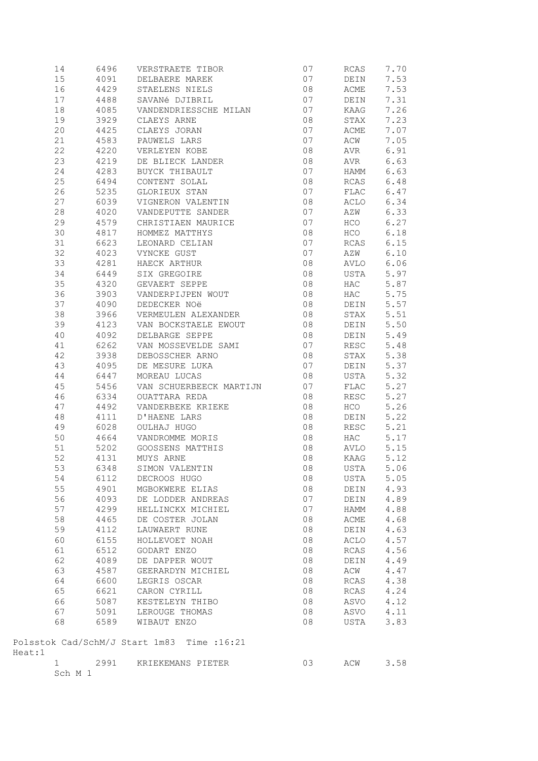|        | 14      | 6496   | VERSTRAETE TIBOR                                 | 07 | RCAS                   | 7.70 |
|--------|---------|--------|--------------------------------------------------|----|------------------------|------|
|        | 15      |        | 4091 DELBAERE MAREK                              | 07 | DEIN                   | 7.53 |
|        | 16      | 4429   | STAELENS NIELS                                   | 08 | <b>ACME</b>            | 7.53 |
|        | 17      | 4488   | SAVANé DJIBRIL                                   | 07 | DEIN                   | 7.31 |
|        | 18      |        | 4085 VANDENDRIESSCHE MILAN 07                    |    | KAAG                   | 7.26 |
|        | 19      | 3929   | CLAEYS ARNE                                      | 08 | STAX                   | 7.23 |
|        | 20      |        | 4425 CLAEYS JORAN                                | 07 | <b>ACME</b>            | 7.07 |
|        | 21      |        | 4583 PAUWELS LARS                                | 07 | ACW                    | 7.05 |
|        | 22      |        | 4220 VERLEYEN KOBE                               | 08 | AVR                    | 6.91 |
|        | 23      |        | 4219 DE BLIECK LANDER                            | 08 | AVR                    | 6.63 |
|        | 24      | 4283   | BUYCK THIBAULT                                   | 07 | <b>HAMM</b>            | 6.63 |
|        | 25      | 6494   | CONTENT SOLAL                                    | 08 | RCAS                   | 6.48 |
|        | 26      |        | 5235 GLORIEUX STAN                               | 07 | FLAC                   | 6.47 |
|        | 27      |        | 6039 VIGNERON VALENTIN                           | 08 | ACLO                   | 6.34 |
|        | 28      |        | 4020 VANDEPUTTE SANDER                           | 07 | AZW                    | 6.33 |
|        | 29      |        | 4579 CHRISTIAEN MAURICE                          | 07 | HCO                    | 6.27 |
|        | 30      | 4817   | HOMMEZ MATTHYS                                   | 08 | HCO                    | 6.18 |
|        | 31      | 6623   | LEONARD CELIAN                                   | 07 | RCAS                   | 6.15 |
|        | 32      | 4023   | VYNCKE GUST                                      | 07 | AZW                    | 6.10 |
|        | 33      | 4281   | HAECK ARTHUR                                     | 08 | AVLO                   | 6.06 |
|        | 34      | 6449   | SIX GREGOIRE                                     | 08 | USTA                   | 5.97 |
|        |         |        | GEVAERT SEPPE                                    |    |                        |      |
|        | 35      | 4320   |                                                  | 08 | HAC                    | 5.87 |
|        | 36      |        | 3903 VANDERPIJPEN WOUT                           | 08 | HAC                    | 5.75 |
|        | 37      |        | 4090 DEDECKER NOë                                | 08 | DEIN                   | 5.57 |
|        | 38      |        | 3966 VERMEULEN ALEXANDER                         | 08 | STAX                   | 5.51 |
|        | 39      |        | 4123 VAN BOCKSTAELE EWOUT<br>4092 DELBARGE SEPPE | 08 | DEIN                   | 5.50 |
|        | 40      |        |                                                  | 08 | DEIN                   | 5.49 |
|        | 41      | 6262   | VAN MOSSEVELDE SAMI                              | 07 | RESC                   | 5.48 |
|        | 42      | 3938   | DEBOSSCHER ARNO                                  | 08 | STAX                   | 5.38 |
|        | 43      | 4095   | DE MESURE LUKA                                   | 07 | DEIN                   | 5.37 |
|        | 44      | 6447   | MOREAU LUCAS                                     | 08 | USTA                   | 5.32 |
|        | 45      |        | 5456 VAN SCHUERBEECK MARTIJN 07                  |    | FLAC                   | 5.27 |
|        | 46      |        | 6334 OUATTARA REDA                               | 08 | RESC                   | 5.27 |
|        | 47      | 4492   | VANDERBEKE KRIEKE                                | 08 | HCO                    | 5.26 |
|        | 48      | 4111   | D'HAENE LARS                                     | 08 | DEIN                   | 5.22 |
|        | 49      | 6028   | OULHAJ HUGO                                      | 08 | RESC                   | 5.21 |
|        | 50      |        | 4664 VANDROMME MORIS                             | 08 | $_{\mbox{\small HAC}}$ | 5.17 |
|        | 51      |        | 5202 GOOSSENS MATTHIS                            | 08 | AVLO                   | 5.15 |
|        | 52      | 4131   | MUYS ARNE                                        | 08 | KAAG                   | 5.12 |
|        | 53      |        | 6348 SIMON VALENTIN                              | 08 | USTA                   | 5.06 |
|        | 54      | 6112   | DECROOS HUGO                                     | 08 | USTA                   | 5.05 |
|        | 55      | 4901   | MGBOKWERE ELIAS                                  | 08 | DEIN                   | 4.93 |
|        | 56      | 4093   | DE LODDER ANDREAS                                | 07 | DEIN                   | 4.89 |
|        | 57      | 4299   | HELLINCKX MICHIEL                                | 07 | HAMM                   | 4.88 |
|        | 58      | 4465   | DE COSTER JOLAN                                  | 08 | ACME                   | 4.68 |
|        | 59      | 4112   | LAUWAERT RUNE                                    | 08 | DEIN                   | 4.63 |
|        | 60      | 6155   | HOLLEVOET NOAH                                   | 08 | ACLO                   | 4.57 |
|        | 61      | 6512   | GODART ENZO                                      | 08 | RCAS                   | 4.56 |
|        | 62      | 4089   | DE DAPPER WOUT                                   | 08 | DEIN                   | 4.49 |
|        | 63      | 4587   | GEERARDYN MICHIEL                                | 08 | ACW                    | 4.47 |
|        | 64      | 6600   | LEGRIS OSCAR                                     | 08 | RCAS                   | 4.38 |
|        | 65      | 6621   | CARON CYRILL                                     | 08 | RCAS                   | 4.24 |
|        | 66      | 5087   | KESTELEYN THIBO                                  | 08 | ASVO                   | 4.12 |
|        | 67      | 5091   | LEROUGE THOMAS                                   | 08 | ASVO                   | 4.11 |
|        | 68      | 6589   | WIBAUT ENZO                                      | 08 | USTA                   | 3.83 |
|        |         |        |                                                  |    |                        |      |
| Heat:1 |         |        | Polsstok Cad/SchM/J Start 1m83 Time :16:21       |    |                        |      |
|        |         | 1 2991 | KRIEKEMANS PIETER                                | 03 | ACW                    | 3.58 |
|        | Sch M 1 |        |                                                  |    |                        |      |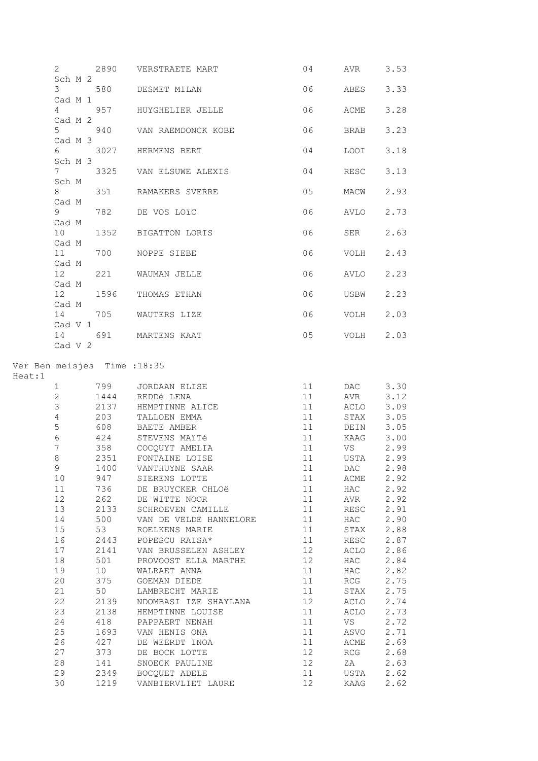|        |                            |                              | 2 2890 VERSTRAETE MART                        | 04                    | AVR          | 3.53         |
|--------|----------------------------|------------------------------|-----------------------------------------------|-----------------------|--------------|--------------|
|        | Sch M 2                    |                              |                                               |                       |              |              |
|        |                            |                              | 3 580 DESMET MILAN                            | 06                    | ABES         | 3.33         |
|        | Cad M 1<br>$4\degree$      |                              | 957 HUYGHELIER JELLE                          | 06                    | ACME         | 3.28         |
|        | Cad M 2                    |                              |                                               |                       |              |              |
|        | $5 - 5$                    |                              | 940 VAN RAEMDONCK KOBE                        | 06                    | BRAB         | 3.23         |
|        | Cad M 3                    |                              |                                               |                       |              |              |
|        | $6\degree$<br>Sch M 3      |                              | 3027 HERMENS BERT                             | 04                    | LOOI         | 3.18         |
|        | 7                          |                              | 3325 VAN ELSUWE ALEXIS                        | 04                    | RESC         | 3.13         |
|        | Sch M                      |                              |                                               |                       |              |              |
|        | $8 - 8$                    |                              | 351 RAMAKERS SVERRE                           | 05                    | MACW         | 2.93         |
|        | Cad M                      |                              |                                               |                       |              |              |
|        | $9 \quad \bullet$<br>Cad M |                              | 782 DE VOS LOIC                               | 06                    | AVLO         | 2.73         |
|        | 10                         |                              | 1352 BIGATTON LORIS                           | 06                    | SER          | 2.63         |
|        | Cad M                      |                              |                                               |                       |              |              |
|        | 11                         |                              | 700 NOPPE SIEBE                               | 06                    | VOLH         | 2.43         |
|        | Cad M                      |                              |                                               |                       |              |              |
|        | 12                         |                              | 221 WAUMAN JELLE                              | 06                    | AVLO         | 2.23         |
|        | Cad M<br>12                | 1596                         | THOMAS ETHAN                                  | 06                    | USBW         | 2.23         |
|        | Cad M                      |                              |                                               |                       |              |              |
|        |                            |                              | 14 705 WAUTERS LIZE                           | 06                    | VOLH         | 2.03         |
|        | Cad V 1                    |                              |                                               |                       |              |              |
|        | Cad V 2                    |                              | 14 691 MARTENS KAAT                           | 05                    | VOLH         | 2.03         |
|        |                            | Ver Ben meisjes Time : 18:35 |                                               |                       |              |              |
|        |                            |                              |                                               |                       |              |              |
| Heat:1 |                            |                              |                                               |                       |              |              |
|        | 1                          |                              | 799 JORDAAN ELISE                             | 11                    | <b>DAC</b>   | 3.30         |
|        | $\overline{2}$             |                              | 1444 REDDé LENA                               | 11                    | AVR          | 3.12         |
|        | 3                          |                              | 2137 HEMPTINNE ALICE                          | 11                    | ACLO         | 3.09         |
|        | 4<br>5                     | 203                          | TALLOEN EMMA<br>608 BAETE AMBER               | 11<br>11              | STAX<br>DEIN | 3.05<br>3.05 |
|        | 6                          | 424                          | STEVENS MAITé                                 | 11                    |              | 3.00         |
|        | $7\phantom{.}$             | 358                          | COCQUYT AMELIA                                | 11                    | KAAG<br>VS   | 2.99         |
|        | 8                          | 2351                         | FONTAINE LOISE                                | 11                    | USTA         | 2.99         |
|        | 9                          |                              | 1400 VANTHUYNE SAAR                           | 11                    | DAC 2.98     |              |
|        | 10                         | 947                          | SIERENS LOTTE                                 | 11                    | ACME         | 2.92         |
|        | 11                         |                              | 736 DE BRUYCKER CHLOë                         | 11                    | $_{\rm HAC}$ | 2.92         |
|        | 12                         |                              | 262 DE WITTE NOOR                             | 11                    | AVR          | 2.92         |
|        | 13                         | 2133                         | SCHROEVEN CAMILLE                             | 11                    | RESC         | 2.91         |
|        | 14                         |                              | 500 VAN DE VELDE HANNELORE                    | 11                    | HAC          | 2.90         |
|        | 15                         | 53                           | ROELKENS MARIE                                | 11                    | STAX         | 2.88         |
|        | 16                         | 2443                         | POPESCU RAISA*                                | 11                    | RESC         | 2.87         |
|        | 17                         | 2141                         | VAN BRUSSELEN ASHLEY                          | 12                    | ACLO         | 2.86         |
|        | 18                         | 501                          | PROVOOST ELLA MARTHE                          | 12                    | HAC          | 2.84         |
|        | 19                         | 10                           | WALRAET ANNA                                  | 11                    | HAC          | 2.82         |
|        | 20<br>21                   | 50                           | 375 GOEMAN DIEDE                              | 11<br>11              | RCG          | 2.75         |
|        | 22                         |                              | LAMBRECHT MARIE<br>2139 NDOMBASI IZE SHAYLANA | 12                    | STAX<br>ACLO | 2.75<br>2.74 |
|        | 23                         |                              | 2138 HEMPTINNE LOUISE                         | 11                    | ACLO         | 2.73         |
|        | 24                         | 418                          | PAPPAERT NENAH                                | 11                    | VS           | 2.72         |
|        | 25                         | 1693                         | VAN HENIS ONA                                 | 11                    | ASVO         | 2.71         |
|        | 26                         | 427                          | DE WEERDT INOA                                | 11                    | ACME         | 2.69         |
|        | 27                         | 373                          | DE BOCK LOTTE                                 | 12                    | RCG          | 2.68         |
|        | 28                         | 141                          | SNOECK PAULINE                                | 12                    | ZA           | 2.63         |
|        | 29<br>30                   |                              | 2349 BOCQUET ADELE<br>1219 VANBIERVLIET LAURE | 11<br>12 <sup>7</sup> | USTA<br>KAAG | 2.62<br>2.62 |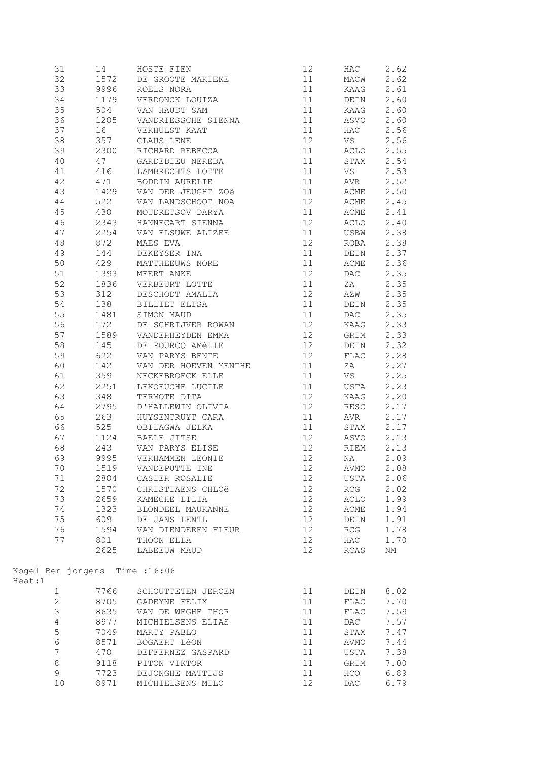| 31                                       | 14   | HOSTE FIEN<br>------ MADIRKE                     | 12 | HAC          | 2.62 |
|------------------------------------------|------|--------------------------------------------------|----|--------------|------|
| 32                                       |      | 1572 DE GROOTE MARIEKE                           | 11 | MACW         | 2.62 |
| 33                                       |      | 9996 ROELS NORA                                  | 11 | <b>KAAG</b>  | 2.61 |
| 34                                       |      | 1179 VERDONCK LOUIZA                             | 11 | DEIN         | 2.60 |
| 35                                       |      | 504 VAN HAUDT SAM                                | 11 | KAAG         | 2.60 |
| 36                                       |      | 1205 VANDRIESSCHE SIENNA 11                      |    | ASVO         | 2.60 |
| 37                                       | 16   | VERHULST KAAT                                    | 11 | HAC          | 2.56 |
| 38                                       | 357  | CLAUS LENE                                       | 12 | VS           | 2.56 |
| 39                                       | 2300 | RICHARD REBECCA                                  | 11 | ACLO         | 2.55 |
|                                          |      |                                                  |    |              | 2.54 |
| 40                                       | 47   | GARDEDIEU NEREDA                                 | 11 | STAX<br>VS   |      |
| 41                                       |      | 416 LAMBRECHTS LOTTE                             | 11 |              | 2.53 |
| 42                                       | 471  | BODDIN AURELIE                                   | 11 | AVR          | 2.52 |
| 43                                       |      | 1429 VAN DER JEUGHT ZOë                          | 11 | ACME         | 2.50 |
| 44                                       |      | 522 VAN LANDSCHOOT NOA 12                        |    | ACME         | 2.45 |
| 45                                       |      | 430 MOUDRETSOV DARYA                             | 11 | ACME         | 2.41 |
| 46                                       |      | 2343 HANNECART SIENNA                            | 12 | ACLO         | 2.40 |
| 47                                       | 2254 | VAN ELSUWE ALIZEE                                | 11 | USBW         | 2.38 |
| 48                                       | 872  | MAES EVA                                         | 12 | ROBA         | 2.38 |
| 49                                       | 144  | DEKEYSER INA                                     | 11 | DEIN         | 2.37 |
| 50                                       |      | 429 MATTHEEUWS NORE                              | 11 | ACME         | 2.36 |
| 51                                       |      | 1393 MEERT ANKE                                  | 12 | DAC          | 2.35 |
| 52                                       |      | 1836 VERBEURT LOTTE                              | 11 | ZA           | 2.35 |
|                                          |      |                                                  |    |              |      |
| 53                                       |      | 312 DESCHODT AMALIA                              | 12 | AZW          | 2.35 |
| 54                                       | 138  | BILLIET ELISA                                    | 11 | DEIN         | 2.35 |
| 55                                       | 1481 | SIMON MAUD                                       | 11 | DAC          | 2.35 |
| 56                                       | 172  | DE SCHRIJVER ROWAN                               | 12 | KAAG         | 2.33 |
| 57                                       | 1589 | VANDERHEYDEN EMMA                                | 12 | GRIM         | 2.33 |
| 58                                       | 145  | DE POURCQ AMéLIE                                 | 12 | DEIN         | 2.32 |
| 59                                       | 622  | VAN PARYS BENTE                                  | 12 | FLAC         | 2.28 |
| 60                                       | 142  | VAN DER HOEVEN YENTHE 11                         |    | ZA           | 2.27 |
| 61                                       | 359  | NECKEBROECK ELLE                                 | 11 | VS           | 2.25 |
| 62                                       |      | 2251 LEKOEUCHE LUCILE                            | 11 | USTA         | 2.23 |
| 63                                       | 348  | TERMOTE DITA                                     | 12 | KAAG         | 2.20 |
| 64                                       | 2795 | D'HALLEWIN OLIVIA                                | 12 | RESC         | 2.17 |
| 65                                       | 263  | HUYSENTRUYT CARA                                 | 11 | AVR          | 2.17 |
| 66                                       | 525  | OBILAGWA JELKA                                   | 11 | STAX         | 2.17 |
| 67                                       | 1124 | BAELE JITSE                                      | 12 | ASVO         | 2.13 |
| 68                                       |      | 243 VAN PARYS ELISE                              | 12 | RIEM         | 2.13 |
|                                          |      |                                                  |    |              |      |
| 69                                       |      | 9995 VERHAMMEN LEONIE                            | 12 | NA           | 2.09 |
| 70                                       |      | 1519 VANDEPUTTE INE                              |    | 12 AVMO 2.08 |      |
| 71                                       |      | 2804 CASIER ROSALIE                              | 12 | USTA         | 2.06 |
| 72                                       |      | 1570 CHRISTIAENS CHLOë                           | 12 | RCG          | 2.02 |
| 73                                       |      | 2659 KAMECHE LILIA                               | 12 | ACLO         | 1.99 |
| 74                                       | 1323 | BLONDEEL MAURANNE                                | 12 | ACME         | 1.94 |
| 75                                       | 609  | DE JANS LENTL                                    | 12 | DEIN         | 1.91 |
| 76                                       | 1594 | VAN DIENDEREN FLEUR                              | 12 | RCG          | 1.78 |
| 77                                       | 801  | THOON ELLA                                       | 12 | HAC          | 1.70 |
|                                          | 2625 | <b>LABEEUW MAUD</b>                              | 12 | RCAS         | NΜ   |
| Kogel Ben jongens Time : 16:06<br>Heat:1 |      |                                                  |    |              |      |
|                                          | 7766 |                                                  |    |              |      |
| $\mathbf{1}$<br>$\mathbf{2}^{\prime}$    |      | SCHOUTTETEN JEROEN                               | 11 | DEIN         | 8.02 |
|                                          |      | 8705 GADEYNE FELIX                               | 11 | FLAC         | 7.70 |
| 3                                        |      | 8635 VAN DE WEGHE THOR<br>8977 MICHIELSENS ELIAS | 11 | FLAC         | 7.59 |
| 4                                        |      |                                                  | 11 | DAC          | 7.57 |
| 5                                        |      | 7049 MARTY PABLO                                 | 11 | STAX         | 7.47 |
| 6                                        | 8571 | BOGAERT LéON                                     | 11 | AVMO         | 7.44 |
| 7                                        | 470  | DEFFERNEZ GASPARD                                | 11 | USTA         | 7.38 |
| 8                                        |      | 9118 PITON VIKTOR                                | 11 | GRIM         | 7.00 |
| 9                                        |      | 7723 DEJONGHE MATTIJS                            | 11 | HCO          | 6.89 |
| 10                                       |      | 8971 MICHIELSENS MILO                            | 12 | DAC          | 6.79 |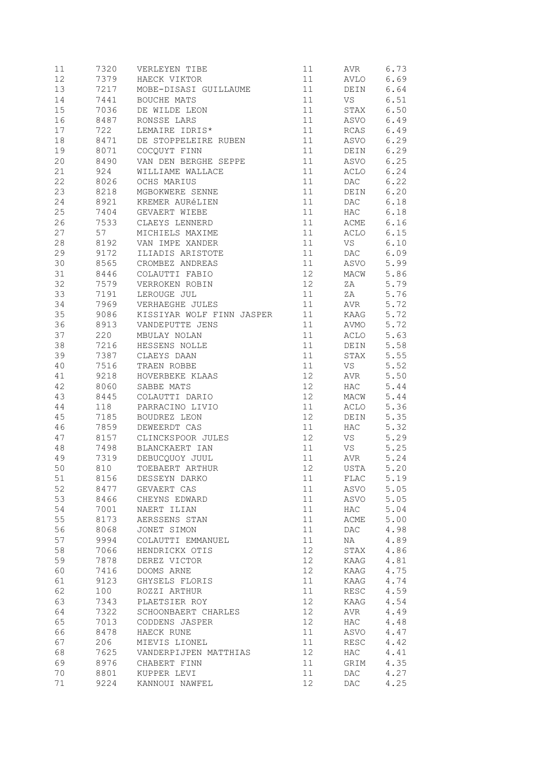| 11 | 7320  | VERLEYEN TIBE              | 11              | AVR                                                                                                                                                                                                                            | 6.73 |
|----|-------|----------------------------|-----------------|--------------------------------------------------------------------------------------------------------------------------------------------------------------------------------------------------------------------------------|------|
| 12 |       | 7379 HAECK VIKTOR          | 11              | AVLO                                                                                                                                                                                                                           | 6.69 |
| 13 |       | 7217 MOBE-DISASI GUILLAUME | 11              | DEIN                                                                                                                                                                                                                           | 6.64 |
| 14 | 7441  | BOUCHE MATS                | 11              | VS FOR THE VIDEO OF THE VIDEO OF THE VIDEO OF THE VIDEO OF THE VIDEO OF THE VIDEO OF THE VIDEO OF THE VIDEO OF THE VIDEO OF THE VIDEO OF THE VIDEO OF THE VIDEO OF THE VIDEO OF THE VIDEO OF THE VIDEO OF THE VIDEO OF THE VID | 6.51 |
| 15 | 7036  | DE WILDE LEON              | 11              | STAX                                                                                                                                                                                                                           | 6.50 |
| 16 | 8487  | RONSSE LARS                | 11              | ASVO                                                                                                                                                                                                                           | 6.49 |
| 17 | 722   | LEMAIRE IDRIS*             | 11              | RCAS                                                                                                                                                                                                                           | 6.49 |
| 18 | 8471  | DE STOPPELEIRE RUBEN       | 11              | ASVO                                                                                                                                                                                                                           | 6.29 |
| 19 | 8071  | COCQUYT FINN               | 11              | DEIN                                                                                                                                                                                                                           | 6.29 |
| 20 | 8490  | VAN DEN BERGHE SEPPE       | 11              | ASVO                                                                                                                                                                                                                           | 6.25 |
| 21 | 924   | WILLIAME WALLACE           | 11              | ACLO                                                                                                                                                                                                                           | 6.24 |
| 22 |       | 8026 OCHS MARIUS           | 11              | <b>DAC</b>                                                                                                                                                                                                                     | 6.22 |
| 23 |       | 8218 MGBOKWERE SENNE       | 11              | DEIN                                                                                                                                                                                                                           | 6.20 |
| 24 |       | 8921 KREMER AURÉLIEN       | 11              | DAC                                                                                                                                                                                                                            | 6.18 |
| 25 | 7404  |                            |                 |                                                                                                                                                                                                                                |      |
|    |       | GEVAERT WIEBE              | 11              | HAC                                                                                                                                                                                                                            | 6.18 |
| 26 | 7533  | CLAEYS LENNERD             | 11              | ACME                                                                                                                                                                                                                           | 6.16 |
| 27 | 57    | MICHIELS MAXIME            | 11              | ACLO                                                                                                                                                                                                                           | 6.15 |
| 28 | 8192  | VAN IMPE XANDER            | 11              | VS                                                                                                                                                                                                                             | 6.10 |
| 29 | 9172  | ILIADIS ARISTOTE           | 11              | $\mathop{\sf DAC}$                                                                                                                                                                                                             | 6.09 |
| 30 | 8565  | CROMBEZ ANDREAS            | 11              | ASVO                                                                                                                                                                                                                           | 5.99 |
| 31 |       | 8446 COLAUTTI FABIO        | 12              | MACW                                                                                                                                                                                                                           | 5.86 |
| 32 |       | 7579 VERROKEN ROBIN        | 12              | ΖA                                                                                                                                                                                                                             | 5.79 |
| 33 |       | 7191 LEROUGE JUL           | 11              | ZA                                                                                                                                                                                                                             | 5.76 |
| 34 |       | 7969 VERHAEGHE JULES       | 11              | AVR                                                                                                                                                                                                                            | 5.72 |
| 35 | 9086  | KISSIYAR WOLF FINN JASPER  | 11              | KAAG                                                                                                                                                                                                                           | 5.72 |
| 36 | 8913  | VANDEPUTTE JENS            | 11              | AVMO                                                                                                                                                                                                                           | 5.72 |
| 37 | 220   | MBULAY NOLAN               | 11              | ACLO                                                                                                                                                                                                                           | 5.63 |
| 38 | 7216  | HESSENS NOLLE              | 11              | DEIN                                                                                                                                                                                                                           | 5.58 |
| 39 |       | 7387 CLAEYS DAAN           | 11              | STAX                                                                                                                                                                                                                           | 5.55 |
| 40 | 7516  | TRAEN ROBBE                | 11              | VS and the set of $\sim$                                                                                                                                                                                                       | 5.52 |
| 41 |       | 9218 HOVERBEKE KLAAS       | 12 <sup>2</sup> | AVR                                                                                                                                                                                                                            | 5.50 |
| 42 | 8060  | SABBE MATS                 | 12 <sup>°</sup> | HAC                                                                                                                                                                                                                            | 5.44 |
| 43 | 8445  | COLAUTTI DARIO             | 12              | MACW                                                                                                                                                                                                                           | 5.44 |
| 44 | 118   | PARRACINO LIVIO            | 11              | ACLO                                                                                                                                                                                                                           | 5.36 |
| 45 | 7185  | BOUDREZ LEON               | 12              | DEIN                                                                                                                                                                                                                           | 5.35 |
| 46 | 7859  | DEWEERDT CAS               | 11              | HAC                                                                                                                                                                                                                            | 5.32 |
| 47 | 8157  | CLINCKSPOOR JULES          | 12              | VS                                                                                                                                                                                                                             | 5.29 |
| 48 | 7498  | BLANCKAERT IAN             | 11              | VS                                                                                                                                                                                                                             | 5.25 |
| 49 | 7319  | DEBUCQUOY JUUL             | 11              | AVR                                                                                                                                                                                                                            | 5.24 |
| 50 | 810 — | TOEBAERT ARTHUR            | 12              | USTA                                                                                                                                                                                                                           | 5.20 |
| 51 | 8156  | DESSEYN DARKO              | 11              | FLAC                                                                                                                                                                                                                           | 5.19 |
| 52 |       |                            |                 |                                                                                                                                                                                                                                |      |
|    | 8477  | GEVAERT CAS                | 11              | ASVO                                                                                                                                                                                                                           | 5.05 |
| 53 | 8466  | CHEYNS EDWARD              | 11              | ASVO                                                                                                                                                                                                                           | 5.05 |
| 54 | 7001  | NAERT ILIAN                | 11              | HAC                                                                                                                                                                                                                            | 5.04 |
| 55 | 8173  | AERSSENS STAN              | 11              | ACME                                                                                                                                                                                                                           | 5.00 |
| 56 | 8068  | JONET SIMON                | 11              | DAC                                                                                                                                                                                                                            | 4.98 |
| 57 | 9994  | COLAUTTI EMMANUEL          | 11              | NA                                                                                                                                                                                                                             | 4.89 |
| 58 | 7066  | HENDRICKX OTIS             | 12              | STAX                                                                                                                                                                                                                           | 4.86 |
| 59 | 7878  | DEREZ VICTOR               | 12              | KAAG                                                                                                                                                                                                                           | 4.81 |
| 60 | 7416  | DOOMS ARNE                 | 12              | KAAG                                                                                                                                                                                                                           | 4.75 |
| 61 | 9123  | GHYSELS FLORIS             | 11              | KAAG                                                                                                                                                                                                                           | 4.74 |
| 62 | 100   | ROZZI ARTHUR               | 11              | RESC                                                                                                                                                                                                                           | 4.59 |
| 63 | 7343  | PLAETSIER ROY              | 12              | KAAG                                                                                                                                                                                                                           | 4.54 |
| 64 | 7322  | SCHOONBAERT CHARLES        | 12              | AVR                                                                                                                                                                                                                            | 4.49 |
| 65 | 7013  | CODDENS JASPER             | 12              | HAC                                                                                                                                                                                                                            | 4.48 |
| 66 | 8478  | HAECK RUNE                 | 11              | ASVO                                                                                                                                                                                                                           | 4.47 |
| 67 | 206   | MIEVIS LIONEL              | 11              | RESC                                                                                                                                                                                                                           | 4.42 |
| 68 | 7625  | VANDERPIJPEN MATTHIAS      | 12              | HAC                                                                                                                                                                                                                            | 4.41 |
| 69 | 8976  | CHABERT FINN               | 11              | GRIM                                                                                                                                                                                                                           | 4.35 |
| 70 | 8801  | KUPPER LEVI                | 11              | DAC                                                                                                                                                                                                                            | 4.27 |
| 71 | 9224  | KANNOUI NAWFEL             | 12              | DAC                                                                                                                                                                                                                            | 4.25 |
|    |       |                            |                 |                                                                                                                                                                                                                                |      |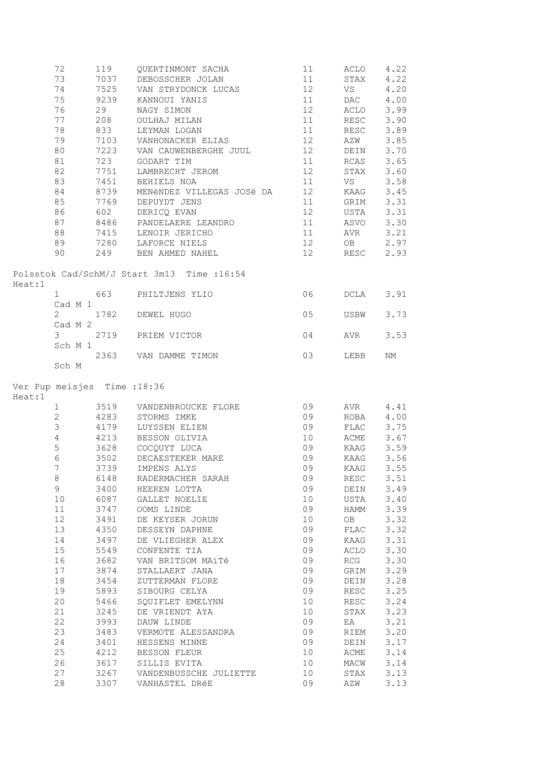|        | 72                             |                              | 119 QUERTINMONT SACHA                                 | 11       | ACLO 4.22    |              |
|--------|--------------------------------|------------------------------|-------------------------------------------------------|----------|--------------|--------------|
|        | 73                             |                              | 7037 DEBOSSCHER JOLAN                                 | 11       |              | 4.22         |
|        | 74                             |                              | 7525 VAN STRYDONCK LUCAS                              | 12       | STAX<br>VS   | 4.20         |
|        | 75                             |                              | 9239 KANNOUI YANIS                                    | 11       | DAC          | 4.00         |
|        | 76                             | 29                           | NAGY SIMON                                            | 12       | ACLO         | 3.99         |
|        | 77                             |                              | 208 OULHAJ MILAN                                      | 11       | RESC         | 3.90         |
|        | 78                             | 833                          | LEYMAN LOGAN                                          | 11       | RESC         | 3.89         |
|        | 79                             |                              | 7103 VANHONACKER ELIAS                                | 12       | AZW          | 3.85         |
|        | 80                             |                              | 7223 VAN CAUWENBERGHE JUUL                            | 12       | DEIN         | 3.70         |
|        | 81                             | 723                          | GODART TIM                                            | 11       | RCAS         | 3.65         |
|        | 82                             | 7751                         | LAMBRECHT JEROM                                       | 12       |              | 3.60         |
|        | 83                             | 7451                         | BEHIELS NOA                                           | 11       | STAX<br>VS   | 3.58         |
|        | 84                             |                              | 8739 MENÉNDEZ VILLEGAS JOSÉ DA                        | 12       | KAAG         | 3.45         |
|        | 85                             |                              | 7769 DEPUYDT JENS                                     | 11       | GRIM         | 3.31         |
|        | 86                             |                              | 602 DERICQ EVAN                                       | 12       | USTA         | 3.31         |
|        | 87                             |                              | 8486 PANDELAERE LEANDRO                               | 11       | ASVO         | 3.30         |
|        | 88                             |                              | 7415 LENOIR JERICHO                                   | 11       | AVR          | 3.21         |
|        | 89                             |                              | 7280 LAFORCE NIELS                                    | 12       | OB 2.97      |              |
|        | 90                             |                              | 249 BEN AHMED NAHEL                                   | 12       | RESC         | 2.93         |
|        |                                |                              |                                                       |          |              |              |
| Heat:1 |                                |                              | Polsstok Cad/SchM/J Start 3m13 Time : 16:54           |          |              |              |
|        |                                | 1 663                        | PHILTJENS YLIO                                        | 06       | DCLA         | 3.91         |
|        | Cad M 1                        |                              |                                                       |          |              |              |
|        |                                |                              | 2 1782 DEWEL HUGO                                     | 05       | USBW         | 3.73         |
|        | Cad M 2                        |                              |                                                       |          |              |              |
|        | $3 \left( \frac{1}{2} \right)$ |                              | 2719 PRIEM VICTOR                                     | 04       | AVR          | 3.53         |
|        | Sch M 1                        |                              |                                                       |          |              |              |
|        |                                |                              | 2363 VAN DAMME TIMON                                  | 03       | LEBB         | NM           |
|        |                                |                              |                                                       |          |              |              |
|        |                                |                              |                                                       |          |              |              |
|        | Sch M                          |                              |                                                       |          |              |              |
| Heat:1 |                                | Ver Pup meisjes Time : 18:36 |                                                       |          |              |              |
|        | $1 \qquad \qquad$              |                              | 3519 VANDENBROUCKE FLORE                              | 09       | AVR          | 4.41         |
|        | $2^{\circ}$                    |                              | 4283 STORMS IMKE                                      | 09       | ROBA         | 4.00         |
|        | $\mathcal{S}$                  |                              |                                                       | 09       |              | 3.75         |
|        | $4 -$                          |                              | 4179 LUYSSEN ELIEN                                    |          | FLAC         |              |
|        |                                |                              | 4213 BESSON OLIVIA                                    | 10<br>09 | <b>ACME</b>  | 3.67         |
|        | 5                              | 3502                         | 3628 COCQUYT LUCA<br>3502 DECAESTEKER MI              | 09       |              | 3.59         |
|        | $6\,$                          |                              | DECAESTEKER MARE                                      |          | KAAG<br>KAAG | 3.56         |
|        | 7                              |                              | 3739 IMPENS ALYS                                      | 09       | KAAG 3.55    |              |
|        | 8                              |                              | 6148 RADERMACHER SARAH                                | 09       | RESC         | 3.51         |
|        | 9                              |                              | 3400 HEEREN LOTTA                                     | 09       | DEIN         | 3.49         |
|        | 10                             |                              | 6087 GALLET NOELIE                                    | 10       | USTA         | 3.40         |
|        | 11                             |                              | 3747 OOMS LINDE                                       | 09       | HAMM         | 3.39         |
|        | 12                             | 3491                         | DE KEYSER JORUN                                       | 10       | OB           | 3.32         |
|        | 13                             | 4350                         | DESSEYN DAPHNE                                        | 09       | FLAC         | 3.32         |
|        | 14                             | 3497                         | DE VLIEGHER ALEX                                      | 09       | KAAG         | 3.31         |
|        | 15                             | 5549                         | CONFENTE TIA                                          | 09       | ACLO         | 3.30         |
|        | 16                             | 3682                         | VAN BRITSOM MAïTé                                     | 09       | RCG          | 3.30         |
|        | 17                             | 3874                         | STALLAERT JANA                                        | 09       | GRIM         | 3.29         |
|        | 18                             | 3454                         | ZUTTERMAN FLORE                                       | 09       | DEIN         | 3.28         |
|        | 19                             | 5893                         | SIBOURG CELYA                                         | 09       | RESC         | 3.25         |
|        | 20                             | 5466                         | SQUIFLET EMELYNN                                      | 10       | RESC         | 3.24         |
|        | 21                             | 3245                         | DE VRIENDT AYA                                        | 10       | STAX         | 3.23         |
|        | 22                             | 3993                         | DAUW LINDE                                            | 09       | EA           | 3.21         |
|        | 23                             | 3483                         | VERMOTE ALESSANDRA                                    | 09       | RIEM         | 3.20         |
|        | 24                             | 3401                         | HESSENS MINNE                                         | 09       | DEIN         | 3.17         |
|        | 25                             | 4212                         | BESSON FLEUR                                          | 10       | <b>ACME</b>  | 3.14         |
|        | 26                             | 3617                         | SILLIS EVITA                                          | 10       | MACW         | 3.14         |
|        | 27<br>28                       |                              | 3267 VANDENBUSSCHE JULIETTE 10<br>3307 VANHASTEL DRÉE | 09       | STAX<br>AZW  | 3.13<br>3.13 |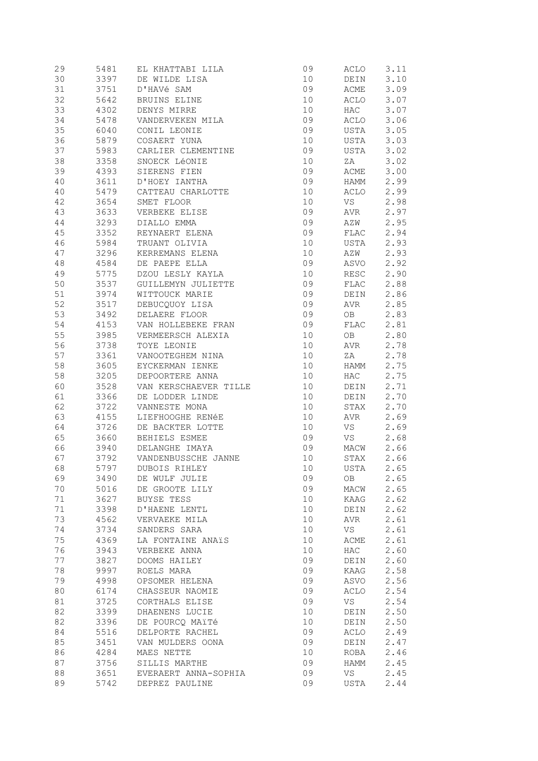| 29 | 5481         | EL KHATTABI LILA        | 09              | ACLO                                                                                                                                                                                                                           | 3.11 |
|----|--------------|-------------------------|-----------------|--------------------------------------------------------------------------------------------------------------------------------------------------------------------------------------------------------------------------------|------|
| 30 |              | 3397 DE WILDE LISA      | 10 <sub>o</sub> | DEIN                                                                                                                                                                                                                           | 3.10 |
| 31 |              | 3751 D'HAVé SAM         | 09              | ACME                                                                                                                                                                                                                           | 3.09 |
| 32 |              | 5642 BRUINS ELINE       | 10              | ACLO                                                                                                                                                                                                                           | 3.07 |
| 33 |              | 4302 DENYS MIRRE        | 10 <sub>o</sub> | HAC                                                                                                                                                                                                                            | 3.07 |
| 34 | 5478         | VANDERVEKEN MILA        | 09              | ACLO                                                                                                                                                                                                                           | 3.06 |
| 35 | 6040         | CONIL LEONIE            | 09              | USTA                                                                                                                                                                                                                           | 3.05 |
| 36 | 5879         | COSAERT YUNA            | 10              | USTA                                                                                                                                                                                                                           | 3.03 |
| 37 | 5983         | CARLIER CLEMENTINE      | 09              | USTA                                                                                                                                                                                                                           | 3.02 |
| 38 | 3358         | SNOECK LéONIE           | 10              | ZA                                                                                                                                                                                                                             | 3.02 |
| 39 | 4393         | SIERENS FIEN            | 09              | <b>ACME</b>                                                                                                                                                                                                                    | 3.00 |
| 40 | 3611         | D'HOEY IANTHA           | 09              | <b>HAMM</b>                                                                                                                                                                                                                    | 2.99 |
| 40 |              | 5479 CATTEAU CHARLOTTE  | 10 <sub>o</sub> | ACLO                                                                                                                                                                                                                           | 2.99 |
| 42 |              | 3654 SMET FLOOR         | 10              | VS FOR THE VIDEO OF THE VIDEO OF THE VIDEO OF THE VIDEO OF THE VIDEO OF THE VIDEO OF THE VIDEO OF THE VIDEO OF THE VIDEO OF THE VIDEO OF THE VIDEO OF THE VIDEO OF THE VIDEO OF THE VIDEO OF THE VIDEO OF THE VIDEO OF THE VID | 2.98 |
| 43 |              | 3633 VERBEKE ELISE      | 09              | AVR                                                                                                                                                                                                                            | 2.97 |
| 44 |              |                         | 09              |                                                                                                                                                                                                                                |      |
| 45 | 3293<br>3352 | DIALLO EMMA             |                 | AZW                                                                                                                                                                                                                            | 2.95 |
|    |              | REYNAERT ELENA          | 09              | FLAC                                                                                                                                                                                                                           | 2.94 |
| 46 | 5984         | TRUANT OLIVIA           | 10 <sub>o</sub> | USTA                                                                                                                                                                                                                           | 2.93 |
| 47 | 3296         | KERREMANS ELENA         | 10 <sub>o</sub> | AZW                                                                                                                                                                                                                            | 2.93 |
| 48 | 4584         | DE PAEPE ELLA           | 09              | ASVO                                                                                                                                                                                                                           | 2.92 |
| 49 |              | 5775 DZOU LESLY KAYLA   | 10 <sub>1</sub> | RESC                                                                                                                                                                                                                           | 2.90 |
| 50 |              | 3537 GUILLEMYN JULIETTE | 09              | FLAC                                                                                                                                                                                                                           | 2.88 |
| 51 | 3974         | WITTOUCK MARIE          | 09              | DEIN                                                                                                                                                                                                                           | 2.86 |
| 52 |              | 3517 DEBUCQUOY LISA     | 09              | AVR                                                                                                                                                                                                                            | 2.85 |
| 53 | 3492         | DELAERE FLOOR           | 09              | OB                                                                                                                                                                                                                             | 2.83 |
| 54 | 4153         | VAN HOLLEBEKE FRAN      | 09              | FLAC                                                                                                                                                                                                                           | 2.81 |
| 55 | 3985         | VERMEERSCH ALEXIA       | 10              | OB                                                                                                                                                                                                                             | 2.80 |
| 56 | 3738         | TOYE LEONIE             | 10              | AVR                                                                                                                                                                                                                            | 2.78 |
| 57 | 3361         | VANOOTEGHEM NINA        | 10 <sub>1</sub> | ZA                                                                                                                                                                                                                             | 2.78 |
| 58 | 3605         | EYCKERMAN IENKE         | 10 <sub>1</sub> | <b>HAMM</b>                                                                                                                                                                                                                    | 2.75 |
| 58 | 3205         | DEPOORTERE ANNA         | 10 <sub>o</sub> | HAC                                                                                                                                                                                                                            | 2.75 |
| 60 | 3528         | VAN KERSCHAEVER TILLE   | 10 <sub>1</sub> | DEIN                                                                                                                                                                                                                           | 2.71 |
| 61 | 3366         | DE LODDER LINDE         | 10              | DEIN                                                                                                                                                                                                                           | 2.70 |
| 62 | 3722         | VANNESTE MONA           | 10              | STAX                                                                                                                                                                                                                           | 2.70 |
| 63 | 4155         | LIEFHOOGHE RENÉE        | 10              | AVR                                                                                                                                                                                                                            | 2.69 |
| 64 | 3726         | DE BACKTER LOTTE        | 10              | VS                                                                                                                                                                                                                             | 2.69 |
| 65 | 3660         | BEHIELS ESMEE           | 09              | VS                                                                                                                                                                                                                             | 2.68 |
| 66 | 3940         | DELANGHE IMAYA          | 09              | MACW                                                                                                                                                                                                                           | 2.66 |
| 67 | 3792         | VANDENBUSSCHE JANNE     | 10              | STAX                                                                                                                                                                                                                           | 2.66 |
| 68 |              | 5797 DUBOIS RIHLEY      |                 | 10 USTA 2.65                                                                                                                                                                                                                   |      |
| 69 | 3490         | DE WULF JULIE           | 09              | OB                                                                                                                                                                                                                             | 2.65 |
| 70 | 5016         | DE GROOTE LILY          | 09              | MACW                                                                                                                                                                                                                           | 2.65 |
| 71 | 3627         | <b>BUYSE TESS</b>       | 10              | KAAG                                                                                                                                                                                                                           | 2.62 |
| 71 | 3398         | D'HAENE LENTL           | 10              |                                                                                                                                                                                                                                | 2.62 |
|    |              |                         |                 | DEIN                                                                                                                                                                                                                           |      |
| 73 | 4562         | VERVAEKE MILA           | 10              | AVR                                                                                                                                                                                                                            | 2.61 |
| 74 | 3734         | SANDERS SARA            | $10$            | VS                                                                                                                                                                                                                             | 2.61 |
| 75 | 4369         | LA FONTAINE ANAIS       | 10              | ACME                                                                                                                                                                                                                           | 2.61 |
| 76 | 3943         | VERBEKE ANNA            | 10              | HAC                                                                                                                                                                                                                            | 2.60 |
| 77 | 3827         | DOOMS HAILEY            | 09              | DEIN                                                                                                                                                                                                                           | 2.60 |
| 78 | 9997         | ROELS MARA              | 09              | KAAG                                                                                                                                                                                                                           | 2.58 |
| 79 | 4998         | OPSOMER HELENA          | 09              | ASVO                                                                                                                                                                                                                           | 2.56 |
| 80 | 6174         | CHASSEUR NAOMIE         | 09              | ACLO                                                                                                                                                                                                                           | 2.54 |
| 81 | 3725         | CORTHALS ELISE          | 09              | VS                                                                                                                                                                                                                             | 2.54 |
| 82 | 3399         | DHAENENS LUCIE          | 10              | DEIN                                                                                                                                                                                                                           | 2.50 |
| 82 | 3396         | DE POURCO MAITé         | 10              | DEIN                                                                                                                                                                                                                           | 2.50 |
| 84 | 5516         | DELPORTE RACHEL         | 09              | ACLO                                                                                                                                                                                                                           | 2.49 |
| 85 | 3451         | VAN MULDERS OONA        | 09              | DEIN                                                                                                                                                                                                                           | 2.47 |
| 86 | 4284         | MAES NETTE              | 10              | ROBA                                                                                                                                                                                                                           | 2.46 |
| 87 | 3756         | SILLIS MARTHE           | 09              | HAMM                                                                                                                                                                                                                           | 2.45 |
| 88 | 3651         | EVERAERT ANNA-SOPHIA    | 09              | VS                                                                                                                                                                                                                             | 2.45 |
| 89 | 5742         | DEPREZ PAULINE          | 09              | USTA                                                                                                                                                                                                                           | 2.44 |
|    |              |                         |                 |                                                                                                                                                                                                                                |      |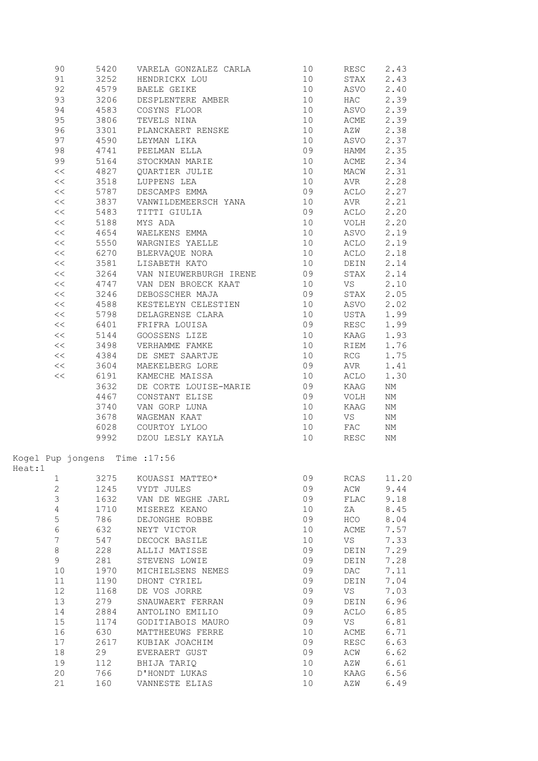|        | 90           | 5420 | VARELA GONZALEZ CARLA          | 10              | RESC | 2.43  |
|--------|--------------|------|--------------------------------|-----------------|------|-------|
|        | 91           | 3252 | HENDRICKX LOU                  | 10 <sub>o</sub> | STAX | 2.43  |
|        | 92           |      | 4579 BAELE GEIKE               | 10              | ASVO | 2.40  |
|        | 93           |      | 3206 DESPLENTERE AMBER         | 10              | HAC  | 2.39  |
|        | 94           |      | 4583 COSYNS FLOOR              | 10              | ASVO | 2.39  |
|        | 95           | 3806 | TEVELS NINA                    | 10              | ACME | 2.39  |
|        | 96           | 3301 | PLANCKAERT RENSKE              | 10              | AZW  | 2.38  |
|        | 97           | 4590 | LEYMAN LIKA                    | 10              | ASVO | 2.37  |
|        | 98           | 4741 | PEELMAN ELLA                   | 09              | HAMM | 2.35  |
|        | 99           | 5164 | STOCKMAN MARIE                 | 10              | ACME | 2.34  |
|        | <<           |      | 4827 QUARTIER JULIE            | 10              | MACW | 2.31  |
|        | <<           |      | 3518 LUPPENS LEA               | 10              | AVR  | 2.28  |
|        | <<           |      | 5787 DESCAMPS EMMA             | 09              | ACLO | 2.27  |
|        | <<           |      |                                | 10              |      |       |
|        |              |      | 3837 VANWILDEMEERSCH YANA      |                 | AVR  | 2.21  |
|        | <<           |      | 5483 TITTI GIULIA              | 09              | ACLO | 2.20  |
|        | <<           |      | 5188 MYS ADA                   | 10              | VOLH | 2.20  |
|        | <<           | 4654 | WAELKENS EMMA                  | 10              | ASVO | 2.19  |
|        | <<           | 5550 | WARGNIES YAELLE                | 10              | ACLO | 2.19  |
|        | <<           | 6270 | BLERVAQUE NORA                 | 10              | ACLO | 2.18  |
|        | $<<$         | 3581 | LISABETH KATO                  | 10              | DEIN | 2.14  |
|        | <<           |      | 3264 VAN NIEUWERBURGH IRENE    | 09              | STAX | 2.14  |
|        | <<           |      | 4747 VAN DEN BROECK KAAT       | 10              | VS   | 2.10  |
|        | <<           |      | 3246 DEBOSSCHER MAJA           | 09              | STAX | 2.05  |
|        | <<           |      | 4588 KESTELEYN CELESTIEN       | 10              | ASVO | 2.02  |
|        | <<           | 5798 | DELAGRENSE CLARA               | 10              | USTA | 1.99  |
|        | <<           | 6401 | FRIFRA LOUISA                  | 09              | RESC | 1.99  |
|        | <<           | 5144 | GOOSSENS LIZE                  | 10              | KAAG | 1.93  |
|        | <<           | 3498 | VERHAMME FAMKE                 | 10              | RIEM | 1.76  |
|        | <<           | 4384 | DE SMET SAARTJE                | 10              | RCG  | 1.75  |
|        | <<           | 3604 | MAEKELBERG LORE                | 09              | AVR  | 1.41  |
|        | <<           | 6191 | KAMECHE MAISSA                 | 10              | ACLO | 1.30  |
|        |              | 3632 | DE CORTE LOUISE-MARIE          | 09              | KAAG | ΝM    |
|        |              | 4467 | CONSTANT ELISE                 | 09              | VOLH | NΜ    |
|        |              | 3740 | VAN GORP LUNA                  | 10              | KAAG | ΝM    |
|        |              | 3678 | WAGEMAN KAAT                   | 10              | VS   | ΝM    |
|        |              | 6028 | COURTOY LYLOO                  | 10              | FAC  | NΜ    |
|        |              |      | 9992 DZOU LESLY KAYLA          | 10              | RESC | ΝM    |
|        |              |      | Kogel Pup jongens Time : 17:56 |                 |      |       |
| Heat:1 |              |      |                                |                 |      |       |
|        | $\mathbf{1}$ | 3275 | KOUASSI MATTEO*                | 09              | RCAS | 11.20 |
|        | $\mathbf{2}$ | 1245 | VYDT JULES                     | 09              | ACW  | 9.44  |
|        | 3            | 1632 | VAN DE WEGHE JARL              | 09              | FLAC | 9.18  |
|        | $\sqrt{4}$   | 1710 | MISEREZ KEANO                  | 10              | ZA   | 8.45  |
|        | $\mathbf 5$  | 786  | DEJONGHE ROBBE                 | 09              | HCO  | 8.04  |
|        | $\epsilon$   | 632  | NEYT VICTOR                    | $10$            | ACME | 7.57  |
|        | 7            | 547  | DECOCK BASILE                  | $10$            | VS   | 7.33  |
|        | 8            | 228  | ALLIJ MATISSE                  | 09              | DEIN | 7.29  |
|        | 9            | 281  | STEVENS LOWIE                  | 09              | DEIN | 7.28  |
|        | 10           | 1970 | MICHIELSENS NEMES              | 09              | DAC  | 7.11  |
|        | 11           | 1190 | DHONT CYRIEL                   | 09              | DEIN | 7.04  |
|        | 12           | 1168 | DE VOS JORRE                   | 09              | VS   | 7.03  |
|        | 13           | 279  | SNAUWAERT FERRAN               | 09              | DEIN | 6.96  |
|        | 14           | 2884 | ANTOLINO EMILIO                | 09              | ACLO | 6.85  |
|        | 15           | 1174 | GODITIABOIS MAURO              | 09              | VS   | 6.81  |
|        | 16           | 630  | MATTHEEUWS FERRE               | 10              | ACME | 6.71  |
|        | 17           | 2617 | KUBIAK JOACHIM                 | 09              | RESC | 6.63  |
|        | 18           | 29   | EVERAERT GUST                  | 09              | ACW  | 6.62  |
|        | 19           | 112  | BHIJA TARIQ                    | 10              | AZW  | 6.61  |
|        | 20           | 766  | D'HONDT LUKAS                  | 10              | KAAG | 6.56  |
|        | 21           | 160  | VANNESTE ELIAS                 | 10              | AZW  | 6.49  |
|        |              |      |                                |                 |      |       |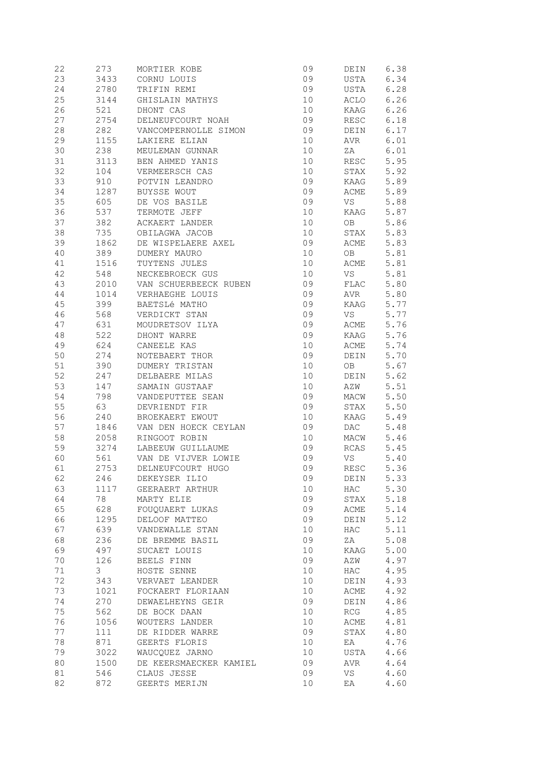| 22     | 273      | MORTIER KOBE           | 09              | DEIN                                                                                                                                                                                                                           | 6.38 |
|--------|----------|------------------------|-----------------|--------------------------------------------------------------------------------------------------------------------------------------------------------------------------------------------------------------------------------|------|
| 23     | 3433     | CORNU LOUIS            | 09              | USTA                                                                                                                                                                                                                           | 6.34 |
| 24     | 2780     | TRIFIN REMI            | 09              | USTA                                                                                                                                                                                                                           | 6.28 |
| 25     | 3144     | GHISLAIN MATHYS        | 10              | ACLO                                                                                                                                                                                                                           | 6.26 |
| 26     | 521      | DHONT CAS              | 10              | KAAG                                                                                                                                                                                                                           | 6.26 |
| 27     | 2754     | DELNEUFCOURT NOAH      | 09              | RESC                                                                                                                                                                                                                           | 6.18 |
| 28     | 282      | VANCOMPERNOLLE SIMON   | 09              | DEIN                                                                                                                                                                                                                           | 6.17 |
| 29     | 1155     | LAKIERE ELIAN          | 10              | AVR                                                                                                                                                                                                                            | 6.01 |
| 30     | 238      | MEULEMAN GUNNAR        | 10              | ZA                                                                                                                                                                                                                             | 6.01 |
| 31     | 3113     | BEN AHMED YANIS        | 10              | RESC                                                                                                                                                                                                                           | 5.95 |
| 32     | 104      | VERMEERSCH CAS         | 10              | STAX                                                                                                                                                                                                                           | 5.92 |
| 33     | 910      | POTVIN LEANDRO         | 09              | KAAG                                                                                                                                                                                                                           | 5.89 |
| 34     |          | 1287 BUYSSE WOUT       | 09              | ACME                                                                                                                                                                                                                           | 5.89 |
| 35     | 605 — 10 | DE VOS BASILE          | 09              | VS FOR THE VIDEO OF THE VIDEO OF THE VIDEO OF THE VIDEO OF THE VIDEO OF THE VIDEO OF THE VIDEO OF THE VIDEO OF THE VIDEO OF THE VIDEO OF THE VIDEO OF THE VIDEO OF THE VIDEO OF THE VIDEO OF THE VIDEO OF THE VIDEO OF THE VID | 5.88 |
| 36     | 537      | TERMOTE JEFF           | 10              | KAAG                                                                                                                                                                                                                           | 5.87 |
| 37     | 382      |                        | 10              |                                                                                                                                                                                                                                |      |
| 38     | 735      | ACKAERT LANDER         | 10              | OB                                                                                                                                                                                                                             | 5.86 |
|        |          | OBILAGWA JACOB         |                 | STAX                                                                                                                                                                                                                           | 5.83 |
| 39     | 1862     | DE WISPELAERE AXEL     | 09              | ACME                                                                                                                                                                                                                           | 5.83 |
| 40     | 389      | DUMERY MAURO           | 10              | OB                                                                                                                                                                                                                             | 5.81 |
| 41     | 1516     | TUYTENS JULES          | 10              | ACME                                                                                                                                                                                                                           | 5.81 |
| 42     | 548      | NECKEBROECK GUS        | 10              | VS                                                                                                                                                                                                                             | 5.81 |
| 43     | 2010     | VAN SCHUERBEECK RUBEN  | 09              | FLAC                                                                                                                                                                                                                           | 5.80 |
| 44     | 1014     | VERHAEGHE LOUIS        | 09              | AVR                                                                                                                                                                                                                            | 5.80 |
| 45     | 399      | BAETSLé MATHO          | 09              | KAAG                                                                                                                                                                                                                           | 5.77 |
| 46     | 568      | VERDICKT STAN          | 09              | VS                                                                                                                                                                                                                             | 5.77 |
| 47     | 631      | MOUDRETSOV ILYA        | 09              | ACME                                                                                                                                                                                                                           | 5.76 |
| $4\,8$ | 522      | DHONT WARRE            | 09              | KAAG                                                                                                                                                                                                                           | 5.76 |
| 49     | 624      | CANEELE KAS            | 10              | ACME                                                                                                                                                                                                                           | 5.74 |
| 50     | 274      | NOTEBAERT THOR         | 09              | DEIN                                                                                                                                                                                                                           | 5.70 |
| $51\,$ | 390      | DUMERY TRISTAN         | 10              | OB                                                                                                                                                                                                                             | 5.67 |
| 52     | 247      | DELBAERE MILAS         | 10 <sub>o</sub> | DEIN                                                                                                                                                                                                                           | 5.62 |
| 53     | 147      | SAMAIN GUSTAAF         | 10 <sub>o</sub> | AZW                                                                                                                                                                                                                            | 5.51 |
| 54     | 798      | VANDEPUTTEE SEAN       | 09              | MACW                                                                                                                                                                                                                           | 5.50 |
| 55     | 63       | DEVRIENDT FIR          | 09              | STAX                                                                                                                                                                                                                           | 5.50 |
| 56     | 240      | BROEKAERT EWOUT        | 10              | KAAG                                                                                                                                                                                                                           | 5.49 |
| 57     | 1846     | VAN DEN HOECK CEYLAN   | 09              | DAC                                                                                                                                                                                                                            | 5.48 |
| 58     | 2058     | RINGOOT ROBIN          | 10              | MACW                                                                                                                                                                                                                           | 5.46 |
| 59     | 3274     | LABEEUW GUILLAUME      | 09              | RCAS                                                                                                                                                                                                                           | 5.45 |
| 60     | 561      | VAN DE VIJVER LOWIE    | 09              | VS                                                                                                                                                                                                                             | 5.40 |
| 61     |          | 2753 DELNEUFCOURT HUGO | 09              | RESC                                                                                                                                                                                                                           | 5.36 |
| 62     |          | 246 DEKEYSER ILIO      | 09              | DEIN                                                                                                                                                                                                                           | 5.33 |
| 63     |          | 1117 GEERAERT ARTHUR   | 10              | HAC                                                                                                                                                                                                                            | 5.30 |
| 64     | 78       | MARTY ELIE             | 09              | STAX                                                                                                                                                                                                                           | 5.18 |
| 65     | 628      | FOUQUAERT LUKAS        | 09              | ACME                                                                                                                                                                                                                           | 5.14 |
| 66     | 1295     | DELOOF MATTEO          | 09              | DEIN                                                                                                                                                                                                                           | 5.12 |
| 67     |          |                        |                 |                                                                                                                                                                                                                                |      |
|        | 639      | VANDEWALLE STAN        | 10              | HAC                                                                                                                                                                                                                            | 5.11 |
| 68     | 236      | DE BREMME BASIL        | 09              | ΖA                                                                                                                                                                                                                             | 5.08 |
| 69     | 497      | SUCAET LOUIS           | 10              | KAAG                                                                                                                                                                                                                           | 5.00 |
| 70     | 126      | BEELS FINN             | 09              | AZW                                                                                                                                                                                                                            | 4.97 |
| 71     | 3        | HOSTE SENNE            | 10              | HAC                                                                                                                                                                                                                            | 4.95 |
| 72     | 343      | VERVAET LEANDER        | 10              | DEIN                                                                                                                                                                                                                           | 4.93 |
| 73     | 1021     | FOCKAERT FLORIAAN      | 10              | ACME                                                                                                                                                                                                                           | 4.92 |
| 74     | 270      | DEWAELHEYNS GEIR       | 09              | DEIN                                                                                                                                                                                                                           | 4.86 |
| 75     | 562      | DE BOCK DAAN           | 10              | RCG                                                                                                                                                                                                                            | 4.85 |
| 76     | 1056     | WOUTERS LANDER         | 10              | ACME                                                                                                                                                                                                                           | 4.81 |
| 77     | 111      | DE RIDDER WARRE        | 09              | STAX                                                                                                                                                                                                                           | 4.80 |
| 78     | 871      | GEERTS FLORIS          | 10              | ΕA                                                                                                                                                                                                                             | 4.76 |
| 79     | 3022     | WAUCQUEZ JARNO         | 10              | USTA                                                                                                                                                                                                                           | 4.66 |
| 80     | 1500     | DE KEERSMAECKER KAMIEL | 09              | AVR                                                                                                                                                                                                                            | 4.64 |
| 81     | 546      | CLAUS JESSE            | 09              | VS                                                                                                                                                                                                                             | 4.60 |
| 82     | 872      | GEERTS MERIJN          | 10              | ΕA                                                                                                                                                                                                                             | 4.60 |